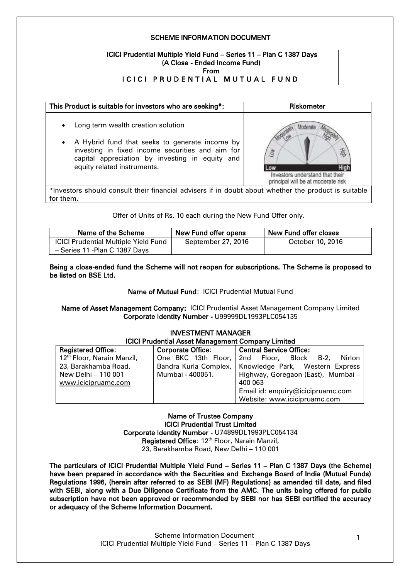### SCHEME INFORMATION DOCUMENT

#### ICICI Prudential Multiple Yield Fund – Series 11 – Plan C 1387 Days (A Close - Ended Income Fund) From ICICI PRUDENTIAL MUTUAL FUND



Offer of Units of Rs. 10 each during the New Fund Offer only.

| Name of the Scheme                                                            | New Fund offer opens | New Fund offer closes |
|-------------------------------------------------------------------------------|----------------------|-----------------------|
| <b>ICICI Prudential Multiple Yield Fund</b><br>- Series 11 - Plan C 1387 Days | September 27, 2016   | October 10, 2016      |

Being a close-ended fund the Scheme will not reopen for subscriptions. The Scheme is proposed to be listed on BSE Ltd.

Name of Mutual Fund: ICICI Prudential Mutual Fund

### Name of Asset Management Company: ICICI Prudential Asset Management Company Limited Corporate Identity Number - U99999DL1993PLC054135

| <b>INVESTMENT MANAGER</b>                                |                                |                                    |  |
|----------------------------------------------------------|--------------------------------|------------------------------------|--|
| <b>ICICI Prudential Asset Management Company Limited</b> |                                |                                    |  |
| <b>Registered Office:</b>                                | <b>Corporate Office:</b>       | <b>Central Service Office:</b>     |  |
| 12 <sup>th</sup> Floor, Narain Manzil,                   | One BKC 13th Floor, 2nd Floor, | Block B-2,<br>Nirlon               |  |
| 23, Barakhamba Road,                                     | Bandra Kurla Complex,          | Knowledge Park, Western Express    |  |
| New Delhi - 110 001                                      | Mumbai - 400051.               | Highway, Goregaon (East), Mumbai - |  |
| www.icicipruamc.com                                      |                                | 400 063                            |  |
|                                                          |                                | Email id: enquiry@icicipruamc.com  |  |
|                                                          |                                | Website: www.icicipruamc.com       |  |

Name of Trustee Company ICICI Prudential Trust Limited Corporate Identity Number - U74899DL1993PLC054134 Registered Office: 12<sup>th</sup> Floor, Narain Manzil, 23, Barakhamba Road, New Delhi – 110 001

The particulars of ICICI Prudential Multiple Yield Fund – Series 11 – Plan C 1387 Days (the Scheme) have been prepared in accordance with the Securities and Exchange Board of India (Mutual Funds) Regulations 1996, (herein after referred to as SEBI (MF) Regulations) as amended till date, and filed with SEBI, along with a Due Diligence Certificate from the AMC. The units being offered for public subscription have not been approved or recommended by SEBI nor has SEBI certified the accuracy or adequacy of the Scheme Information Document.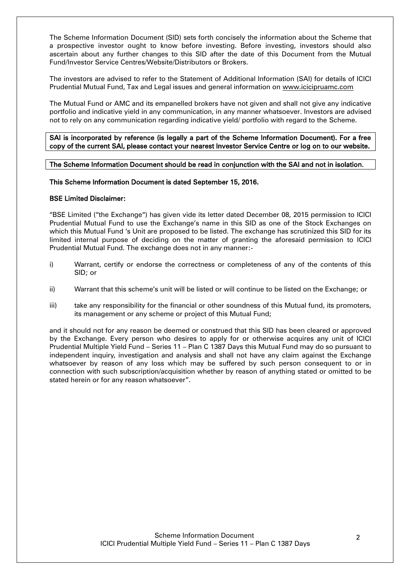The Scheme Information Document (SID) sets forth concisely the information about the Scheme that a prospective investor ought to know before investing. Before investing, investors should also ascertain about any further changes to this SID after the date of this Document from the Mutual Fund/Investor Service Centres/Website/Distributors or Brokers.

The investors are advised to refer to the Statement of Additional Information (SAI) for details of ICICI Prudential Mutual Fund, Tax and Legal issues and general information on [www.icicipruamc.com](http://www.icicipruamc.com/)

The Mutual Fund or AMC and its empanelled brokers have not given and shall not give any indicative portfolio and indicative yield in any communication, in any manner whatsoever. Investors are advised not to rely on any communication regarding indicative yield/ portfolio with regard to the Scheme.

SAI is incorporated by reference (is legally a part of the Scheme Information Document). For a free copy of the current SAI, please contact your nearest Investor Service Centre or log on to our website.

The Scheme Information Document should be read in conjunction with the SAI and not in isolation.

### This Scheme Information Document is dated September 15, 2016.

### BSE Limited Disclaimer:

"BSE Limited ("the Exchange") has given vide its letter dated December 08, 2015 permission to ICICI Prudential Mutual Fund to use the Exchange"s name in this SID as one of the Stock Exchanges on which this Mutual Fund "s Unit are proposed to be listed. The exchange has scrutinized this SID for its limited internal purpose of deciding on the matter of granting the aforesaid permission to ICICI Prudential Mutual Fund. The exchange does not in any manner:-

- i) Warrant, certify or endorse the correctness or completeness of any of the contents of this SID; or
- ii) Warrant that this scheme"s unit will be listed or will continue to be listed on the Exchange; or
- iii) take any responsibility for the financial or other soundness of this Mutual fund, its promoters, its management or any scheme or project of this Mutual Fund;

and it should not for any reason be deemed or construed that this SID has been cleared or approved by the Exchange. Every person who desires to apply for or otherwise acquires any unit of ICICI Prudential Multiple Yield Fund – Series 11 – Plan C 1387 Days this Mutual Fund may do so pursuant to independent inquiry, investigation and analysis and shall not have any claim against the Exchange whatsoever by reason of any loss which may be suffered by such person consequent to or in connection with such subscription/acquisition whether by reason of anything stated or omitted to be stated herein or for any reason whatsoever".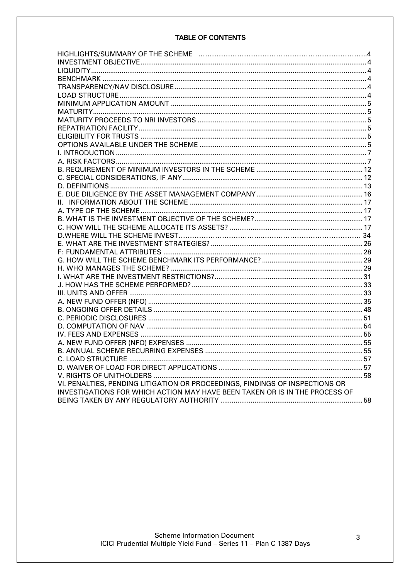# **TABLE OF CONTENTS**

| VI. PENALTIES, PENDING LITIGATION OR PROCEEDINGS, FINDINGS OF INSPECTIONS OR |  |
|------------------------------------------------------------------------------|--|
| INVESTIGATIONS FOR WHICH ACTION MAY HAVE BEEN TAKEN OR IS IN THE PROCESS OF  |  |
|                                                                              |  |
|                                                                              |  |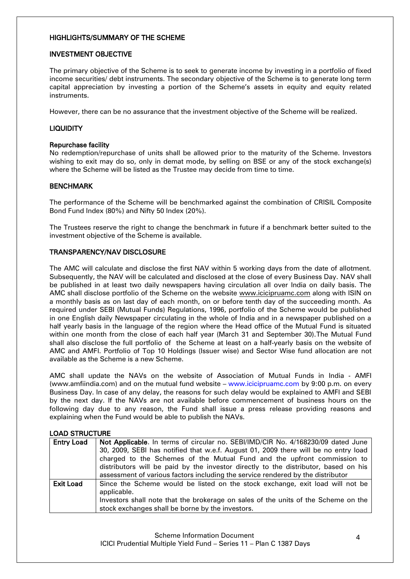#### <span id="page-3-0"></span>HIGHLIGHTS/SUMMARY OF THE SCHEME

#### <span id="page-3-1"></span>INVESTMENT OBJECTIVE

The primary objective of the Scheme is to seek to generate income by investing in a portfolio of fixed income securities/ debt instruments. The secondary objective of the Scheme is to generate long term capital appreciation by investing a portion of the Scheme"s assets in equity and equity related instruments.

However, there can be no assurance that the investment objective of the Scheme will be realized.

### <span id="page-3-2"></span>LIQUIDITY

#### Repurchase facility

No redemption/repurchase of units shall be allowed prior to the maturity of the Scheme. Investors wishing to exit may do so, only in demat mode, by selling on BSE or any of the stock exchange(s) where the Scheme will be listed as the Trustee may decide from time to time.

### <span id="page-3-3"></span>**BENCHMARK**

The performance of the Scheme will be benchmarked against the combination of CRISIL Composite Bond Fund Index (80%) and Nifty 50 Index (20%).

The Trustees reserve the right to change the benchmark in future if a benchmark better suited to the investment objective of the Scheme is available.

### <span id="page-3-4"></span>TRANSPARENCY/NAV DISCLOSURE

The AMC will calculate and disclose the first NAV within 5 working days from the date of allotment. Subsequently, the NAV will be calculated and disclosed at the close of every Business Day. NAV shall be published in at least two daily newspapers having circulation all over India on daily basis. The AMC shall disclose portfolio of the Scheme on the website [www.icicipruamc.com](http://www.icicipruamc.com/) along with ISIN on a monthly basis as on last day of each month, on or before tenth day of the succeeding month. As required under SEBI (Mutual Funds) Regulations, 1996, portfolio of the Scheme would be published in one English daily Newspaper circulating in the whole of India and in a newspaper published on a half yearly basis in the language of the region where the Head office of the Mutual Fund is situated within one month from the close of each half year (March 31 and September 30).The Mutual Fund shall also disclose the full portfolio of the Scheme at least on a half-yearly basis on the website of AMC and AMFI. Portfolio of Top 10 Holdings (Issuer wise) and Sector Wise fund allocation are not available as the Scheme is a new Scheme.

AMC shall update the NAVs on the website of Association of Mutual Funds in India - AMFI [\(www.amfiindia.com\)](http://www.amfiindia.com/) and on the mutual fund website – www.icicipruamc.com by 9:00 p.m. on every Business Day. In case of any delay, the reasons for such delay would be explained to AMFI and SEBI by the next day. If the NAVs are not available before commencement of business hours on the following day due to any reason, the Fund shall issue a press release providing reasons and explaining when the Fund would be able to publish the NAVs.

<span id="page-3-5"></span>

| <b>LOAD STRUCTURE</b> |                                                                                     |  |  |
|-----------------------|-------------------------------------------------------------------------------------|--|--|
| <b>Entry Load</b>     | Not Applicable. In terms of circular no. SEBI/IMD/CIR No. 4/168230/09 dated June    |  |  |
|                       | 30, 2009, SEBI has notified that w.e.f. August 01, 2009 there will be no entry load |  |  |
|                       | charged to the Schemes of the Mutual Fund and the upfront commission to             |  |  |
|                       | distributors will be paid by the investor directly to the distributor, based on his |  |  |
|                       | assessment of various factors including the service rendered by the distributor     |  |  |
| <b>Exit Load</b>      | Since the Scheme would be listed on the stock exchange, exit load will not be       |  |  |
|                       | applicable.                                                                         |  |  |
|                       | Investors shall note that the brokerage on sales of the units of the Scheme on the  |  |  |
|                       | stock exchanges shall be borne by the investors.                                    |  |  |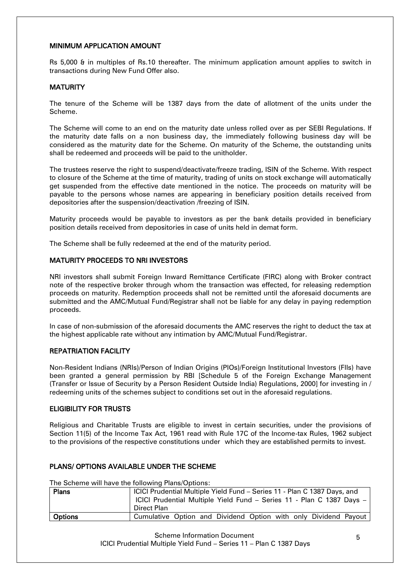### <span id="page-4-0"></span>MINIMUM APPLICATION AMOUNT

Rs 5,000 & in multiples of Rs.10 thereafter. The minimum application amount applies to switch in transactions during New Fund Offer also.

### <span id="page-4-1"></span>**MATURITY**

The tenure of the Scheme will be 1387 days from the date of allotment of the units under the Scheme.

The Scheme will come to an end on the maturity date unless rolled over as per SEBI Regulations. If the maturity date falls on a non business day, the immediately following business day will be considered as the maturity date for the Scheme. On maturity of the Scheme, the outstanding units shall be redeemed and proceeds will be paid to the unitholder.

The trustees reserve the right to suspend/deactivate/freeze trading, ISIN of the Scheme. With respect to closure of the Scheme at the time of maturity, trading of units on stock exchange will automatically get suspended from the effective date mentioned in the notice. The proceeds on maturity will be payable to the persons whose names are appearing in beneficiary position details received from depositories after the suspension/deactivation /freezing of ISIN.

Maturity proceeds would be payable to investors as per the bank details provided in beneficiary position details received from depositories in case of units held in demat form.

The Scheme shall be fully redeemed at the end of the maturity period.

### <span id="page-4-2"></span>MATURITY PROCEEDS TO NRI INVESTORS

NRI investors shall submit Foreign Inward Remittance Certificate (FIRC) along with Broker contract note of the respective broker through whom the transaction was effected, for releasing redemption proceeds on maturity. Redemption proceeds shall not be remitted until the aforesaid documents are submitted and the AMC/Mutual Fund/Registrar shall not be liable for any delay in paying redemption proceeds.

In case of non-submission of the aforesaid documents the AMC reserves the right to deduct the tax at the highest applicable rate without any intimation by AMC/Mutual Fund/Registrar.

### <span id="page-4-3"></span>REPATRIATION FACILITY

Non-Resident Indians (NRIs)/Person of Indian Origins (PIOs)/Foreign Institutional Investors (FIIs) have been granted a general permission by RBI [Schedule 5 of the Foreign Exchange Management (Transfer or Issue of Security by a Person Resident Outside India) Regulations, 2000] for investing in / redeeming units of the schemes subject to conditions set out in the aforesaid regulations.

### <span id="page-4-4"></span>ELIGIBILITY FOR TRUSTS

Religious and Charitable Trusts are eligible to invest in certain securities, under the provisions of Section 11(5) of the Income Tax Act, 1961 read with Rule 17C of the Income-tax Rules, 1962 subject to the provisions of the respective constitutions under which they are established permits to invest.

### <span id="page-4-5"></span>PLANS/ OPTIONS AVAILABLE UNDER THE SCHEME

The Scheme will have the following Plans/Options:

| <b>Plans</b>   | ICICI Prudential Multiple Yield Fund - Series 11 - Plan C 1387 Days, and<br>ICICI Prudential Multiple Yield Fund - Series 11 - Plan C 1387 Days -<br>Direct Plan |
|----------------|------------------------------------------------------------------------------------------------------------------------------------------------------------------|
| <b>Options</b> | Cumulative Option and Dividend Option with only Dividend Payout                                                                                                  |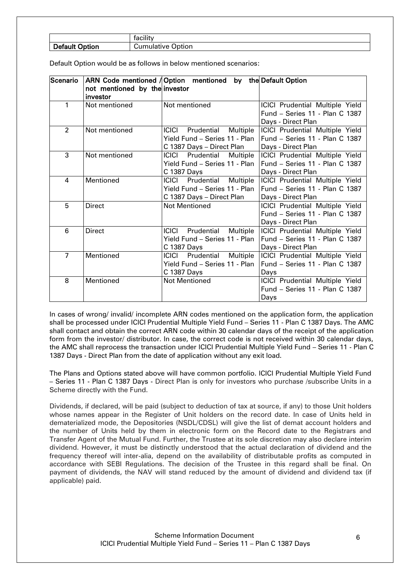| Defau<br>'ion | . .<br>Im1<br>.<br>ווסוזי "<br>w |
|---------------|----------------------------------|

| <b>Scenario</b> |                               | ARN Code mentioned / Option mentioned<br>the Default Option<br>by |                                        |  |
|-----------------|-------------------------------|-------------------------------------------------------------------|----------------------------------------|--|
|                 | not mentioned by the investor |                                                                   |                                        |  |
|                 | investor                      |                                                                   |                                        |  |
| 1               | Not mentioned                 | Not mentioned                                                     | <b>ICICI Prudential Multiple Yield</b> |  |
|                 |                               |                                                                   | Fund - Series 11 - Plan C 1387         |  |
|                 |                               |                                                                   | Days - Direct Plan                     |  |
| $\overline{2}$  | Not mentioned                 | Prudential<br>ICICI<br>Multiple                                   | ICICI Prudential Multiple Yield        |  |
|                 |                               | Yield Fund – Series 11 - Plan                                     | Fund - Series 11 - Plan C 1387         |  |
|                 |                               | C 1387 Days - Direct Plan                                         | Days - Direct Plan                     |  |
| 3               | Not mentioned                 | <b>ICICI</b> Prudential Multiple                                  | ICICI Prudential Multiple Yield        |  |
|                 |                               | Yield Fund – Series 11 - Plan                                     | Fund - Series 11 - Plan C 1387         |  |
|                 |                               | C 1387 Days                                                       | Days - Direct Plan                     |  |
| 4               | Mentioned                     | Multiple<br><b>ICICI</b> Prudential                               | <b>ICICI Prudential Multiple Yield</b> |  |
|                 |                               | Yield Fund - Series 11 - Plan                                     | Fund - Series 11 - Plan C 1387         |  |
|                 |                               | C 1387 Days - Direct Plan                                         | Days - Direct Plan                     |  |
| 5               | <b>Direct</b>                 | <b>Not Mentioned</b>                                              | <b>ICICI Prudential Multiple Yield</b> |  |
|                 |                               |                                                                   | Fund - Series 11 - Plan C 1387         |  |
|                 |                               |                                                                   | Days - Direct Plan                     |  |
| 6               | <b>Direct</b>                 | Prudential<br>ICICI<br>Multiple                                   | <b>ICICI Prudential Multiple Yield</b> |  |
|                 |                               | Yield Fund - Series 11 - Plan                                     | Fund - Series 11 - Plan C 1387         |  |
|                 |                               | C 1387 Days                                                       | Days - Direct Plan                     |  |
| $\overline{7}$  | Mentioned                     | <b>ICICI</b> Prudential<br>Multiple                               | <b>ICICI Prudential Multiple Yield</b> |  |
|                 |                               | Yield Fund – Series 11 - Plan                                     | Fund - Series 11 - Plan C 1387         |  |
|                 |                               | C 1387 Days                                                       | Days                                   |  |
| 8               | Mentioned                     | <b>Not Mentioned</b>                                              | ICICI Prudential Multiple Yield        |  |
|                 |                               |                                                                   | Fund - Series 11 - Plan C 1387         |  |
|                 |                               |                                                                   | Days                                   |  |

In cases of wrong/ invalid/ incomplete ARN codes mentioned on the application form, the application shall be processed under ICICI Prudential Multiple Yield Fund – Series 11 - Plan C 1387 Days. The AMC shall contact and obtain the correct ARN code within 30 calendar days of the receipt of the application form from the investor/ distributor. In case, the correct code is not received within 30 calendar days, the AMC shall reprocess the transaction under ICICI Prudential Multiple Yield Fund – Series 11 - Plan C 1387 Days - Direct Plan from the date of application without any exit load.

The Plans and Options stated above will have common portfolio. ICICI Prudential Multiple Yield Fund – Series 11 - Plan C 1387 Days - Direct Plan is only for investors who purchase /subscribe Units in a Scheme directly with the Fund.

Dividends, if declared, will be paid (subject to deduction of tax at source, if any) to those Unit holders whose names appear in the Register of Unit holders on the record date. In case of Units held in dematerialized mode, the Depositories (NSDL/CDSL) will give the list of demat account holders and the number of Units held by them in electronic form on the Record date to the Registrars and Transfer Agent of the Mutual Fund. Further, the Trustee at its sole discretion may also declare interim dividend. However, it must be distinctly understood that the actual declaration of dividend and the frequency thereof will inter-alia, depend on the availability of distributable profits as computed in accordance with SEBI Regulations. The decision of the Trustee in this regard shall be final. On payment of dividends, the NAV will stand reduced by the amount of dividend and dividend tax (if applicable) paid.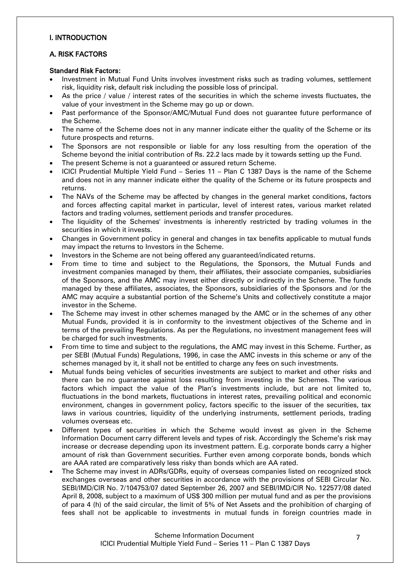### <span id="page-6-0"></span>I. INTRODUCTION

## <span id="page-6-1"></span>A. RISK FACTORS

#### Standard Risk Factors:

- Investment in Mutual Fund Units involves investment risks such as trading volumes, settlement risk, liquidity risk, default risk including the possible loss of principal.
- As the price / value / interest rates of the securities in which the scheme invests fluctuates, the value of your investment in the Scheme may go up or down.
- Past performance of the Sponsor/AMC/Mutual Fund does not guarantee future performance of the Scheme.
- The name of the Scheme does not in any manner indicate either the quality of the Scheme or its future prospects and returns.
- The Sponsors are not responsible or liable for any loss resulting from the operation of the Scheme beyond the initial contribution of Rs. 22.2 lacs made by it towards setting up the Fund.
- The present Scheme is not a guaranteed or assured return Scheme.
- ICICI Prudential Multiple Yield Fund Series 11 Plan C 1387 Days is the name of the Scheme and does not in any manner indicate either the quality of the Scheme or its future prospects and returns.
- The NAVs of the Scheme may be affected by changes in the general market conditions, factors and forces affecting capital market in particular, level of interest rates, various market related factors and trading volumes, settlement periods and transfer procedures.
- The liquidity of the Schemes' investments is inherently restricted by trading volumes in the securities in which it invests.
- Changes in Government policy in general and changes in tax benefits applicable to mutual funds may impact the returns to Investors in the Scheme.
- Investors in the Scheme are not being offered any guaranteed/indicated returns.
- From time to time and subject to the Regulations, the Sponsors, the Mutual Funds and investment companies managed by them, their affiliates, their associate companies, subsidiaries of the Sponsors, and the AMC may invest either directly or indirectly in the Scheme. The funds managed by these affiliates, associates, the Sponsors, subsidiaries of the Sponsors and /or the AMC may acquire a substantial portion of the Scheme"s Units and collectively constitute a major investor in the Scheme.
- The Scheme may invest in other schemes managed by the AMC or in the schemes of any other Mutual Funds, provided it is in conformity to the investment objectives of the Scheme and in terms of the prevailing Regulations. As per the Regulations, no investment management fees will be charged for such investments.
- From time to time and subject to the regulations, the AMC may invest in this Scheme. Further, as per SEBI (Mutual Funds) Regulations, 1996, in case the AMC invests in this scheme or any of the schemes managed by it, it shall not be entitled to charge any fees on such investments.
- Mutual funds being vehicles of securities investments are subject to market and other risks and there can be no guarantee against loss resulting from investing in the Schemes. The various factors which impact the value of the Plan"s investments include, but are not limited to, fluctuations in the bond markets, fluctuations in interest rates, prevailing political and economic environment, changes in government policy, factors specific to the issuer of the securities, tax laws in various countries, liquidity of the underlying instruments, settlement periods, trading volumes overseas etc.
- Different types of securities in which the Scheme would invest as given in the Scheme Information Document carry different levels and types of risk. Accordingly the Scheme"s risk may increase or decrease depending upon its investment pattern. E.g. corporate bonds carry a higher amount of risk than Government securities. Further even among corporate bonds, bonds which are AAA rated are comparatively less risky than bonds which are AA rated.
- The Scheme may invest in ADRs/GDRs, equity of overseas companies listed on recognized stock exchanges overseas and other securities in accordance with the provisions of SEBI Circular No. SEBI/IMD/CIR No. 7/104753/07 dated September 26, 2007 and SEBI/IMD/CIR No. 122577/08 dated April 8, 2008, subject to a maximum of US\$ 300 million per mutual fund and as per the provisions of para 4 (h) of the said circular, the limit of 5% of Net Assets and the prohibition of charging of fees shall not be applicable to investments in mutual funds in foreign countries made in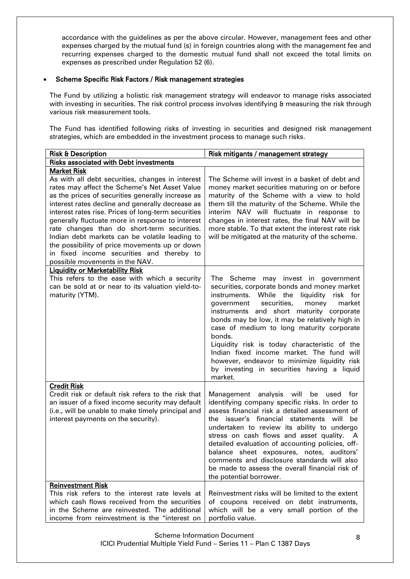accordance with the guidelines as per the above circular. However, management fees and other expenses charged by the mutual fund (s) in foreign countries along with the management fee and recurring expenses charged to the domestic mutual fund shall not exceed the total limits on expenses as prescribed under Regulation 52 (6).

### Scheme Specific Risk Factors / Risk management strategies

The Fund by utilizing a holistic risk management strategy will endeavor to manage risks associated with investing in securities. The risk control process involves identifying & measuring the risk through various risk measurement tools.

The Fund has identified following risks of investing in securities and designed risk management strategies, which are embedded in the investment process to manage such risks.

| <b>Risk &amp; Description</b>                                                                                                                                                                                                                                                                                                                                                                                                                                                                                                                                                | Risk mitigants / management strategy                                                                                                                                                                                                                                                                                                                                                                                                                                                                                                            |
|------------------------------------------------------------------------------------------------------------------------------------------------------------------------------------------------------------------------------------------------------------------------------------------------------------------------------------------------------------------------------------------------------------------------------------------------------------------------------------------------------------------------------------------------------------------------------|-------------------------------------------------------------------------------------------------------------------------------------------------------------------------------------------------------------------------------------------------------------------------------------------------------------------------------------------------------------------------------------------------------------------------------------------------------------------------------------------------------------------------------------------------|
| <b>Risks associated with Debt investments</b>                                                                                                                                                                                                                                                                                                                                                                                                                                                                                                                                |                                                                                                                                                                                                                                                                                                                                                                                                                                                                                                                                                 |
| <b>Market Risk</b><br>As with all debt securities, changes in interest<br>rates may affect the Scheme's Net Asset Value<br>as the prices of securities generally increase as<br>interest rates decline and generally decrease as<br>interest rates rise. Prices of long-term securities<br>generally fluctuate more in response to interest<br>rate changes than do short-term securities.<br>Indian debt markets can be volatile leading to<br>the possibility of price movements up or down<br>in fixed income securities and thereby to<br>possible movements in the NAV. | The Scheme will invest in a basket of debt and<br>money market securities maturing on or before<br>maturity of the Scheme with a view to hold<br>them till the maturity of the Scheme. While the<br>interim NAV will fluctuate in response to<br>changes in interest rates, the final NAV will be<br>more stable. To that extent the interest rate risk<br>will be mitigated at the maturity of the scheme.                                                                                                                                     |
| <b>Liquidity or Marketability Risk</b><br>This refers to the ease with which a security<br>can be sold at or near to its valuation yield-to-<br>maturity (YTM).                                                                                                                                                                                                                                                                                                                                                                                                              | The Scheme may invest in government<br>securities, corporate bonds and money market<br>instruments. While the<br>liquidity risk for<br>securities,<br>money<br>government<br>market<br>instruments and short maturity corporate<br>bonds may be low, it may be relatively high in<br>case of medium to long maturity corporate<br>bonds.<br>Liquidity risk is today characteristic of the<br>Indian fixed income market. The fund will<br>however, endeavor to minimize liquidity risk<br>by investing in securities having a liquid<br>market. |
| <b>Credit Risk</b><br>Credit risk or default risk refers to the risk that<br>an issuer of a fixed income security may default<br>(i.e., will be unable to make timely principal and<br>interest payments on the security).                                                                                                                                                                                                                                                                                                                                                   | Management analysis will be<br>used for<br>identifying company specific risks. In order to<br>assess financial risk a detailed assessment of<br>the issuer's financial statements will be<br>undertaken to review its ability to undergo<br>stress on cash flows and asset quality. A<br>detailed evaluation of accounting policies, off-<br>balance sheet exposures, notes, auditors'<br>comments and disclosure standards will also<br>be made to assess the overall financial risk of<br>the potential borrower.                             |
| <b>Reinvestment Risk</b><br>This risk refers to the interest rate levels at<br>which cash flows received from the securities<br>in the Scheme are reinvested. The additional<br>income from reinvestment is the "interest on                                                                                                                                                                                                                                                                                                                                                 | Reinvestment risks will be limited to the extent<br>of coupons received on debt instruments,<br>which will be a very small portion of the<br>portfolio value.                                                                                                                                                                                                                                                                                                                                                                                   |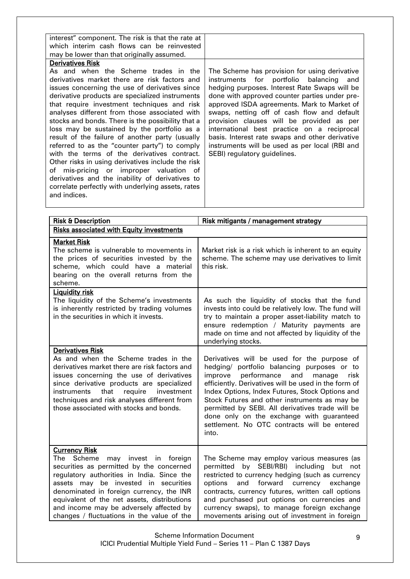| interest" component. The risk is that the rate at                                                                                                                                                                                                                                                                                                                                                                                                                                                                                                                                                                                                                                                                                                                         |                                                                                                                                                                                                                                                                                                                                                                                                                                                                                                                              |
|---------------------------------------------------------------------------------------------------------------------------------------------------------------------------------------------------------------------------------------------------------------------------------------------------------------------------------------------------------------------------------------------------------------------------------------------------------------------------------------------------------------------------------------------------------------------------------------------------------------------------------------------------------------------------------------------------------------------------------------------------------------------------|------------------------------------------------------------------------------------------------------------------------------------------------------------------------------------------------------------------------------------------------------------------------------------------------------------------------------------------------------------------------------------------------------------------------------------------------------------------------------------------------------------------------------|
| which interim cash flows can be reinvested                                                                                                                                                                                                                                                                                                                                                                                                                                                                                                                                                                                                                                                                                                                                |                                                                                                                                                                                                                                                                                                                                                                                                                                                                                                                              |
| may be lower than that originally assumed.                                                                                                                                                                                                                                                                                                                                                                                                                                                                                                                                                                                                                                                                                                                                |                                                                                                                                                                                                                                                                                                                                                                                                                                                                                                                              |
| <b>Derivatives Risk</b>                                                                                                                                                                                                                                                                                                                                                                                                                                                                                                                                                                                                                                                                                                                                                   |                                                                                                                                                                                                                                                                                                                                                                                                                                                                                                                              |
| As and when the Scheme trades in the<br>derivatives market there are risk factors and<br>issues concerning the use of derivatives since<br>derivative products are specialized instruments<br>that require investment techniques and risk<br>analyses different from those associated with<br>stocks and bonds. There is the possibility that a<br>loss may be sustained by the portfolio as a<br>result of the failure of another party (usually<br>referred to as the "counter party") to comply<br>with the terms of the derivatives contract.<br>Other risks in using derivatives include the risk<br>of mis-pricing or improper valuation of<br>derivatives and the inability of derivatives to<br>correlate perfectly with underlying assets, rates<br>and indices. | The Scheme has provision for using derivative<br>instruments for portfolio balancing<br>and<br>hedging purposes. Interest Rate Swaps will be<br>done with approved counter parties under pre-<br>approved ISDA agreements. Mark to Market of<br>swaps, netting off of cash flow and default<br>provision clauses will be provided as per<br>international best practice on a reciprocal<br>basis. Interest rate swaps and other derivative<br>instruments will be used as per local (RBI and<br>SEBI) regulatory guidelines. |
|                                                                                                                                                                                                                                                                                                                                                                                                                                                                                                                                                                                                                                                                                                                                                                           |                                                                                                                                                                                                                                                                                                                                                                                                                                                                                                                              |

| <b>Risk &amp; Description</b>                                                                                                                                                                                                                                                                                                                                                        | Risk mitigants / management strategy                                                                                                                                                                                                                                                                                                                                                                                                                                |
|--------------------------------------------------------------------------------------------------------------------------------------------------------------------------------------------------------------------------------------------------------------------------------------------------------------------------------------------------------------------------------------|---------------------------------------------------------------------------------------------------------------------------------------------------------------------------------------------------------------------------------------------------------------------------------------------------------------------------------------------------------------------------------------------------------------------------------------------------------------------|
| <b>Risks associated with Equity investments</b>                                                                                                                                                                                                                                                                                                                                      |                                                                                                                                                                                                                                                                                                                                                                                                                                                                     |
| <b>Market Risk</b><br>The scheme is vulnerable to movements in<br>the prices of securities invested by the<br>scheme, which could have a material<br>bearing on the overall returns from the<br>scheme.                                                                                                                                                                              | Market risk is a risk which is inherent to an equity<br>scheme. The scheme may use derivatives to limit<br>this risk.                                                                                                                                                                                                                                                                                                                                               |
| <b>Liquidity risk</b><br>The liquidity of the Scheme's investments<br>is inherently restricted by trading volumes<br>in the securities in which it invests.                                                                                                                                                                                                                          | As such the liquidity of stocks that the fund<br>invests into could be relatively low. The fund will<br>try to maintain a proper asset-liability match to<br>ensure redemption / Maturity payments are<br>made on time and not affected by liquidity of the<br>underlying stocks.                                                                                                                                                                                   |
| <b>Derivatives Risk</b><br>As and when the Scheme trades in the<br>derivatives market there are risk factors and<br>issues concerning the use of derivatives<br>since derivative products are specialized<br>instruments<br>that<br>require<br>investment<br>techniques and risk analyses different from<br>those associated with stocks and bonds.                                  | Derivatives will be used for the purpose of<br>hedging/ portfolio balancing purposes or to<br>performance<br>and<br>improve<br>risk<br>manage<br>efficiently. Derivatives will be used in the form of<br>Index Options, Index Futures, Stock Options and<br>Stock Futures and other instruments as may be<br>permitted by SEBI. All derivatives trade will be<br>done only on the exchange with guaranteed<br>settlement. No OTC contracts will be entered<br>into. |
| <b>Currency Risk</b><br>Scheme<br>The<br>may invest in foreign<br>securities as permitted by the concerned<br>regulatory authorities in India. Since the<br>assets may be invested in securities<br>denominated in foreign currency, the INR<br>equivalent of the net assets, distributions<br>and income may be adversely affected by<br>changes / fluctuations in the value of the | The Scheme may employ various measures (as<br>by SEBI/RBI) including<br>permitted<br>but not<br>restricted to currency hedging (such as currency<br>forward currency exchange<br>and<br>options<br>contracts, currency futures, written call options<br>and purchased put options on currencies and<br>currency swaps), to manage foreign exchange<br>movements arising out of investment in foreign                                                                |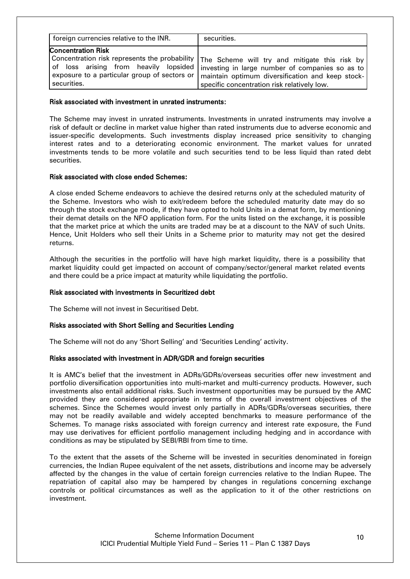| foreign currencies relative to the INR.      | securities.                                                                                                                     |
|----------------------------------------------|---------------------------------------------------------------------------------------------------------------------------------|
| <b>Concentration Risk</b>                    | Concentration risk represents the probability $\bm{\mathsf{I}}$ The Scheme will try and mitigate this risk by $\bm{\mathsf{I}}$ |
| of loss arising from heavily lopsided        | investing in large number of companies so as to                                                                                 |
| exposure to a particular group of sectors or | maintain optimum diversification and keep stock-                                                                                |
| securities.                                  | specific concentration risk relatively low.                                                                                     |

#### Risk associated with investment in unrated instruments:

The Scheme may invest in unrated instruments. Investments in unrated instruments may involve a risk of default or decline in market value higher than rated instruments due to adverse economic and issuer-specific developments. Such investments display increased price sensitivity to changing interest rates and to a deteriorating economic environment. The market values for unrated investments tends to be more volatile and such securities tend to be less liquid than rated debt securities.

### Risk associated with close ended Schemes:

A close ended Scheme endeavors to achieve the desired returns only at the scheduled maturity of the Scheme. Investors who wish to exit/redeem before the scheduled maturity date may do so through the stock exchange mode, if they have opted to hold Units in a demat form, by mentioning their demat details on the NFO application form. For the units listed on the exchange, it is possible that the market price at which the units are traded may be at a discount to the NAV of such Units. Hence, Unit Holders who sell their Units in a Scheme prior to maturity may not get the desired returns.

Although the securities in the portfolio will have high market liquidity, there is a possibility that market liquidity could get impacted on account of company/sector/general market related events and there could be a price impact at maturity while liquidating the portfolio.

#### Risk associated with investments in Securitized debt

The Scheme will not invest in Securitised Debt.

### Risks associated with Short Selling and Securities Lending

The Scheme will not do any 'Short Selling' and 'Securities Lending' activity.

### Risks associated with investment in ADR/GDR and foreign securities

It is AMC"s belief that the investment in ADRs/GDRs/overseas securities offer new investment and portfolio diversification opportunities into multi-market and multi-currency products. However, such investments also entail additional risks. Such investment opportunities may be pursued by the AMC provided they are considered appropriate in terms of the overall investment objectives of the schemes. Since the Schemes would invest only partially in ADRs/GDRs/overseas securities, there may not be readily available and widely accepted benchmarks to measure performance of the Schemes. To manage risks associated with foreign currency and interest rate exposure, the Fund may use derivatives for efficient portfolio management including hedging and in accordance with conditions as may be stipulated by SEBI/RBI from time to time.

To the extent that the assets of the Scheme will be invested in securities denominated in foreign currencies, the Indian Rupee equivalent of the net assets, distributions and income may be adversely affected by the changes in the value of certain foreign currencies relative to the Indian Rupee. The repatriation of capital also may be hampered by changes in regulations concerning exchange controls or political circumstances as well as the application to it of the other restrictions on investment.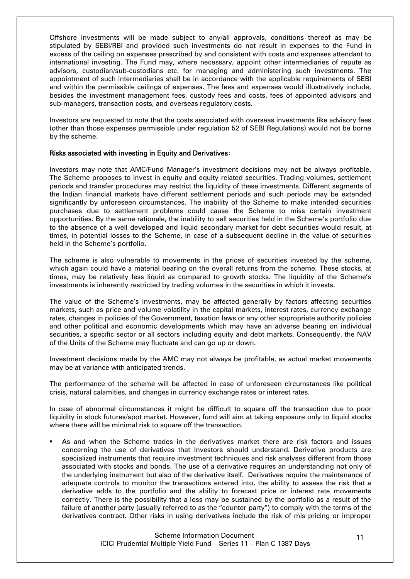Offshore investments will be made subject to any/all approvals, conditions thereof as may be stipulated by SEBI/RBI and provided such investments do not result in expenses to the Fund in excess of the ceiling on expenses prescribed by and consistent with costs and expenses attendant to international investing. The Fund may, where necessary, appoint other intermediaries of repute as advisors, custodian/sub-custodians etc. for managing and administering such investments. The appointment of such intermediaries shall be in accordance with the applicable requirements of SEBI and within the permissible ceilings of expenses. The fees and expenses would illustratively include, besides the investment management fees, custody fees and costs, fees of appointed advisors and sub-managers, transaction costs, and overseas regulatory costs.

Investors are requested to note that the costs associated with overseas investments like advisory fees (other than those expenses permissible under regulation 52 of SEBI Regulations) would not be borne by the scheme.

#### Risks associated with investing in Equity and Derivatives:

Investors may note that AMC/Fund Manager"s investment decisions may not be always profitable. The Scheme proposes to invest in equity and equity related securities. Trading volumes, settlement periods and transfer procedures may restrict the liquidity of these investments. Different segments of the Indian financial markets have different settlement periods and such periods may be extended significantly by unforeseen circumstances. The inability of the Scheme to make intended securities purchases due to settlement problems could cause the Scheme to miss certain investment opportunities. By the same rationale, the inability to sell securities held in the Scheme"s portfolio due to the absence of a well developed and liquid secondary market for debt securities would result, at times, in potential losses to the Scheme, in case of a subsequent decline in the value of securities held in the Scheme's portfolio.

The scheme is also vulnerable to movements in the prices of securities invested by the scheme, which again could have a material bearing on the overall returns from the scheme. These stocks, at times, may be relatively less liquid as compared to growth stocks. The liquidity of the Scheme"s investments is inherently restricted by trading volumes in the securities in which it invests.

The value of the Scheme"s investments, may be affected generally by factors affecting securities markets, such as price and volume volatility in the capital markets, interest rates, currency exchange rates, changes in policies of the Government, taxation laws or any other appropriate authority policies and other political and economic developments which may have an adverse bearing on individual securities, a specific sector or all sectors including equity and debt markets. Consequently, the NAV of the Units of the Scheme may fluctuate and can go up or down.

Investment decisions made by the AMC may not always be profitable, as actual market movements may be at variance with anticipated trends.

The performance of the scheme will be affected in case of unforeseen circumstances like political crisis, natural calamities, and changes in currency exchange rates or interest rates.

In case of abnormal circumstances it might be difficult to square off the transaction due to poor liquidity in stock futures/spot market. However, fund will aim at taking exposure only to liquid stocks where there will be minimal risk to square off the transaction.

 As and when the Scheme trades in the derivatives market there are risk factors and issues concerning the use of derivatives that Investors should understand. Derivative products are specialized instruments that require investment techniques and risk analyses different from those associated with stocks and bonds. The use of a derivative requires an understanding not only of the underlying instrument but also of the derivative itself. Derivatives require the maintenance of adequate controls to monitor the transactions entered into, the ability to assess the risk that a derivative adds to the portfolio and the ability to forecast price or interest rate movements correctly. There is the possibility that a loss may be sustained by the portfolio as a result of the failure of another party (usually referred to as the "counter party") to comply with the terms of the derivatives contract. Other risks in using derivatives include the risk of mis pricing or improper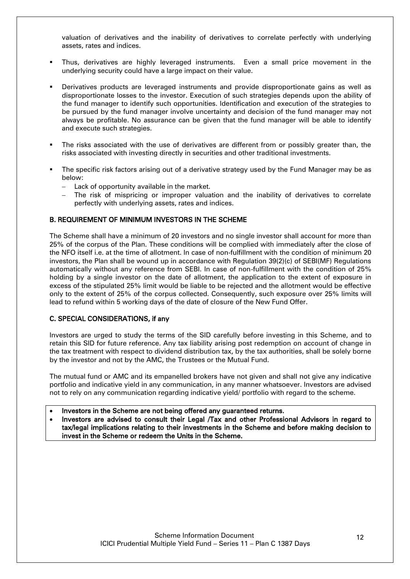valuation of derivatives and the inability of derivatives to correlate perfectly with underlying assets, rates and indices.

- Thus, derivatives are highly leveraged instruments. Even a small price movement in the underlying security could have a large impact on their value.
- Derivatives products are leveraged instruments and provide disproportionate gains as well as disproportionate losses to the investor. Execution of such strategies depends upon the ability of the fund manager to identify such opportunities. Identification and execution of the strategies to be pursued by the fund manager involve uncertainty and decision of the fund manager may not always be profitable. No assurance can be given that the fund manager will be able to identify and execute such strategies.
- The risks associated with the use of derivatives are different from or possibly greater than, the risks associated with investing directly in securities and other traditional investments.
- The specific risk factors arising out of a derivative strategy used by the Fund Manager may be as below:
	- Lack of opportunity available in the market.
	- The risk of mispricing or improper valuation and the inability of derivatives to correlate perfectly with underlying assets, rates and indices.

### <span id="page-11-0"></span>B. REQUIREMENT OF MINIMUM INVESTORS IN THE SCHEME

The Scheme shall have a minimum of 20 investors and no single investor shall account for more than 25% of the corpus of the Plan. These conditions will be complied with immediately after the close of the NFO itself i.e. at the time of allotment. In case of non-fulfillment with the condition of minimum 20 investors, the Plan shall be wound up in accordance with Regulation 39(2)(c) of SEBI(MF) Regulations automatically without any reference from SEBI. In case of non-fulfillment with the condition of 25% holding by a single investor on the date of allotment, the application to the extent of exposure in excess of the stipulated 25% limit would be liable to be rejected and the allotment would be effective only to the extent of 25% of the corpus collected. Consequently, such exposure over 25% limits will lead to refund within 5 working days of the date of closure of the New Fund Offer.

#### <span id="page-11-1"></span>C. SPECIAL CONSIDERATIONS, if any

Investors are urged to study the terms of the SID carefully before investing in this Scheme, and to retain this SID for future reference. Any tax liability arising post redemption on account of change in the tax treatment with respect to dividend distribution tax, by the tax authorities, shall be solely borne by the investor and not by the AMC, the Trustees or the Mutual Fund.

The mutual fund or AMC and its empanelled brokers have not given and shall not give any indicative portfolio and indicative yield in any communication, in any manner whatsoever. Investors are advised not to rely on any communication regarding indicative yield/ portfolio with regard to the scheme.

- Investors in the Scheme are not being offered any guaranteed returns.
- Investors are advised to consult their Legal /Tax and other Professional Advisors in regard to tax/legal implications relating to their investments in the Scheme and before making decision to invest in the Scheme or redeem the Units in the Scheme.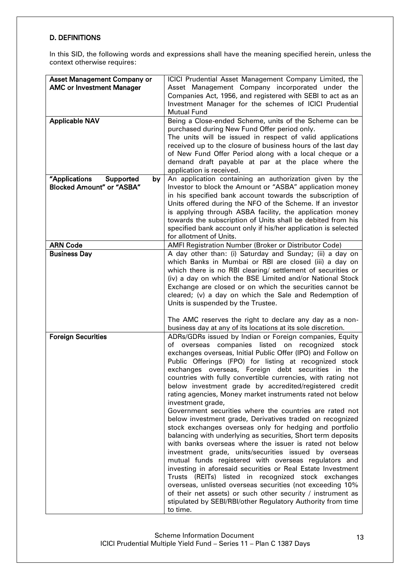## <span id="page-12-0"></span>D. DEFINITIONS

In this SID, the following words and expressions shall have the meaning specified herein, unless the context otherwise requires:

| <b>Asset Management Company or</b><br><b>AMC or Investment Manager</b><br><b>Applicable NAV</b> | ICICI Prudential Asset Management Company Limited, the<br>Asset Management Company incorporated under the<br>Companies Act, 1956, and registered with SEBI to act as an<br>Investment Manager for the schemes of ICICI Prudential<br><b>Mutual Fund</b><br>Being a Close-ended Scheme, units of the Scheme can be<br>purchased during New Fund Offer period only.<br>The units will be issued in respect of valid applications<br>received up to the closure of business hours of the last day<br>of New Fund Offer Period along with a local cheque or a                                                                                                                                                                                                                                                                                                                                                                                                                                                                                                                                                                                                                                                                                                                |
|-------------------------------------------------------------------------------------------------|--------------------------------------------------------------------------------------------------------------------------------------------------------------------------------------------------------------------------------------------------------------------------------------------------------------------------------------------------------------------------------------------------------------------------------------------------------------------------------------------------------------------------------------------------------------------------------------------------------------------------------------------------------------------------------------------------------------------------------------------------------------------------------------------------------------------------------------------------------------------------------------------------------------------------------------------------------------------------------------------------------------------------------------------------------------------------------------------------------------------------------------------------------------------------------------------------------------------------------------------------------------------------|
|                                                                                                 | demand draft payable at par at the place where the<br>application is received.                                                                                                                                                                                                                                                                                                                                                                                                                                                                                                                                                                                                                                                                                                                                                                                                                                                                                                                                                                                                                                                                                                                                                                                           |
| "Applications<br>Supported<br>by<br><b>Blocked Amount" or "ASBA"</b>                            | An application containing an authorization given by the<br>Investor to block the Amount or "ASBA" application money<br>in his specified bank account towards the subscription of<br>Units offered during the NFO of the Scheme. If an investor<br>is applying through ASBA facility, the application money<br>towards the subscription of Units shall be debited from his<br>specified bank account only if his/her application is selected<br>for allotment of Units.                                                                                                                                                                                                                                                                                                                                                                                                                                                                                                                                                                                                                                                                                                                                                                                                   |
| <b>ARN Code</b>                                                                                 | AMFI Registration Number (Broker or Distributor Code)                                                                                                                                                                                                                                                                                                                                                                                                                                                                                                                                                                                                                                                                                                                                                                                                                                                                                                                                                                                                                                                                                                                                                                                                                    |
| <b>Business Day</b>                                                                             | A day other than: (i) Saturday and Sunday; (ii) a day on<br>which Banks in Mumbai or RBI are closed (iii) a day on<br>which there is no RBI clearing/ settlement of securities or<br>(iv) a day on which the BSE Limited and/or National Stock<br>Exchange are closed or on which the securities cannot be<br>cleared; (v) a day on which the Sale and Redemption of<br>Units is suspended by the Trustee.<br>The AMC reserves the right to declare any day as a non-<br>business day at any of its locations at its sole discretion.                                                                                                                                                                                                                                                                                                                                                                                                                                                                                                                                                                                                                                                                                                                                    |
| <b>Foreign Securities</b>                                                                       | ADRs/GDRs issued by Indian or Foreign companies, Equity<br>of overseas companies listed on<br>recognized<br>stock<br>exchanges overseas, Initial Public Offer (IPO) and Follow on<br>Public Offerings (FPO) for listing at recognized stock<br>exchanges overseas, Foreign debt securities in the<br>countries with fully convertible currencies, with rating not<br>below investment grade by accredited/registered credit<br>rating agencies, Money market instruments rated not below<br>investment grade,<br>Government securities where the countries are rated not<br>below investment grade, Derivatives traded on recognized<br>stock exchanges overseas only for hedging and portfolio<br>balancing with underlying as securities, Short term deposits<br>with banks overseas where the issuer is rated not below<br>investment grade, units/securities issued by overseas<br>mutual funds registered with overseas regulators and<br>investing in aforesaid securities or Real Estate Investment<br>Trusts (REITs) listed in recognized stock exchanges<br>overseas, unlisted overseas securities (not exceeding 10%<br>of their net assets) or such other security / instrument as<br>stipulated by SEBI/RBI/other Regulatory Authority from time<br>to time. |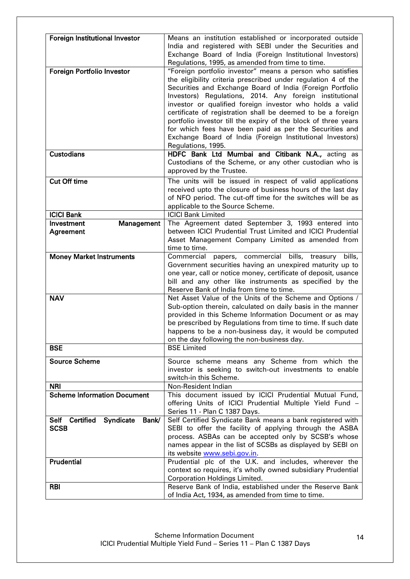| Foreign Institutional Investor                   | Means an institution established or incorporated outside<br>India and registered with SEBI under the Securities and    |
|--------------------------------------------------|------------------------------------------------------------------------------------------------------------------------|
|                                                  | Exchange Board of India (Foreign Institutional Investors)                                                              |
|                                                  | Regulations, 1995, as amended from time to time.                                                                       |
| Foreign Portfolio Investor                       | "Foreign portfolio investor" means a person who satisfies                                                              |
|                                                  | the eligibility criteria prescribed under regulation 4 of the                                                          |
|                                                  | Securities and Exchange Board of India (Foreign Portfolio                                                              |
|                                                  | Investors) Regulations, 2014. Any foreign institutional                                                                |
|                                                  | investor or qualified foreign investor who holds a valid                                                               |
|                                                  | certificate of registration shall be deemed to be a foreign                                                            |
|                                                  | portfolio investor till the expiry of the block of three years                                                         |
|                                                  | for which fees have been paid as per the Securities and<br>Exchange Board of India (Foreign Institutional Investors)   |
|                                                  | Regulations, 1995.                                                                                                     |
| <b>Custodians</b>                                | HDFC Bank Ltd Mumbai and Citibank N.A., acting as                                                                      |
|                                                  | Custodians of the Scheme, or any other custodian who is                                                                |
|                                                  | approved by the Trustee.                                                                                               |
| <b>Cut Off time</b>                              | The units will be issued in respect of valid applications                                                              |
|                                                  | received upto the closure of business hours of the last day                                                            |
|                                                  | of NFO period. The cut-off time for the switches will be as                                                            |
|                                                  | applicable to the Source Scheme.                                                                                       |
| <b>ICICI Bank</b>                                | <b>ICICI</b> Bank Limited                                                                                              |
| Investment<br>Management                         | The Agreement dated September 3, 1993 entered into                                                                     |
| Agreement                                        | between ICICI Prudential Trust Limited and ICICI Prudential<br>Asset Management Company Limited as amended from        |
|                                                  | time to time.                                                                                                          |
| <b>Money Market Instruments</b>                  | Commercial papers, commercial bills, treasury bills,                                                                   |
|                                                  | Government securities having an unexpired maturity up to                                                               |
|                                                  | one year, call or notice money, certificate of deposit, usance                                                         |
|                                                  | bill and any other like instruments as specified by the                                                                |
|                                                  | Reserve Bank of India from time to time.                                                                               |
| <b>NAV</b>                                       | Net Asset Value of the Units of the Scheme and Options /                                                               |
|                                                  | Sub-option therein, calculated on daily basis in the manner                                                            |
|                                                  | provided in this Scheme Information Document or as may<br>be prescribed by Regulations from time to time. If such date |
|                                                  | happens to be a non-business day, it would be computed                                                                 |
|                                                  | on the day following the non-business day.                                                                             |
| <b>BSE</b>                                       | <b>BSE Limited</b>                                                                                                     |
| <b>Source Scheme</b>                             | Source scheme means any Scheme from which the                                                                          |
|                                                  | investor is seeking to switch-out investments to enable                                                                |
|                                                  | switch-in this Scheme.                                                                                                 |
| <b>NRI</b>                                       | Non-Resident Indian                                                                                                    |
| <b>Scheme Information Document</b>               | This document issued by ICICI Prudential Mutual Fund,                                                                  |
|                                                  | offering Units of ICICI Prudential Multiple Yield Fund -                                                               |
|                                                  | Series 11 - Plan C 1387 Days.                                                                                          |
| Self Certified Syndicate<br>Bank/<br><b>SCSB</b> | Self Certified Syndicate Bank means a bank registered with<br>SEBI to offer the facility of applying through the ASBA  |
|                                                  | process. ASBAs can be accepted only by SCSB's whose                                                                    |
|                                                  | names appear in the list of SCSBs as displayed by SEBI on                                                              |
|                                                  | its website www.sebi.gov.in.                                                                                           |
| Prudential                                       | Prudential plc of the U.K. and includes, wherever the                                                                  |
|                                                  | context so requires, it's wholly owned subsidiary Prudential                                                           |
|                                                  | <b>Corporation Holdings Limited.</b>                                                                                   |
| <b>RBI</b>                                       | Reserve Bank of India, established under the Reserve Bank                                                              |
|                                                  | of India Act, 1934, as amended from time to time.                                                                      |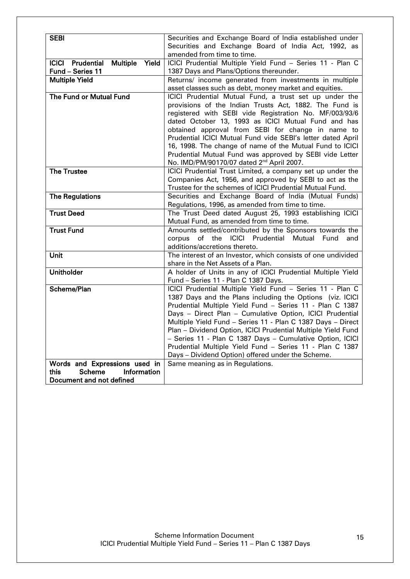| <b>SEBI</b>                                            | Securities and Exchange Board of India established under                             |
|--------------------------------------------------------|--------------------------------------------------------------------------------------|
|                                                        | Securities and Exchange Board of India Act, 1992, as                                 |
|                                                        | amended from time to time.                                                           |
| <b>ICICI</b><br>Prudential<br><b>Multiple</b><br>Yield | ICICI Prudential Multiple Yield Fund - Series 11 - Plan C                            |
| Fund - Series 11                                       | 1387 Days and Plans/Options thereunder.                                              |
| <b>Multiple Yield</b>                                  | Returns/ income generated from investments in multiple                               |
|                                                        | asset classes such as debt, money market and equities.                               |
| The Fund or Mutual Fund                                | ICICI Prudential Mutual Fund, a trust set up under the                               |
|                                                        | provisions of the Indian Trusts Act, 1882. The Fund is                               |
|                                                        | registered with SEBI vide Registration No. MF/003/93/6                               |
|                                                        | dated October 13, 1993 as ICICI Mutual Fund and has                                  |
|                                                        | obtained approval from SEBI for change in name to                                    |
|                                                        | Prudential ICICI Mutual Fund vide SEBI's letter dated April                          |
|                                                        | 16, 1998. The change of name of the Mutual Fund to ICICI                             |
|                                                        | Prudential Mutual Fund was approved by SEBI vide Letter                              |
|                                                        | No. IMD/PM/90170/07 dated 2 <sup>nd</sup> April 2007.                                |
| <b>The Trustee</b>                                     | ICICI Prudential Trust Limited, a company set up under the                           |
|                                                        | Companies Act, 1956, and approved by SEBI to act as the                              |
|                                                        | Trustee for the schemes of ICICI Prudential Mutual Fund.                             |
| <b>The Regulations</b>                                 | Securities and Exchange Board of India (Mutual Funds)                                |
|                                                        | Regulations, 1996, as amended from time to time.                                     |
| <b>Trust Deed</b>                                      | The Trust Deed dated August 25, 1993 establishing ICICI                              |
|                                                        | Mutual Fund, as amended from time to time.                                           |
| <b>Trust Fund</b>                                      | Amounts settled/contributed by the Sponsors towards the                              |
|                                                        | of the ICICI Prudential Mutual Fund<br>corpus<br>and                                 |
|                                                        | additions/accretions thereto.                                                        |
| <b>Unit</b>                                            | The interest of an Investor, which consists of one undivided                         |
|                                                        | share in the Net Assets of a Plan.                                                   |
| <b>Unitholder</b>                                      | A holder of Units in any of ICICI Prudential Multiple Yield                          |
|                                                        | Fund - Series 11 - Plan C 1387 Days.                                                 |
| Scheme/Plan                                            | ICICI Prudential Multiple Yield Fund - Series 11 - Plan C                            |
|                                                        | 1387 Days and the Plans including the Options (viz. ICICI                            |
|                                                        | Prudential Multiple Yield Fund - Series 11 - Plan C 1387                             |
|                                                        | Days - Direct Plan - Cumulative Option, ICICI Prudential                             |
|                                                        | Multiple Yield Fund - Series 11 - Plan C 1387 Days - Direct                          |
|                                                        | Plan - Dividend Option, ICICI Prudential Multiple Yield Fund                         |
|                                                        | - Series 11 - Plan C 1387 Days - Cumulative Option, ICICI                            |
|                                                        | Prudential Multiple Yield Fund - Series 11 - Plan C 1387                             |
| Words and Expressions used in                          | Days - Dividend Option) offered under the Scheme.<br>Same meaning as in Regulations. |
| Information<br>this<br><b>Scheme</b>                   |                                                                                      |
| Document and not defined                               |                                                                                      |
|                                                        |                                                                                      |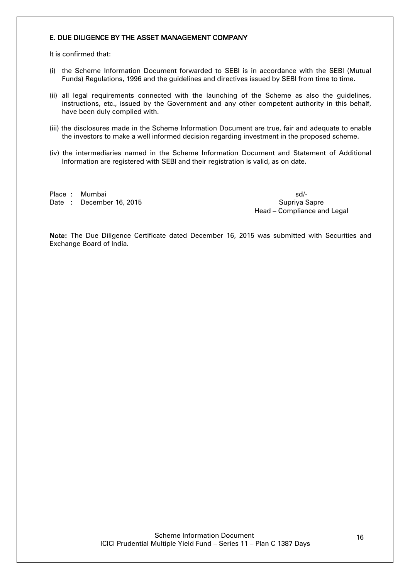### <span id="page-15-0"></span>E. DUE DILIGENCE BY THE ASSET MANAGEMENT COMPANY

It is confirmed that:

- (i) the Scheme Information Document forwarded to SEBI is in accordance with the SEBI (Mutual Funds) Regulations, 1996 and the guidelines and directives issued by SEBI from time to time.
- (ii) all legal requirements connected with the launching of the Scheme as also the guidelines, instructions, etc., issued by the Government and any other competent authority in this behalf, have been duly complied with.
- (iii) the disclosures made in the Scheme Information Document are true, fair and adequate to enable the investors to make a well informed decision regarding investment in the proposed scheme.
- (iv) the intermediaries named in the Scheme Information Document and Statement of Additional Information are registered with SEBI and their registration is valid, as on date.

Place : Mumbai sd/-Date : December 16, 2015 Suprime Suprime Supriva Sapre

Head – Compliance and Legal

Note: The Due Diligence Certificate dated December 16, 2015 was submitted with Securities and Exchange Board of India.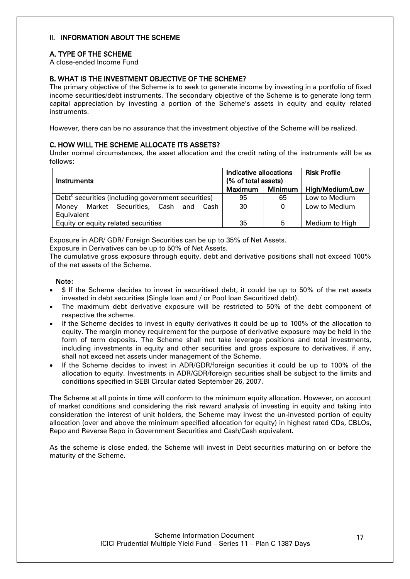### <span id="page-16-0"></span>II. INFORMATION ABOUT THE SCHEME

# <span id="page-16-1"></span>A. TYPE OF THE SCHEME

A close-ended Income Fund

# <span id="page-16-2"></span>B. WHAT IS THE INVESTMENT OBJECTIVE OF THE SCHEME?

The primary objective of the Scheme is to seek to generate income by investing in a portfolio of fixed income securities/debt instruments. The secondary objective of the Scheme is to generate long term capital appreciation by investing a portion of the Scheme"s assets in equity and equity related instruments.

However, there can be no assurance that the investment objective of the Scheme will be realized.

### <span id="page-16-3"></span>C. HOW WILL THE SCHEME ALLOCATE ITS ASSETS?

Under normal circumstances, the asset allocation and the credit rating of the instruments will be as follows:

| Instruments                                                     | Indicative allocations<br>(% of total assets) |                | <b>Risk Profile</b> |
|-----------------------------------------------------------------|-----------------------------------------------|----------------|---------------------|
|                                                                 | <b>Maximum</b>                                | <b>Minimum</b> | High/Medium/Low     |
| Debt <sup>\$</sup> securities (including government securities) | 95                                            | 65             | Low to Medium       |
| Market Securities, Cash and<br>Money<br>Cash                    | 30                                            | $\Omega$       | Low to Medium       |
| Equivalent                                                      |                                               |                |                     |
| Equity or equity related securities                             | 35                                            | 5              | Medium to High      |

Exposure in ADR/ GDR/ Foreign Securities can be up to 35% of Net Assets.

Exposure in Derivatives can be up to 50% of Net Assets.

The cumulative gross exposure through equity, debt and derivative positions shall not exceed 100% of the net assets of the Scheme.

### Note:

- \$ If the Scheme decides to invest in securitised debt, it could be up to 50% of the net assets invested in debt securities (Single loan and / or Pool loan Securitized debt).
- The maximum debt derivative exposure will be restricted to 50% of the debt component of respective the scheme.
- If the Scheme decides to invest in equity derivatives it could be up to 100% of the allocation to equity. The margin money requirement for the purpose of derivative exposure may be held in the form of term deposits. The Scheme shall not take leverage positions and total investments, including investments in equity and other securities and gross exposure to derivatives, if any, shall not exceed net assets under management of the Scheme.
- If the Scheme decides to invest in ADR/GDR/foreign securities it could be up to 100% of the allocation to equity. Investments in ADR/GDR/foreign securities shall be subject to the limits and conditions specified in SEBI Circular dated September 26, 2007.

The Scheme at all points in time will conform to the minimum equity allocation. However, on account of market conditions and considering the risk reward analysis of investing in equity and taking into consideration the interest of unit holders, the Scheme may invest the un-invested portion of equity allocation (over and above the minimum specified allocation for equity) in highest rated CDs, CBLOs, Repo and Reverse Repo in Government Securities and Cash/Cash equivalent.

As the scheme is close ended, the Scheme will invest in Debt securities maturing on or before the maturity of the Scheme.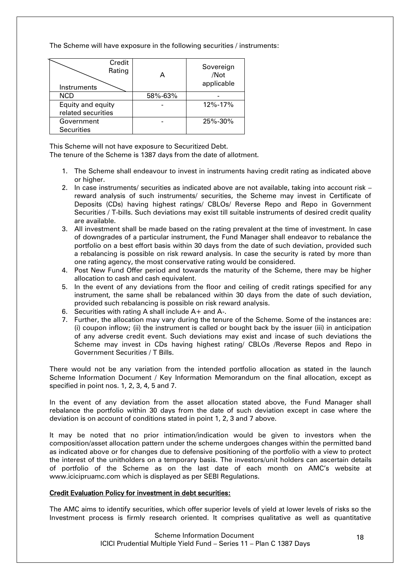The Scheme will have exposure in the following securities / instruments:

| Credit<br>Rating<br>Instruments |         | Sovereign<br>/Not<br>applicable |
|---------------------------------|---------|---------------------------------|
| <b>NCD</b>                      | 58%-63% |                                 |
| Equity and equity               |         | 12%-17%                         |
| related securities              |         |                                 |
| Government                      |         | 25%-30%                         |
| <b>Securities</b>               |         |                                 |

This Scheme will not have exposure to Securitized Debt.

The tenure of the Scheme is 1387 days from the date of allotment.

- 1. The Scheme shall endeavour to invest in instruments having credit rating as indicated above or higher.
- 2. In case instruments/ securities as indicated above are not available, taking into account risk reward analysis of such instruments/ securities, the Scheme may invest in Certificate of Deposits (CDs) having highest ratings/ CBLOs/ Reverse Repo and Repo in Government Securities / T-bills. Such deviations may exist till suitable instruments of desired credit quality are available.
- 3. All investment shall be made based on the rating prevalent at the time of investment. In case of downgrades of a particular instrument, the Fund Manager shall endeavor to rebalance the portfolio on a best effort basis within 30 days from the date of such deviation, provided such a rebalancing is possible on risk reward analysis. In case the security is rated by more than one rating agency, the most conservative rating would be considered.
- 4. Post New Fund Offer period and towards the maturity of the Scheme, there may be higher allocation to cash and cash equivalent.
- 5. In the event of any deviations from the floor and ceiling of credit ratings specified for any instrument, the same shall be rebalanced within 30 days from the date of such deviation, provided such rebalancing is possible on risk reward analysis.
- 6. Securities with rating A shall include A+ and A-.
- 7. Further, the allocation may vary during the tenure of the Scheme. Some of the instances are: (i) coupon inflow; (ii) the instrument is called or bought back by the issuer (iii) in anticipation of any adverse credit event. Such deviations may exist and incase of such deviations the Scheme may invest in CDs having highest rating/ CBLOs /Reverse Repos and Repo in Government Securities / T Bills.

There would not be any variation from the intended portfolio allocation as stated in the launch Scheme Information Document / Key Information Memorandum on the final allocation, except as specified in point nos. 1, 2, 3, 4, 5 and 7.

In the event of any deviation from the asset allocation stated above, the Fund Manager shall rebalance the portfolio within 30 days from the date of such deviation except in case where the deviation is on account of conditions stated in point 1, 2, 3 and 7 above.

It may be noted that no prior intimation/indication would be given to investors when the composition/asset allocation pattern under the scheme undergoes changes within the permitted band as indicated above or for changes due to defensive positioning of the portfolio with a view to protect the interest of the unitholders on a temporary basis. The investors/unit holders can ascertain details of portfolio of the Scheme as on the last date of each month on AMC"s website at [www.icicipruamc.com](http://www.pruicici.com/) which is displayed as per SEBI Regulations.

# Credit Evaluation Policy for investment in debt securities:

The AMC aims to identify securities, which offer superior levels of yield at lower levels of risks so the Investment process is firmly research oriented. It comprises qualitative as well as quantitative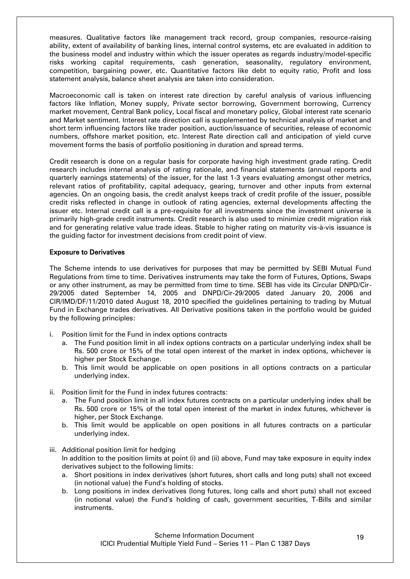measures. Qualitative factors like management track record, group companies, resource-raising ability, extent of availability of banking lines, internal control systems, etc are evaluated in addition to the business model and industry within which the issuer operates as regards industry/model-specific risks working capital requirements, cash generation, seasonality, regulatory environment, competition, bargaining power, etc. Quantitative factors like debt to equity ratio, Profit and loss statement analysis, balance sheet analysis are taken into consideration.

Macroeconomic call is taken on interest rate direction by careful analysis of various influencing factors like Inflation, Money supply, Private sector borrowing, Government borrowing, Currency market movement, Central Bank policy, Local fiscal and monetary policy, Global interest rate scenario and Market sentiment. Interest rate direction call is supplemented by technical analysis of market and short term influencing factors like trader position, auction/issuance of securities, release of economic numbers, offshore market position, etc. Interest Rate direction call and anticipation of yield curve movement forms the basis of portfolio positioning in duration and spread terms.

Credit research is done on a regular basis for corporate having high investment grade rating. Credit research includes internal analysis of rating rationale, and financial statements (annual reports and quarterly earnings statements) of the issuer, for the last 1-3 years evaluating amongst other metrics, relevant ratios of profitability, capital adequacy, gearing, turnover and other inputs from external agencies. On an ongoing basis, the credit analyst keeps track of credit profile of the issuer, possible credit risks reflected in change in outlook of rating agencies, external developments affecting the issuer etc. Internal credit call is a pre-requisite for all investments since the investment universe is primarily high-grade credit instruments. Credit research is also used to minimize credit migration risk and for generating relative value trade ideas. Stable to higher rating on maturity vis-à-vis issuance is the guiding factor for investment decisions from credit point of view.

### Exposure to Derivatives

The Scheme intends to use derivatives for purposes that may be permitted by SEBI Mutual Fund Regulations from time to time. Derivatives instruments may take the form of Futures, Options, Swaps or any other instrument, as may be permitted from time to time. SEBI has vide its Circular DNPD/Cir-29/2005 dated September 14, 2005 and DNPD/Cir-29/2005 dated January 20, 2006 and CIR/IMD/DF/11/2010 dated August 18, 2010 specified the guidelines pertaining to trading by Mutual Fund in Exchange trades derivatives. All Derivative positions taken in the portfolio would be guided by the following principles:

- i. Position limit for the Fund in index options contracts
	- a. The Fund position limit in all index options contracts on a particular underlying index shall be Rs. 500 crore or 15% of the total open interest of the market in index options, whichever is higher per Stock Exchange.
	- b. This limit would be applicable on open positions in all options contracts on a particular underlying index.
- ii. Position limit for the Fund in index futures contracts:
	- a. The Fund position limit in all index futures contracts on a particular underlying index shall be Rs. 500 crore or 15% of the total open interest of the market in index futures, whichever is higher, per Stock Exchange.
	- b. This limit would be applicable on open positions in all futures contracts on a particular underlying index.

## iii. Additional position limit for hedging In addition to the position limits at point (i) and (ii) above, Fund may take exposure in equity index derivatives subject to the following limits:

- a. Short positions in index derivatives (short futures, short calls and long puts) shall not exceed (in notional value) the Fund"s holding of stocks.
- b. Long positions in index derivatives (long futures, long calls and short puts) shall not exceed (in notional value) the Fund"s holding of cash, government securities, T-Bills and similar instruments.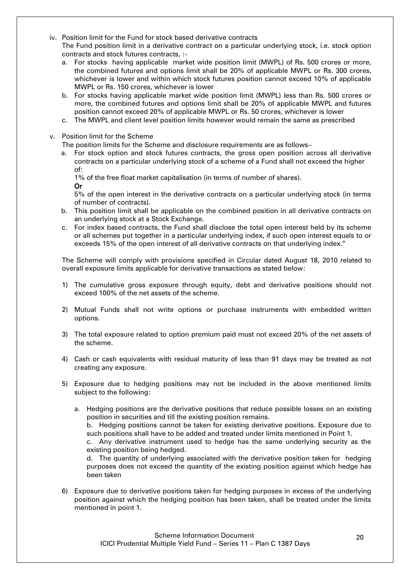- iv. Position limit for the Fund for stock based derivative contracts The Fund position limit in a derivative contract on a particular underlying stock, i.e. stock option contracts and stock futures contracts, :
	- a. For stocks having applicable market wide position limit (MWPL) of Rs. 500 crores or more, the combined futures and options limit shall be 20% of applicable MWPL or Rs. 300 crores, whichever is lower and within which stock futures position cannot exceed 10% of applicable MWPL or Rs. 150 crores, whichever is lower
	- b. For stocks having applicable market wide position limit (MWPL) less than Rs. 500 crores or more, the combined futures and options limit shall be 20% of applicable MWPL and futures position cannot exceed 20% of applicable MWPL or Rs. 50 crores, whichever is lower
	- c. The MWPL and client level position limits however would remain the same as prescribed
- v. Position limit for the Scheme

The position limits for the Scheme and disclosure requirements are as follows–

a. For stock option and stock futures contracts, the gross open position across all derivative contracts on a particular underlying stock of a scheme of a Fund shall not exceed the higher of:

1% of the free float market capitalisation (in terms of number of shares).

Or

5% of the open interest in the derivative contracts on a particular underlying stock (in terms of number of contracts).

- b. This position limit shall be applicable on the combined position in all derivative contracts on an underlying stock at a Stock Exchange.
- c. For index based contracts, the Fund shall disclose the total open interest held by its scheme or all schemes put together in a particular underlying index, if such open interest equals to or exceeds 15% of the open interest of all derivative contracts on that underlying index."

The Scheme will comply with provisions specified in Circular dated August 18, 2010 related to overall exposure limits applicable for derivative transactions as stated below:

- 1) The cumulative gross exposure through equity, debt and derivative positions should not exceed 100% of the net assets of the scheme.
- 2) Mutual Funds shall not write options or purchase instruments with embedded written options.
- 3) The total exposure related to option premium paid must not exceed 20% of the net assets of the scheme.
- 4) Cash or cash equivalents with residual maturity of less than 91 days may be treated as not creating any exposure.
- 5) Exposure due to hedging positions may not be included in the above mentioned limits subject to the following:
	- a. Hedging positions are the derivative positions that reduce possible losses on an existing position in securities and till the existing position remains. b. Hedging positions cannot be taken for existing derivative positions. Exposure due to such positions shall have to be added and treated under limits mentioned in Point 1. c. Any derivative instrument used to hedge has the same underlying security as the existing position being hedged.

d. The quantity of underlying associated with the derivative position taken for hedging purposes does not exceed the quantity of the existing position against which hedge has been taken

6) Exposure due to derivative positions taken for hedging purposes in excess of the underlying position against which the hedging position has been taken, shall be treated under the limits mentioned in point 1.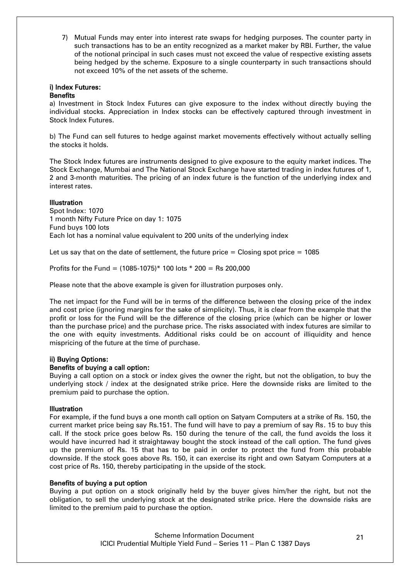7) Mutual Funds may enter into interest rate swaps for hedging purposes. The counter party in such transactions has to be an entity recognized as a market maker by RBI. Further, the value of the notional principal in such cases must not exceed the value of respective existing assets being hedged by the scheme. Exposure to a single counterparty in such transactions should not exceed 10% of the net assets of the scheme.

# i) Index Futures:

### **Benefits**

a) Investment in Stock Index Futures can give exposure to the index without directly buying the individual stocks. Appreciation in Index stocks can be effectively captured through investment in Stock Index Futures.

b) The Fund can sell futures to hedge against market movements effectively without actually selling the stocks it holds.

The Stock Index futures are instruments designed to give exposure to the equity market indices. The Stock Exchange, Mumbai and The National Stock Exchange have started trading in index futures of 1, 2 and 3-month maturities. The pricing of an index future is the function of the underlying index and interest rates.

### **Illustration**

Spot Index: 1070 1 month Nifty Future Price on day 1: 1075 Fund buys 100 lots Each lot has a nominal value equivalent to 200 units of the underlying index

Let us say that on the date of settlement, the future price  $=$  Closing spot price  $=$  1085

Profits for the Fund =  $(1085-1075)$ <sup>\*</sup> 100 lots <sup>\*</sup> 200 = Rs 200,000

Please note that the above example is given for illustration purposes only.

The net impact for the Fund will be in terms of the difference between the closing price of the index and cost price (ignoring margins for the sake of simplicity). Thus, it is clear from the example that the profit or loss for the Fund will be the difference of the closing price (which can be higher or lower than the purchase price) and the purchase price. The risks associated with index futures are similar to the one with equity investments. Additional risks could be on account of illiquidity and hence mispricing of the future at the time of purchase.

### ii) Buying Options:

### Benefits of buying a call option:

Buying a call option on a stock or index gives the owner the right, but not the obligation, to buy the underlying stock / index at the designated strike price. Here the downside risks are limited to the premium paid to purchase the option.

### **Illustration**

For example, if the fund buys a one month call option on Satyam Computers at a strike of Rs. 150, the current market price being say Rs.151. The fund will have to pay a premium of say Rs. 15 to buy this call. If the stock price goes below Rs. 150 during the tenure of the call, the fund avoids the loss it would have incurred had it straightaway bought the stock instead of the call option. The fund gives up the premium of Rs. 15 that has to be paid in order to protect the fund from this probable downside. If the stock goes above Rs. 150, it can exercise its right and own Satyam Computers at a cost price of Rs. 150, thereby participating in the upside of the stock.

#### Benefits of buying a put option

Buying a put option on a stock originally held by the buyer gives him/her the right, but not the obligation, to sell the underlying stock at the designated strike price. Here the downside risks are limited to the premium paid to purchase the option.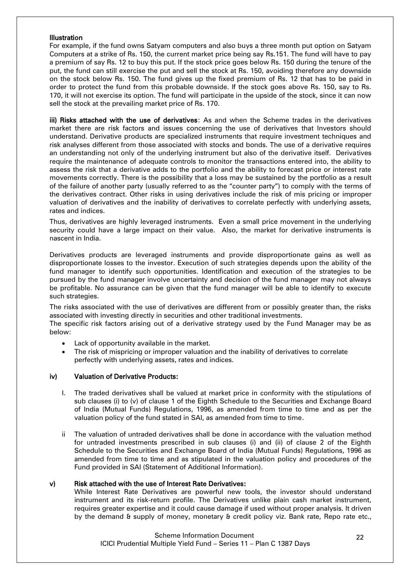#### Illustration

For example, if the fund owns Satyam computers and also buys a three month put option on Satyam Computers at a strike of Rs. 150, the current market price being say Rs.151. The fund will have to pay a premium of say Rs. 12 to buy this put. If the stock price goes below Rs. 150 during the tenure of the put, the fund can still exercise the put and sell the stock at Rs. 150, avoiding therefore any downside on the stock below Rs. 150. The fund gives up the fixed premium of Rs. 12 that has to be paid in order to protect the fund from this probable downside. If the stock goes above Rs. 150, say to Rs. 170, it will not exercise its option. The fund will participate in the upside of the stock, since it can now sell the stock at the prevailing market price of Rs. 170.

iii) Risks attached with the use of derivatives: As and when the Scheme trades in the derivatives market there are risk factors and issues concerning the use of derivatives that Investors should understand. Derivative products are specialized instruments that require investment techniques and risk analyses different from those associated with stocks and bonds. The use of a derivative requires an understanding not only of the underlying instrument but also of the derivative itself. Derivatives require the maintenance of adequate controls to monitor the transactions entered into, the ability to assess the risk that a derivative adds to the portfolio and the ability to forecast price or interest rate movements correctly. There is the possibility that a loss may be sustained by the portfolio as a result of the failure of another party (usually referred to as the "counter party") to comply with the terms of the derivatives contract. Other risks in using derivatives include the risk of mis pricing or improper valuation of derivatives and the inability of derivatives to correlate perfectly with underlying assets, rates and indices.

Thus, derivatives are highly leveraged instruments. Even a small price movement in the underlying security could have a large impact on their value. Also, the market for derivative instruments is nascent in India.

Derivatives products are leveraged instruments and provide disproportionate gains as well as disproportionate losses to the investor. Execution of such strategies depends upon the ability of the fund manager to identify such opportunities. Identification and execution of the strategies to be pursued by the fund manager involve uncertainty and decision of the fund manager may not always be profitable. No assurance can be given that the fund manager will be able to identify to execute such strategies.

The risks associated with the use of derivatives are different from or possibly greater than, the risks associated with investing directly in securities and other traditional investments.

The specific risk factors arising out of a derivative strategy used by the Fund Manager may be as below:

- Lack of opportunity available in the market.
- The risk of mispricing or improper valuation and the inability of derivatives to correlate perfectly with underlying assets, rates and indices.

### iv) Valuation of Derivative Products:

- I. The traded derivatives shall be valued at market price in conformity with the stipulations of sub clauses (i) to (v) of clause 1 of the Eighth Schedule to the Securities and Exchange Board of India (Mutual Funds) Regulations, 1996, as amended from time to time and as per the valuation policy of the fund stated in SAI, as amended from time to time.
- ii The valuation of untraded derivatives shall be done in accordance with the valuation method for untraded investments prescribed in sub clauses (i) and (ii) of clause 2 of the Eighth Schedule to the Securities and Exchange Board of India (Mutual Funds) Regulations, 1996 as amended from time to time and as stipulated in the valuation policy and procedures of the Fund provided in SAI (Statement of Additional Information).

#### v) Risk attached with the use of Interest Rate Derivatives:

While Interest Rate Derivatives are powerful new tools, the investor should understand instrument and its risk-return profile. The Derivatives unlike plain cash market instrument, requires greater expertise and it could cause damage if used without proper analysis. It driven by the demand & supply of money, monetary & credit policy viz. Bank rate, Repo rate etc.,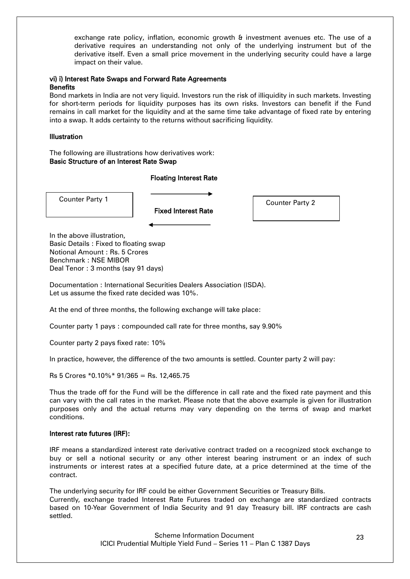exchange rate policy, inflation, economic growth & investment avenues etc. The use of a derivative requires an understanding not only of the underlying instrument but of the derivative itself. Even a small price movement in the underlying security could have a large impact on their value.

#### vi) i) Interest Rate Swaps and Forward Rate Agreements **Benefits**

Bond markets in India are not very liquid. Investors run the risk of illiquidity in such markets. Investing for short-term periods for liquidity purposes has its own risks. Investors can benefit if the Fund remains in call market for the liquidity and at the same time take advantage of fixed rate by entering into a swap. It adds certainty to the returns without sacrificing liquidity.

### **Illustration**

The following are illustrations how derivatives work: Basic Structure of an Interest Rate Swap

### Floating Interest Rate

Counter Party 1 and 2 Counter Party 2

Fixed Interest Rate

In the above illustration, Basic Details : Fixed to floating swap Notional Amount : Rs. 5 Crores Benchmark : NSE MIBOR Deal Tenor : 3 months (say 91 days)

Documentation : International Securities Dealers Association (ISDA). Let us assume the fixed rate decided was 10%.

At the end of three months, the following exchange will take place:

Counter party 1 pays : compounded call rate for three months, say 9.90%

Counter party 2 pays fixed rate: 10%

In practice, however, the difference of the two amounts is settled. Counter party 2 will pay:

 $Rs 5$  Crores  $*0.10\%*91/365 = Rs. 12,465.75$ 

Thus the trade off for the Fund will be the difference in call rate and the fixed rate payment and this can vary with the call rates in the market. Please note that the above example is given for illustration purposes only and the actual returns may vary depending on the terms of swap and market conditions.

### Interest rate futures (IRF):

IRF means a standardized interest rate derivative contract traded on a recognized stock exchange to buy or sell a notional security or any other interest bearing instrument or an index of such instruments or interest rates at a specified future date, at a price determined at the time of the contract.

The underlying security for IRF could be either Government Securities or Treasury Bills. Currently, exchange traded Interest Rate Futures traded on exchange are standardized contracts based on 10-Year Government of India Security and 91 day Treasury bill. IRF contracts are cash settled.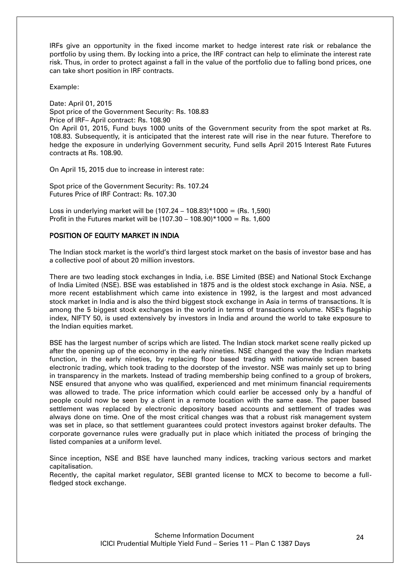IRFs give an opportunity in the fixed income market to hedge interest rate risk or rebalance the portfolio by using them. By locking into a price, the IRF contract can help to eliminate the interest rate risk. Thus, in order to protect against a fall in the value of the portfolio due to falling bond prices, one can take short position in IRF contracts.

Example:

Date: April 01, 2015 Spot price of the Government Security: Rs. 108.83 Price of IRF– April contract: Rs. 108.90 On April 01, 2015, Fund buys 1000 units of the Government security from the spot market at Rs. 108.83. Subsequently, it is anticipated that the interest rate will rise in the near future. Therefore to hedge the exposure in underlying Government security, Fund sells April 2015 Interest Rate Futures contracts at Rs. 108.90.

On April 15, 2015 due to increase in interest rate:

Spot price of the Government Security: Rs. 107.24 Futures Price of IRF Contract: Rs. 107.30

Loss in underlying market will be  $(107.24 - 108.83) * 1000 = (Rs. 1.590)$ Profit in the Futures market will be (107.30 – 108.90)\*1000 = Rs. 1,600

### POSITION OF EQUITY MARKET IN INDIA

The Indian stock market is the world"s third largest stock market on the basis of investor base and has a collective pool of about 20 million investors.

There are two leading stock exchanges in India, i.e. BSE Limited (BSE) and National Stock Exchange of India Limited (NSE). BSE was established in 1875 and is the oldest stock exchange in Asia. NSE, a more recent establishment which came into existence in 1992, is the largest and most advanced stock market in India and is also the third biggest stock exchange in Asia in terms of transactions. It is among the 5 biggest stock exchanges in the world in terms of transactions volume. NSE's flagship index, NIFTY 50, is used extensively by investors in India and around the world to take exposure to the Indian equities market.

BSE has the largest number of scrips which are listed. The Indian stock market scene really picked up after the opening up of the economy in the early nineties. NSE changed the way the Indian markets function, in the early nineties, by replacing floor based trading with nationwide screen based electronic trading, which took trading to the doorstep of the investor. NSE was mainly set up to bring in transparency in the markets. Instead of trading membership being confined to a group of brokers, NSE ensured that anyone who was qualified, experienced and met minimum financial requirements was allowed to trade. The price information which could earlier be accessed only by a handful of people could now be seen by a client in a remote location with the same ease. The paper based settlement was replaced by electronic depository based accounts and settlement of trades was always done on time. One of the most critical changes was that a robust risk management system was set in place, so that settlement guarantees could protect investors against broker defaults. The corporate governance rules were gradually put in place which initiated the process of bringing the listed companies at a uniform level.

Since inception, NSE and BSE have launched many indices, tracking various sectors and market capitalisation.

Recently, the capital market regulator, SEBI granted license to MCX to become to become a fullfledged stock exchange.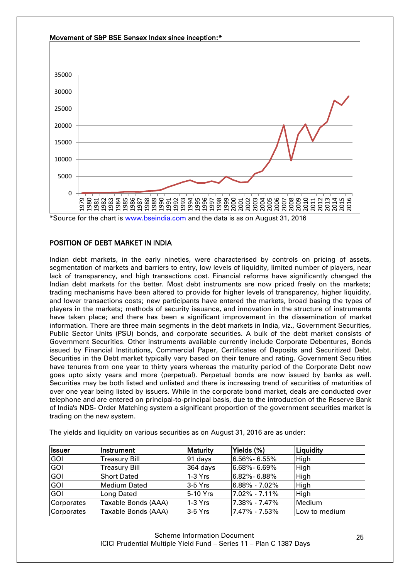

### POSITION OF DEBT MARKET IN INDIA

Indian debt markets, in the early nineties, were characterised by controls on pricing of assets, segmentation of markets and barriers to entry, low levels of liquidity, limited number of players, near lack of transparency, and high transactions cost. Financial reforms have significantly changed the Indian debt markets for the better. Most debt instruments are now priced freely on the markets; trading mechanisms have been altered to provide for higher levels of transparency, higher liquidity, and lower transactions costs; new participants have entered the markets, broad basing the types of players in the markets; methods of security issuance, and innovation in the structure of instruments have taken place; and there has been a significant improvement in the dissemination of market information. There are three main segments in the debt markets in India, viz., Government Securities, Public Sector Units (PSU) bonds, and corporate securities. A bulk of the debt market consists of Government Securities. Other instruments available currently include Corporate Debentures, Bonds issued by Financial Institutions, Commercial Paper, Certificates of Deposits and Securitized Debt. Securities in the Debt market typically vary based on their tenure and rating. Government Securities have tenures from one year to thirty years whereas the maturity period of the Corporate Debt now goes upto sixty years and more (perpetual). Perpetual bonds are now issued by banks as well. Securities may be both listed and unlisted and there is increasing trend of securities of maturities of over one year being listed by issuers. While in the corporate bond market, deals are conducted over telephone and are entered on principal-to-principal basis, due to the introduction of the Reserve Bank of India's NDS- Order Matching system a significant proportion of the government securities market is trading on the new system.

| <b>Issuer</b> | Instrument           | <b>Maturity</b> | Yields (%)        | Liquidity     |
|---------------|----------------------|-----------------|-------------------|---------------|
| <b>GOI</b>    | Treasury Bill        | 91 days         | l6.56%- 6.55%     | High          |
| GOI           | <b>Treasury Bill</b> | 364 days        | 6.68%- 6.69%      | High          |
| <b>GOI</b>    | <b>Short Dated</b>   | $1-3$ Yrs       | l6.82%- 6.88%     | High          |
| <b>GOI</b>    | Medium Dated         | $3-5$ Yrs       | 6.88% - 7.02%     | High          |
| <b>GOI</b>    | Long Dated           | 5-10 Yrs        | $7.02\% - 7.11\%$ | High          |
| Corporates    | Taxable Bonds (AAA)  | $1-3$ Yrs       | $7.38\% - 7.47\%$ | <b>Medium</b> |
| Corporates    | Taxable Bonds (AAA)  | 3-5 Yrs         | 7.47% - 7.53%     | Low to medium |

The yields and liquidity on various securities as on August 31, 2016 are as under: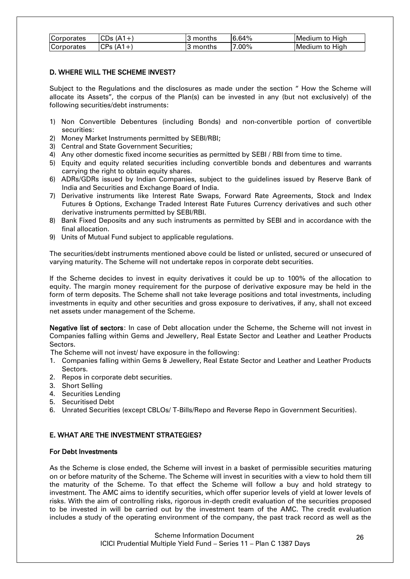| Corporates | $CDs(A1+)$  | I3 months | 16.64%   | Medium to High  |
|------------|-------------|-----------|----------|-----------------|
| Corporates | $ CPs(A1+)$ | ⊦3 months | $7.00\%$ | lMedium to Hiah |

### D. WHERE WILL THE SCHEME INVEST?

Subject to the Regulations and the disclosures as made under the section " How the Scheme will allocate its Assets", the corpus of the Plan(s) can be invested in any (but not exclusively) of the following securities/debt instruments:

- 1) Non Convertible Debentures (including Bonds) and non-convertible portion of convertible securities:
- 2) Money Market Instruments permitted by SEBI/RBI;
- 3) Central and State Government Securities;
- 4) Any other domestic fixed income securities as permitted by SEBI / RBI from time to time.
- 5) Equity and equity related securities including convertible bonds and debentures and warrants carrying the right to obtain equity shares.
- 6) ADRs/GDRs issued by Indian Companies, subject to the guidelines issued by Reserve Bank of India and Securities and Exchange Board of India.
- 7) Derivative instruments like Interest Rate Swaps, Forward Rate Agreements, Stock and Index Futures & Options, Exchange Traded Interest Rate Futures Currency derivatives and such other derivative instruments permitted by SEBI/RBI.
- 8) Bank Fixed Deposits and any such instruments as permitted by SEBI and in accordance with the final allocation.
- 9) Units of Mutual Fund subject to applicable regulations.

The securities/debt instruments mentioned above could be listed or unlisted, secured or unsecured of varying maturity. The Scheme will not undertake repos in corporate debt securities.

If the Scheme decides to invest in equity derivatives it could be up to 100% of the allocation to equity. The margin money requirement for the purpose of derivative exposure may be held in the form of term deposits. The Scheme shall not take leverage positions and total investments, including investments in equity and other securities and gross exposure to derivatives, if any, shall not exceed net assets under management of the Scheme.

Negative list of sectors: In case of Debt allocation under the Scheme, the Scheme will not invest in Companies falling within Gems and Jewellery, Real Estate Sector and Leather and Leather Products Sectors.

The Scheme will not invest/ have exposure in the following:

- 1. Companies falling within Gems & Jewellery, Real Estate Sector and Leather and Leather Products Sectors.
- 2. Repos in corporate debt securities.
- 3. Short Selling
- 4. Securities Lending
- 5. Securitised Debt
- 6. Unrated Securities (except CBLOs/ T-Bills/Repo and Reverse Repo in Government Securities).

# <span id="page-25-0"></span>E. WHAT ARE THE INVESTMENT STRATEGIES?

### For Debt Investments

As the Scheme is close ended, the Scheme will invest in a basket of permissible securities maturing on or before maturity of the Scheme. The Scheme will invest in securities with a view to hold them till the maturity of the Scheme. To that effect the Scheme will follow a buy and hold strategy to investment. The AMC aims to identify securities, which offer superior levels of yield at lower levels of risks. With the aim of controlling risks, rigorous in-depth credit evaluation of the securities proposed to be invested in will be carried out by the investment team of the AMC. The credit evaluation includes a study of the operating environment of the company, the past track record as well as the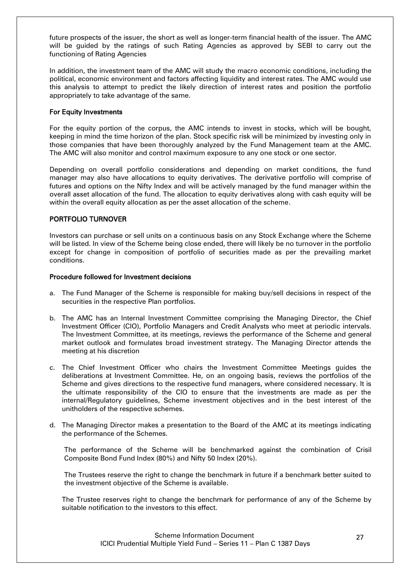future prospects of the issuer, the short as well as longer-term financial health of the issuer. The AMC will be guided by the ratings of such Rating Agencies as approved by SEBI to carry out the functioning of Rating Agencies

In addition, the investment team of the AMC will study the macro economic conditions, including the political, economic environment and factors affecting liquidity and interest rates. The AMC would use this analysis to attempt to predict the likely direction of interest rates and position the portfolio appropriately to take advantage of the same.

### For Equity Investments

For the equity portion of the corpus, the AMC intends to invest in stocks, which will be bought, keeping in mind the time horizon of the plan. Stock specific risk will be minimized by investing only in those companies that have been thoroughly analyzed by the Fund Management team at the AMC. The AMC will also monitor and control maximum exposure to any one stock or one sector.

Depending on overall portfolio considerations and depending on market conditions, the fund manager may also have allocations to equity derivatives. The derivative portfolio will comprise of futures and options on the Nifty Index and will be actively managed by the fund manager within the overall asset allocation of the fund. The allocation to equity derivatives along with cash equity will be within the overall equity allocation as per the asset allocation of the scheme.

### PORTFOLIO TURNOVER

Investors can purchase or sell units on a continuous basis on any Stock Exchange where the Scheme will be listed. In view of the Scheme being close ended, there will likely be no turnover in the portfolio except for change in composition of portfolio of securities made as per the prevailing market conditions.

#### Procedure followed for Investment decisions

- a. The Fund Manager of the Scheme is responsible for making buy/sell decisions in respect of the securities in the respective Plan portfolios.
- b. The AMC has an Internal Investment Committee comprising the Managing Director, the Chief Investment Officer (CIO), Portfolio Managers and Credit Analysts who meet at periodic intervals. The Investment Committee, at its meetings, reviews the performance of the Scheme and general market outlook and formulates broad investment strategy. The Managing Director attends the meeting at his discretion
- c. The Chief Investment Officer who chairs the Investment Committee Meetings guides the deliberations at Investment Committee. He, on an ongoing basis, reviews the portfolios of the Scheme and gives directions to the respective fund managers, where considered necessary. It is the ultimate responsibility of the CIO to ensure that the investments are made as per the internal/Regulatory guidelines, Scheme investment objectives and in the best interest of the unitholders of the respective schemes.
- d. The Managing Director makes a presentation to the Board of the AMC at its meetings indicating the performance of the Schemes.

The performance of the Scheme will be benchmarked against the combination of Crisil Composite Bond Fund Index (80%) and Nifty 50 Index (20%).

The Trustees reserve the right to change the benchmark in future if a benchmark better suited to the investment objective of the Scheme is available.

The Trustee reserves right to change the benchmark for performance of any of the Scheme by suitable notification to the investors to this effect.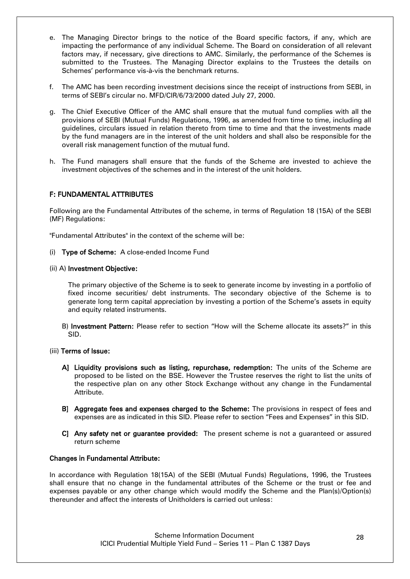- e. The Managing Director brings to the notice of the Board specific factors, if any, which are impacting the performance of any individual Scheme. The Board on consideration of all relevant factors may, if necessary, give directions to AMC. Similarly, the performance of the Schemes is submitted to the Trustees. The Managing Director explains to the Trustees the details on Schemes" performance vis-à-vis the benchmark returns.
- f. The AMC has been recording investment decisions since the receipt of instructions from SEBI, in terms of SEBI"s circular no. MFD/CIR/6/73/2000 dated July 27, 2000.
- g. The Chief Executive Officer of the AMC shall ensure that the mutual fund complies with all the provisions of SEBI (Mutual Funds) Regulations, 1996, as amended from time to time, including all guidelines, circulars issued in relation thereto from time to time and that the investments made by the fund managers are in the interest of the unit holders and shall also be responsible for the overall risk management function of the mutual fund.
- h. The Fund managers shall ensure that the funds of the Scheme are invested to achieve the investment objectives of the schemes and in the interest of the unit holders.

# <span id="page-27-0"></span>F: FUNDAMENTAL ATTRIBUTES

Following are the Fundamental Attributes of the scheme, in terms of Regulation 18 (15A) of the SEBI (MF) Regulations:

"Fundamental Attributes" in the context of the scheme will be:

(i) Type of Scheme: A close-ended Income Fund

#### (ii) A) Investment Objective:

The primary objective of the Scheme is to seek to generate income by investing in a portfolio of fixed income securities/ debt instruments. The secondary objective of the Scheme is to generate long term capital appreciation by investing a portion of the Scheme"s assets in equity and equity related instruments.

B) Investment Pattern: Please refer to section "How will the Scheme allocate its assets?" in this SID.

#### (iii) Terms of Issue:

- A] Liquidity provisions such as listing, repurchase, redemption: The units of the Scheme are proposed to be listed on the BSE. However the Trustee reserves the right to list the units of the respective plan on any other Stock Exchange without any change in the Fundamental Attribute.
- B] Aggregate fees and expenses charged to the Scheme: The provisions in respect of fees and expenses are as indicated in this SID. Please refer to section "Fees and Expenses" in this SID.
- C] Any safety net or guarantee provided: The present scheme is not a guaranteed or assured return scheme

#### Changes in Fundamental Attribute:

In accordance with Regulation 18(15A) of the SEBI (Mutual Funds) Regulations, 1996, the Trustees shall ensure that no change in the fundamental attributes of the Scheme or the trust or fee and expenses payable or any other change which would modify the Scheme and the Plan(s)/Option(s) thereunder and affect the interests of Unitholders is carried out unless: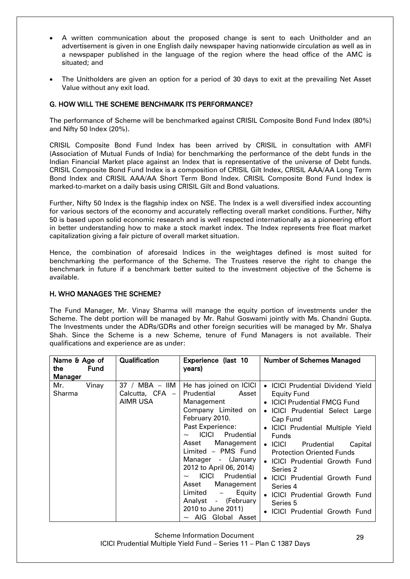- A written communication about the proposed change is sent to each Unitholder and an advertisement is given in one English daily newspaper having nationwide circulation as well as in a newspaper published in the language of the region where the head office of the AMC is situated; and
- The Unitholders are given an option for a period of 30 days to exit at the prevailing Net Asset Value without any exit load.

## <span id="page-28-0"></span>G. HOW WILL THE SCHEME BENCHMARK ITS PERFORMANCE?

The performance of Scheme will be benchmarked against CRISIL Composite Bond Fund Index (80%) and Nifty 50 Index (20%).

CRISIL Composite Bond Fund Index has been arrived by CRISIL in consultation with AMFI (Association of Mutual Funds of India) for benchmarking the performance of the debt funds in the Indian Financial Market place against an Index that is representative of the universe of Debt funds. CRISIL Composite Bond Fund Index is a composition of CRISIL Gilt Index, CRISIL AAA/AA Long Term Bond Index and CRISIL AAA/AA Short Term Bond Index. CRISIL Composite Bond Fund Index is marked-to-market on a daily basis using CRISIL Gilt and Bond valuations.

Further, Nifty 50 Index is the flagship index on NSE. The Index is a well diversified index accounting for various sectors of the economy and accurately reflecting overall market conditions. Further, Nifty 50 is based upon solid economic research and is well respected internationally as a pioneering effort in better understanding how to make a stock market index. The Index represents free float market capitalization giving a fair picture of overall market situation.

Hence, the combination of aforesaid Indices in the weightages defined is most suited for benchmarking the performance of the Scheme. The Trustees reserve the right to change the benchmark in future if a benchmark better suited to the investment objective of the Scheme is available.

### <span id="page-28-1"></span>H. WHO MANAGES THE SCHEME?

The Fund Manager, Mr. Vinay Sharma will manage the equity portion of investments under the Scheme. The debt portion will be managed by Mr. Rahul Goswami jointly with Ms. Chandni Gupta. The Investments under the ADRs/GDRs and other foreign securities will be managed by Mr. Shalya Shah. Since the Scheme is a new Scheme, tenure of Fund Managers is not available. Their qualifications and experience are as under:

| Name & Age of |             | <b>Qualification</b>                            | Experience (last 10                                                                                                                                                                                                                                                                                                                                                                                                           | <b>Number of Schemes Managed</b>                                                                                                                                                                                                                                                                                                                                                                                                                                                                                                                                                 |
|---------------|-------------|-------------------------------------------------|-------------------------------------------------------------------------------------------------------------------------------------------------------------------------------------------------------------------------------------------------------------------------------------------------------------------------------------------------------------------------------------------------------------------------------|----------------------------------------------------------------------------------------------------------------------------------------------------------------------------------------------------------------------------------------------------------------------------------------------------------------------------------------------------------------------------------------------------------------------------------------------------------------------------------------------------------------------------------------------------------------------------------|
| the.          | <b>Fund</b> |                                                 | years)                                                                                                                                                                                                                                                                                                                                                                                                                        |                                                                                                                                                                                                                                                                                                                                                                                                                                                                                                                                                                                  |
| Manager       |             |                                                 |                                                                                                                                                                                                                                                                                                                                                                                                                               |                                                                                                                                                                                                                                                                                                                                                                                                                                                                                                                                                                                  |
| Mr.<br>Sharma | Vinay       | $37 / MBA - IIM$<br>Calcutta, CFA -<br>AIMR USA | He has joined on ICICI<br>Prudential<br>Asset<br>Management<br>Company Limited on<br>February 2010.<br>Past Experience:<br><b>ICICI</b><br>Prudential<br>Management<br>Asset<br>Limited - PMS Fund<br>Manager - (January<br>2012 to April 06, 2014)<br>ICICI<br>Prudential<br>Management<br>Asset<br>Equity<br>Limited<br>$\overline{\phantom{a}}$<br>- (February<br>Analyst<br>2010 to June 2011)<br>$\sim$ AIG Global Asset | <b>ICICI Prudential Dividend Yield</b><br>$\bullet$<br>Equity Fund<br><b>ICICI Prudential FMCG Fund</b><br>$\bullet$<br><b>ICICI Prudential Select Large</b><br>$\bullet$<br>Cap Fund<br><b>ICICI Prudential Multiple Yield</b><br>$\bullet$<br><b>Funds</b><br><b>ICICI</b><br>Prudential<br>Capital<br>$\bullet$<br><b>Protection Oriented Funds</b><br><b>ICICI Prudential Growth Fund</b><br>Series 2<br><b>ICICI Prudential Growth Fund</b><br>$\bullet$<br>Series 4<br><b>ICICI Prudential Growth Fund</b><br>Series 5<br><b>ICICI Prudential Growth Fund</b><br>$\bullet$ |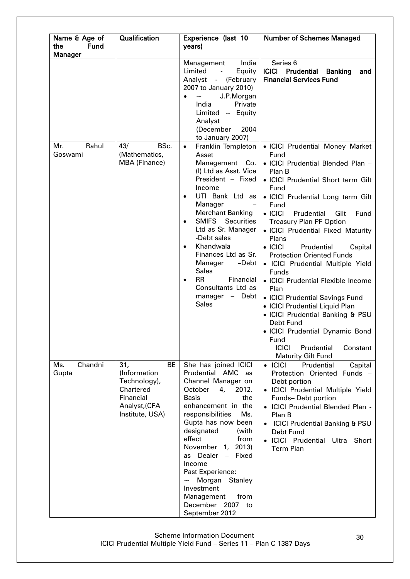| Name & Age of<br>the<br><b>Fund</b> | <b>Qualification</b>                                                                                           | Experience (last 10                                                                                                                                                                                                                                                                                                                                                                                                                               | <b>Number of Schemes Managed</b>                                                                                                                                                                                                                                                                                                                                                                                                                                                                                                                                                                                                                                                                                 |
|-------------------------------------|----------------------------------------------------------------------------------------------------------------|---------------------------------------------------------------------------------------------------------------------------------------------------------------------------------------------------------------------------------------------------------------------------------------------------------------------------------------------------------------------------------------------------------------------------------------------------|------------------------------------------------------------------------------------------------------------------------------------------------------------------------------------------------------------------------------------------------------------------------------------------------------------------------------------------------------------------------------------------------------------------------------------------------------------------------------------------------------------------------------------------------------------------------------------------------------------------------------------------------------------------------------------------------------------------|
| <b>Manager</b>                      |                                                                                                                | years)                                                                                                                                                                                                                                                                                                                                                                                                                                            |                                                                                                                                                                                                                                                                                                                                                                                                                                                                                                                                                                                                                                                                                                                  |
|                                     |                                                                                                                | India<br>Management<br>Limited<br>Equity<br>Analyst<br>(February<br>$\omega_{\rm{max}}$<br>2007 to January 2010)<br>J.P.Morgan<br>$\widetilde{\phantom{m}}$<br>$\bullet$<br>India<br>Private<br>Limited -- Equity<br>Analyst<br>2004<br>(December<br>to January 2007)                                                                                                                                                                             | Series <sub>6</sub><br><b>ICICI</b><br>Prudential<br><b>Banking</b><br>and<br><b>Financial Services Fund</b>                                                                                                                                                                                                                                                                                                                                                                                                                                                                                                                                                                                                     |
| Rahul<br>Mr.<br>Goswami             | BSc.<br>43/<br>(Mathematics,<br><b>MBA (Finance)</b>                                                           | Franklin Templeton<br>$\bullet$<br>Asset<br>Management<br>Co.<br>(I) Ltd as Asst. Vice<br>President - Fixed<br>Income<br>UTI Bank Ltd as<br>$\bullet$<br>Manager<br><b>Merchant Banking</b><br><b>SMIFS</b> Securities<br>$\bullet$<br>Ltd as Sr. Manager<br>-Debt sales<br>Khandwala<br>Finances Ltd as Sr.<br>Manager<br>$-Debt$<br><b>Sales</b><br><b>RR</b><br>Financial<br>$\bullet$<br>Consultants Ltd as<br>manager - Debt<br><b>Sales</b> | • ICICI Prudential Money Market<br>Fund<br>• ICICI Prudential Blended Plan -<br>Plan B<br>• ICICI Prudential Short term Gilt<br>Fund<br>· ICICI Prudential Long term Gilt<br>Fund<br>$\bullet$ ICICI<br>Prudential<br>Gilt<br>Fund<br><b>Treasury Plan PF Option</b><br>• ICICI Prudential Fixed Maturity<br>Plans<br>$\bullet$ ICICI<br>Prudential<br>Capital<br><b>Protection Oriented Funds</b><br>· ICICI Prudential Multiple Yield<br><b>Funds</b><br>• ICICI Prudential Flexible Income<br>Plan<br>• ICICI Prudential Savings Fund<br>• ICICI Prudential Liquid Plan<br>• ICICI Prudential Banking & PSU<br>Debt Fund<br>• ICICI Prudential Dynamic Bond<br>Fund<br><b>ICICI</b><br>Prudential<br>Constant |
| Chandni<br>Ms.<br>Gupta             | <b>BE</b><br>31,<br>(Information<br>Technology),<br>Chartered<br>Financial<br>Analyst, (CFA<br>Institute, USA) | She has joined ICICI<br>Prudential AMC<br>as<br>Channel Manager on<br>October<br>4,<br>2012.<br>the<br><b>Basis</b><br>enhancement in the<br>responsibilities<br>Ms.<br>Gupta has now been<br>designated<br>(with<br>effect<br>from<br>November 1, 2013)<br>Dealer<br>- Fixed<br>as<br>Income<br>Past Experience:<br>Morgan Stanley<br>$\tilde{\phantom{a}}$<br>Investment<br>from<br>Management<br>December 2007 to<br>September 2012            | <b>Maturity Gilt Fund</b><br>$\bullet$ ICICI<br>Prudential<br>Capital<br>Protection Oriented Funds -<br>Debt portion<br>• ICICI Prudential Multiple Yield<br>Funds-Debt portion<br>· ICICI Prudential Blended Plan -<br>Plan B<br><b>ICICI Prudential Banking &amp; PSU</b><br>Debt Fund<br>· ICICI Prudential<br>Ultra<br>Short<br><b>Term Plan</b>                                                                                                                                                                                                                                                                                                                                                             |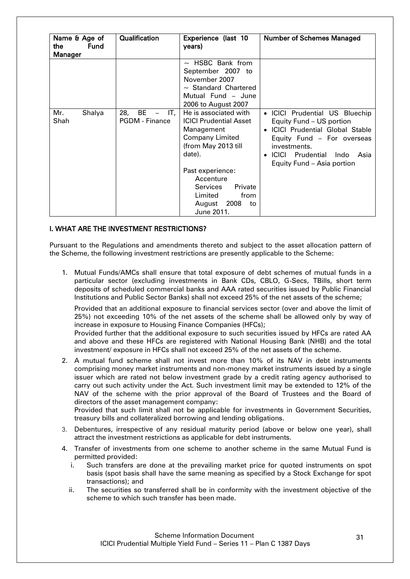| Name & Age of<br><b>Fund</b><br>the<br><b>Manager</b> | <b>Qualification</b>                                                  | Experience (last 10<br>years)                                                                                                                                                                                                                    | <b>Number of Schemes Managed</b>                                                                                                                                                                                                                     |
|-------------------------------------------------------|-----------------------------------------------------------------------|--------------------------------------------------------------------------------------------------------------------------------------------------------------------------------------------------------------------------------------------------|------------------------------------------------------------------------------------------------------------------------------------------------------------------------------------------------------------------------------------------------------|
|                                                       |                                                                       | $\sim$ HSBC Bank from<br>September 2007 to<br>November 2007<br>$\sim$ Standard Chartered<br>Mutual Fund - June<br>2006 to August 2007                                                                                                            |                                                                                                                                                                                                                                                      |
| Mr.<br>Shalya<br>Shah                                 | 28,<br>BE<br>IT,<br>$\overline{\phantom{m}}$<br><b>PGDM - Finance</b> | He is associated with<br><b>ICICI Prudential Asset</b><br>Management<br>Company Limited<br>(from May 2013 till<br>date).<br>Past experience:<br>Accenture<br><b>Services</b><br>Private<br>Limited<br>from<br>2008<br>August<br>to<br>June 2011. | • ICICI Prudential US Bluechip<br>Equity Fund - US portion<br><b>ICICI Prudential Global Stable</b><br>$\bullet$<br>Equity Fund - For overseas<br>investments.<br><b>ICICI</b> Prudential<br>Indo<br>Asia<br>$\bullet$<br>Equity Fund - Asia portion |

# <span id="page-30-0"></span>I. WHAT ARE THE INVESTMENT RESTRICTIONS?

Pursuant to the Regulations and amendments thereto and subject to the asset allocation pattern of the Scheme, the following investment restrictions are presently applicable to the Scheme:

1. Mutual Funds/AMCs shall ensure that total exposure of debt schemes of mutual funds in a particular sector (excluding investments in Bank CDs, CBLO, G-Secs, TBills, short term deposits of scheduled commercial banks and AAA rated securities issued by Public Financial Institutions and Public Sector Banks) shall not exceed 25% of the net assets of the scheme;

Provided that an additional exposure to financial services sector (over and above the limit of 25%) not exceeding 10% of the net assets of the scheme shall be allowed only by way of increase in exposure to Housing Finance Companies (HFCs);

Provided further that the additional exposure to such securities issued by HFCs are rated AA and above and these HFCs are registered with National Housing Bank (NHB) and the total investment/ exposure in HFCs shall not exceed 25% of the net assets of the scheme.

2. A mutual fund scheme shall not invest more than 10% of its NAV in debt instruments comprising money market instruments and non-money market instruments issued by a single issuer which are rated not below investment grade by a credit rating agency authorised to carry out such activity under the Act. Such investment limit may be extended to 12% of the NAV of the scheme with the prior approval of the Board of Trustees and the Board of directors of the asset management company: Provided that such limit shall not be applicable for investments in Government Securities,

treasury bills and collateralized borrowing and lending obligations.

- 3. Debentures, irrespective of any residual maturity period (above or below one year), shall attract the investment restrictions as applicable for debt instruments.
- 4. Transfer of investments from one scheme to another scheme in the same Mutual Fund is permitted provided:
	- i. Such transfers are done at the prevailing market price for quoted instruments on spot basis (spot basis shall have the same meaning as specified by a Stock Exchange for spot transactions); and
	- ii. The securities so transferred shall be in conformity with the investment objective of the scheme to which such transfer has been made.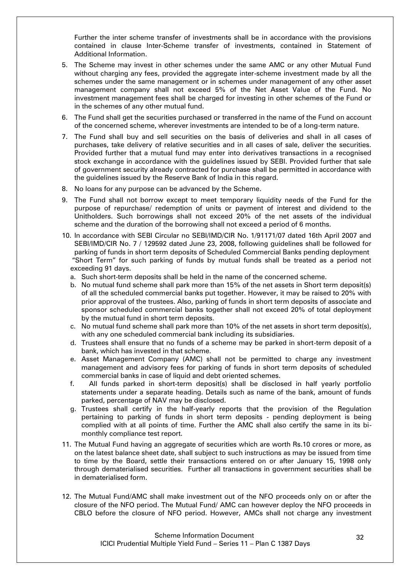Further the inter scheme transfer of investments shall be in accordance with the provisions contained in clause Inter-Scheme transfer of investments, contained in Statement of Additional Information.

- 5. The Scheme may invest in other schemes under the same AMC or any other Mutual Fund without charging any fees, provided the aggregate inter-scheme investment made by all the schemes under the same management or in schemes under management of any other asset management company shall not exceed 5% of the Net Asset Value of the Fund. No investment management fees shall be charged for investing in other schemes of the Fund or in the schemes of any other mutual fund.
- 6. The Fund shall get the securities purchased or transferred in the name of the Fund on account of the concerned scheme, wherever investments are intended to be of a long-term nature.
- 7. The Fund shall buy and sell securities on the basis of deliveries and shall in all cases of purchases, take delivery of relative securities and in all cases of sale, deliver the securities. Provided further that a mutual fund may enter into derivatives transactions in a recognised stock exchange in accordance with the guidelines issued by SEBI. Provided further that sale of government security already contracted for purchase shall be permitted in accordance with the guidelines issued by the Reserve Bank of India in this regard.
- 8. No loans for any purpose can be advanced by the Scheme.
- 9. The Fund shall not borrow except to meet temporary liquidity needs of the Fund for the purpose of repurchase/ redemption of units or payment of interest and dividend to the Unitholders. Such borrowings shall not exceed 20% of the net assets of the individual scheme and the duration of the borrowing shall not exceed a period of 6 months.
- 10. In accordance with SEBI Circular no SEBI/IMD/CIR No. 1/91171/07 dated 16th April 2007 and SEBI/IMD/CIR No. 7 / 129592 dated June 23, 2008, following guidelines shall be followed for parking of funds in short term deposits of Scheduled Commercial Banks pending deployment "Short Term" for such parking of funds by mutual funds shall be treated as a period not exceeding 91 days.
	- a. Such short-term deposits shall be held in the name of the concerned scheme.
	- b. No mutual fund scheme shall park more than 15% of the net assets in Short term deposit(s) of all the scheduled commercial banks put together. However, it may be raised to 20% with prior approval of the trustees. Also, parking of funds in short term deposits of associate and sponsor scheduled commercial banks together shall not exceed 20% of total deployment by the mutual fund in short term deposits.
	- c. No mutual fund scheme shall park more than 10% of the net assets in short term deposit(s), with any one scheduled commercial bank including its subsidiaries.
	- d. Trustees shall ensure that no funds of a scheme may be parked in short-term deposit of a bank, which has invested in that scheme.
	- e. Asset Management Company (AMC) shall not be permitted to charge any investment management and advisory fees for parking of funds in short term deposits of scheduled commercial banks in case of liquid and debt oriented schemes.
	- f. All funds parked in short-term deposit(s) shall be disclosed in half yearly portfolio statements under a separate heading. Details such as name of the bank, amount of funds parked, percentage of NAV may be disclosed.
	- g. Trustees shall certify in the half-yearly reports that the provision of the Regulation pertaining to parking of funds in short term deposits - pending deployment is being complied with at all points of time. Further the AMC shall also certify the same in its bimonthly compliance test report.
- 11. The Mutual Fund having an aggregate of securities which are worth Rs.10 crores or more, as on the latest balance sheet date, shall subject to such instructions as may be issued from time to time by the Board, settle their transactions entered on or after January 15, 1998 only through dematerialised securities. Further all transactions in government securities shall be in dematerialised form.
- 12. The Mutual Fund/AMC shall make investment out of the NFO proceeds only on or after the closure of the NFO period. The Mutual Fund/ AMC can however deploy the NFO proceeds in CBLO before the closure of NFO period. However, AMCs shall not charge any investment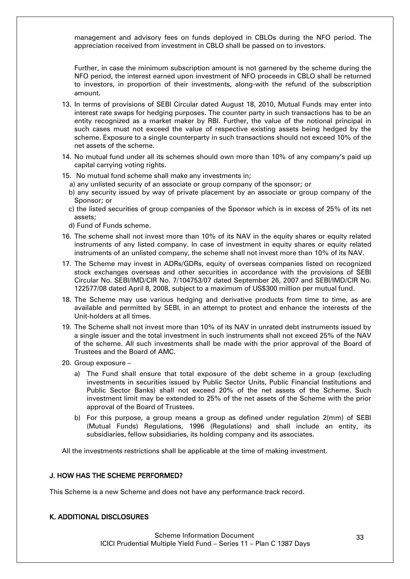management and advisory fees on funds deployed in CBLOs during the NFO period. The appreciation received from investment in CBLO shall be passed on to investors.

Further, in case the minimum subscription amount is not garnered by the scheme during the NFO period, the interest earned upon investment of NFO proceeds in CBLO shall be returned to investors, in proportion of their investments, along-with the refund of the subscription amount.

- 13. In terms of provisions of SEBI Circular dated August 18, 2010, Mutual Funds may enter into interest rate swaps for hedging purposes. The counter party in such transactions has to be an entity recognized as a market maker by RBI. Further, the value of the notional principal in such cases must not exceed the value of respective existing assets being hedged by the scheme. Exposure to a single counterparty in such transactions should not exceed 10% of the net assets of the scheme.
- 14. No mutual fund under all its schemes should own more than 10% of any company"s paid up capital carrying voting rights.
- 15. No mutual fund scheme shall make any investments in;
	- a) any unlisted security of an associate or group company of the sponsor; or
	- b) any security issued by way of private placement by an associate or group company of the Sponsor; or
	- c) the listed securities of group companies of the Sponsor which is in excess of 25% of its net assets;
	- d) Fund of Funds scheme.
- 16. The scheme shall not invest more than 10% of its NAV in the equity shares or equity related instruments of any listed company. In case of investment in equity shares or equity related instruments of an unlisted company, the scheme shall not invest more than 10% of its NAV.
- 17. The Scheme may invest in ADRs/GDRs, equity of overseas companies listed on recognized stock exchanges overseas and other securities in accordance with the provisions of SEBI Circular No. SEBI/IMD/CIR No. 7/104753/07 dated September 26, 2007 and SEBI/IMD/CIR No. 122577/08 dated April 8, 2008, subject to a maximum of US\$300 million per mutual fund.
- 18. The Scheme may use various hedging and derivative products from time to time, as are available and permitted by SEBI, in an attempt to protect and enhance the interests of the Unit-holders at all times.
- 19. The Scheme shall not invest more than 10% of its NAV in unrated debt instruments issued by a single issuer and the total investment in such instruments shall not exceed 25% of the NAV of the scheme. All such investments shall be made with the prior approval of the Board of Trustees and the Board of AMC.
- 20. Group exposure
	- a) The Fund shall ensure that total exposure of the debt scheme in a group (excluding investments in securities issued by Public Sector Units, Public Financial Institutions and Public Sector Banks) shall not exceed 20% of the net assets of the Scheme. Such investment limit may be extended to 25% of the net assets of the Scheme with the prior approval of the Board of Trustees.
	- b) For this purpose, a group means a group as defined under regulation 2(mm) of SEBI (Mutual Funds) Regulations, 1996 (Regulations) and shall include an entity, its subsidiaries, fellow subsidiaries, its holding company and its associates.

All the investments restrictions shall be applicable at the time of making investment.

### <span id="page-32-0"></span>J. HOW HAS THE SCHEME PERFORMED?

This Scheme is a new Scheme and does not have any performance track record.

### <span id="page-32-1"></span>K. ADDITIONAL DISCLOSURES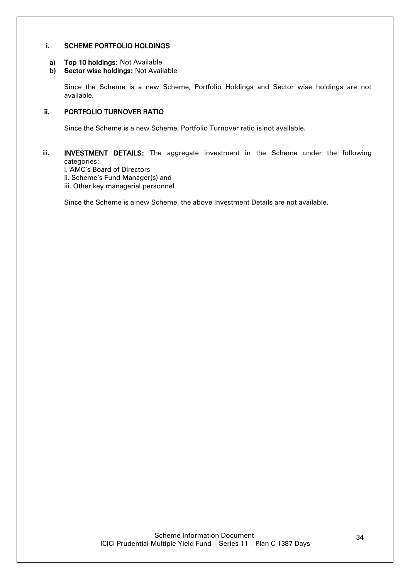### i. SCHEME PORTFOLIO HOLDINGS

- a) Top 10 holdings: Not Available
- b) Sector wise holdings: Not Available

Since the Scheme is a new Scheme, Portfolio Holdings and Sector wise holdings are not available.

# ii. PORTFOLIO TURNOVER RATIO

Since the Scheme is a new Scheme, Portfolio Turnover ratio is not available.

## iii. **INVESTMENT DETAILS:** The aggregate investment in the Scheme under the following categories:

i. AMC"s Board of Directors

- ii. Scheme's Fund Manager(s) and
- iii. Other key managerial personnel

Since the Scheme is a new Scheme, the above Investment Details are not available.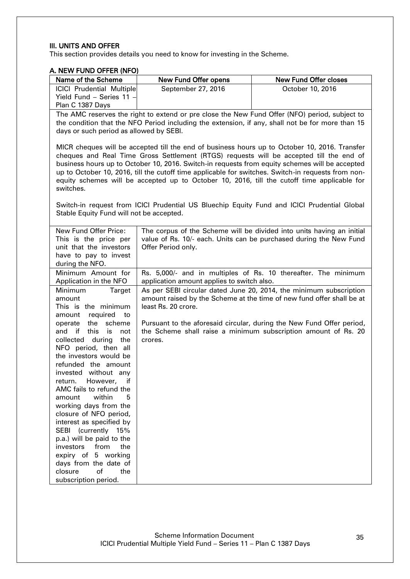## III. UNITS AND OFFER

This section provides details you need to know for investing in the Scheme.

<span id="page-34-0"></span>

| A. NEW FUND OFFER (NFO)                                                                                                                                                                                                                                                                                                                                                                                                                   |                                                                                                                                                                                                                                                                                                                                                                                                                                                                                                 |                                                                                                                                             |  |  |  |
|-------------------------------------------------------------------------------------------------------------------------------------------------------------------------------------------------------------------------------------------------------------------------------------------------------------------------------------------------------------------------------------------------------------------------------------------|-------------------------------------------------------------------------------------------------------------------------------------------------------------------------------------------------------------------------------------------------------------------------------------------------------------------------------------------------------------------------------------------------------------------------------------------------------------------------------------------------|---------------------------------------------------------------------------------------------------------------------------------------------|--|--|--|
| Name of the Scheme                                                                                                                                                                                                                                                                                                                                                                                                                        | <b>New Fund Offer opens</b>                                                                                                                                                                                                                                                                                                                                                                                                                                                                     | <b>New Fund Offer closes</b>                                                                                                                |  |  |  |
| <b>ICICI Prudential Multiple</b><br>Yield Fund - Series 11 -<br>Plan C 1387 Days                                                                                                                                                                                                                                                                                                                                                          | September 27, 2016                                                                                                                                                                                                                                                                                                                                                                                                                                                                              | October 10, 2016                                                                                                                            |  |  |  |
| days or such period as allowed by SEBI.                                                                                                                                                                                                                                                                                                                                                                                                   | The AMC reserves the right to extend or pre close the New Fund Offer (NFO) period, subject to                                                                                                                                                                                                                                                                                                                                                                                                   | the condition that the NFO Period including the extension, if any, shall not be for more than 15                                            |  |  |  |
| switches.                                                                                                                                                                                                                                                                                                                                                                                                                                 | MICR cheques will be accepted till the end of business hours up to October 10, 2016. Transfer<br>cheques and Real Time Gross Settlement (RTGS) requests will be accepted till the end of<br>business hours up to October 10, 2016. Switch-in requests from equity schemes will be accepted<br>up to October 10, 2016, till the cutoff time applicable for switches. Switch-in requests from non-<br>equity schemes will be accepted up to October 10, 2016, till the cutoff time applicable for |                                                                                                                                             |  |  |  |
| Stable Equity Fund will not be accepted.                                                                                                                                                                                                                                                                                                                                                                                                  |                                                                                                                                                                                                                                                                                                                                                                                                                                                                                                 | Switch-in request from ICICI Prudential US Bluechip Equity Fund and ICICI Prudential Global                                                 |  |  |  |
| New Fund Offer Price:<br>This is the price per<br>unit that the investors<br>have to pay to invest<br>during the NFO.                                                                                                                                                                                                                                                                                                                     | Offer Period only.                                                                                                                                                                                                                                                                                                                                                                                                                                                                              | The corpus of the Scheme will be divided into units having an initial<br>value of Rs. 10/- each. Units can be purchased during the New Fund |  |  |  |
| Minimum Amount for<br>Application in the NFO                                                                                                                                                                                                                                                                                                                                                                                              | application amount applies to switch also.                                                                                                                                                                                                                                                                                                                                                                                                                                                      | Rs. 5,000/- and in multiples of Rs. 10 thereafter. The minimum                                                                              |  |  |  |
| Minimum<br><b>Target</b><br>amount<br>This is the minimum<br>amount<br>required<br>to                                                                                                                                                                                                                                                                                                                                                     | least Rs. 20 crore.                                                                                                                                                                                                                                                                                                                                                                                                                                                                             | As per SEBI circular dated June 20, 2014, the minimum subscription<br>amount raised by the Scheme at the time of new fund offer shall be at |  |  |  |
| the<br>scheme<br>operate<br>this<br>and<br>if<br>is<br>not<br>collected<br>during<br>the<br>NFO period, then all<br>the investors would be<br>refunded the amount<br>invested without any<br>However,<br>if<br>return.<br>AMC fails to refund the<br>within<br>amount<br>5<br>working days from the<br>closure of NFO period,<br>interest as specified by<br>SEBI (currently 15%<br>p.a.) will be paid to the<br>from<br>investors<br>the | crores.                                                                                                                                                                                                                                                                                                                                                                                                                                                                                         | Pursuant to the aforesaid circular, during the New Fund Offer period,<br>the Scheme shall raise a minimum subscription amount of Rs. 20     |  |  |  |
| expiry of 5 working<br>days from the date of<br>closure<br>of<br>the<br>subscription period.                                                                                                                                                                                                                                                                                                                                              |                                                                                                                                                                                                                                                                                                                                                                                                                                                                                                 |                                                                                                                                             |  |  |  |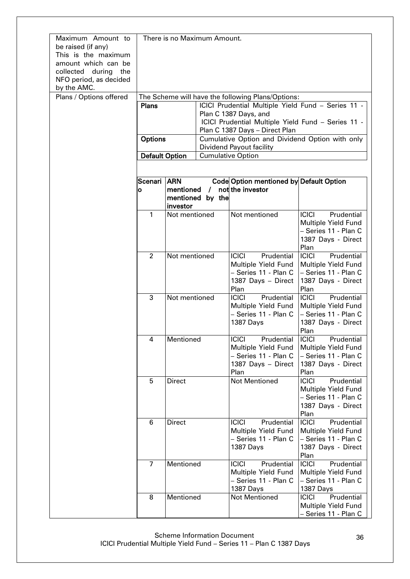| Maximum Amount to<br>be raised (if any)<br>This is the maximum<br>amount which can be<br>collected during<br>the<br>NFO period, as decided<br>by the AMC. | There is no Maximum Amount. |                                                    |                  |                                                    |                                             |
|-----------------------------------------------------------------------------------------------------------------------------------------------------------|-----------------------------|----------------------------------------------------|------------------|----------------------------------------------------|---------------------------------------------|
| Plans / Options offered                                                                                                                                   |                             |                                                    |                  | The Scheme will have the following Plans/Options:  |                                             |
|                                                                                                                                                           | <b>Plans</b>                | ICICI Prudential Multiple Yield Fund - Series 11 - |                  |                                                    |                                             |
|                                                                                                                                                           |                             |                                                    |                  | Plan C 1387 Days, and                              |                                             |
|                                                                                                                                                           |                             |                                                    |                  | ICICI Prudential Multiple Yield Fund - Series 11 - |                                             |
|                                                                                                                                                           |                             |                                                    |                  | Plan C 1387 Days - Direct Plan                     |                                             |
|                                                                                                                                                           | <b>Options</b>              |                                                    |                  | Cumulative Option and Dividend Option with only    |                                             |
|                                                                                                                                                           |                             |                                                    |                  | Dividend Payout facility                           |                                             |
|                                                                                                                                                           | <b>Default Option</b>       |                                                    |                  | <b>Cumulative Option</b>                           |                                             |
|                                                                                                                                                           |                             |                                                    |                  |                                                    |                                             |
|                                                                                                                                                           |                             |                                                    |                  |                                                    |                                             |
|                                                                                                                                                           | Scenari ARN                 |                                                    |                  | Code Option mentioned by Default Option            |                                             |
|                                                                                                                                                           | O                           | mentioned                                          | $\prime$         | not the investor                                   |                                             |
|                                                                                                                                                           |                             |                                                    | mentioned by the |                                                    |                                             |
|                                                                                                                                                           |                             | investor                                           |                  |                                                    |                                             |
|                                                                                                                                                           | 1                           | Not mentioned                                      |                  | Not mentioned                                      | <b>ICICI</b><br>Prudential                  |
|                                                                                                                                                           |                             |                                                    |                  |                                                    | Multiple Yield Fund                         |
|                                                                                                                                                           |                             |                                                    |                  |                                                    | - Series 11 - Plan C                        |
|                                                                                                                                                           |                             |                                                    |                  |                                                    | 1387 Days - Direct                          |
|                                                                                                                                                           |                             |                                                    |                  |                                                    | Plan                                        |
|                                                                                                                                                           | $\overline{2}$              | Not mentioned                                      |                  | <b>ICICI</b><br>Prudential                         | <b>ICICI</b><br>Prudential                  |
|                                                                                                                                                           |                             |                                                    |                  | Multiple Yield Fund                                | Multiple Yield Fund                         |
|                                                                                                                                                           |                             |                                                    |                  | - Series 11 - Plan C                               | - Series 11 - Plan C                        |
|                                                                                                                                                           |                             |                                                    |                  | 1387 Days - Direct                                 | 1387 Days - Direct                          |
|                                                                                                                                                           |                             |                                                    |                  | Plan                                               | Plan                                        |
|                                                                                                                                                           | 3                           | Not mentioned                                      |                  | Prudential<br><b>ICICI</b>                         | <b>ICICI</b><br>Prudential                  |
|                                                                                                                                                           |                             |                                                    |                  | Multiple Yield Fund                                | Multiple Yield Fund                         |
|                                                                                                                                                           |                             |                                                    |                  | - Series 11 - Plan C                               | - Series 11 - Plan C                        |
|                                                                                                                                                           |                             |                                                    |                  | 1387 Days                                          | 1387 Days - Direct                          |
|                                                                                                                                                           |                             |                                                    |                  |                                                    | Plan                                        |
|                                                                                                                                                           | 4                           | Mentioned                                          |                  | <b>ICICI</b> Prudential <b>ICICI</b>               | Prudential                                  |
|                                                                                                                                                           |                             |                                                    |                  | Multiple Yield Fund                                | Multiple Yield Fund                         |
|                                                                                                                                                           |                             |                                                    |                  | - Series 11 - Plan C                               | - Series 11 - Plan C                        |
|                                                                                                                                                           |                             |                                                    |                  | 1387 Days - Direct                                 | 1387 Days - Direct                          |
|                                                                                                                                                           |                             |                                                    |                  | Plan                                               | Plan                                        |
|                                                                                                                                                           | 5                           | <b>Direct</b>                                      |                  | <b>Not Mentioned</b>                               | <b>ICICI</b><br>Prudential                  |
|                                                                                                                                                           |                             |                                                    |                  |                                                    | Multiple Yield Fund                         |
|                                                                                                                                                           |                             |                                                    |                  |                                                    | - Series 11 - Plan C                        |
|                                                                                                                                                           |                             |                                                    |                  |                                                    | 1387 Days - Direct                          |
|                                                                                                                                                           |                             |                                                    |                  |                                                    | Plan                                        |
|                                                                                                                                                           | 6                           | <b>Direct</b>                                      |                  | <b>ICICI</b><br>Prudential                         | C C <br>Prudential                          |
|                                                                                                                                                           |                             |                                                    |                  | Multiple Yield Fund                                | Multiple Yield Fund                         |
|                                                                                                                                                           |                             |                                                    |                  | - Series 11 - Plan C                               | - Series 11 - Plan C                        |
|                                                                                                                                                           |                             |                                                    |                  | 1387 Days                                          | 1387 Days - Direct                          |
|                                                                                                                                                           |                             |                                                    |                  |                                                    | Plan                                        |
|                                                                                                                                                           | $\overline{7}$              | Mentioned                                          |                  | <b>ICICI</b><br>Prudential                         | <b>ICICI</b><br>Prudential                  |
|                                                                                                                                                           |                             |                                                    |                  | Multiple Yield Fund<br>- Series 11 - Plan C        | Multiple Yield Fund<br>- Series 11 - Plan C |
|                                                                                                                                                           |                             |                                                    |                  |                                                    |                                             |
|                                                                                                                                                           | 8                           | Mentioned                                          |                  | 1387 Days<br><b>Not Mentioned</b>                  | 1387 Days<br>Prudential<br><b>ICICI</b>     |
|                                                                                                                                                           |                             |                                                    |                  |                                                    | Multiple Yield Fund                         |
|                                                                                                                                                           |                             |                                                    |                  |                                                    |                                             |
|                                                                                                                                                           |                             |                                                    |                  |                                                    | - Series 11 - Plan C                        |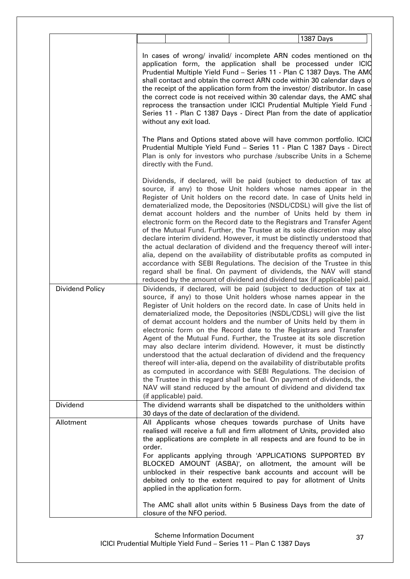|                 | 1387 Days                                                                                                                                                                                                                                                                                                                                                                                                                                                                                                                                                                                                                                                                                                                                                                                                                                                                                                                                                                            |
|-----------------|--------------------------------------------------------------------------------------------------------------------------------------------------------------------------------------------------------------------------------------------------------------------------------------------------------------------------------------------------------------------------------------------------------------------------------------------------------------------------------------------------------------------------------------------------------------------------------------------------------------------------------------------------------------------------------------------------------------------------------------------------------------------------------------------------------------------------------------------------------------------------------------------------------------------------------------------------------------------------------------|
|                 | In cases of wrong/ invalid/ incomplete ARN codes mentioned on the<br>application form, the application shall be processed under ICIC<br>Prudential Multiple Yield Fund - Series 11 - Plan C 1387 Days. The AM0<br>shall contact and obtain the correct ARN code within 30 calendar days of<br>the receipt of the application form from the investor/ distributor. In case<br>the correct code is not received within 30 calendar days, the AMC shal<br>reprocess the transaction under ICICI Prudential Multiple Yield Fund<br>Series 11 - Plan C 1387 Days - Direct Plan from the date of application<br>without any exit load.                                                                                                                                                                                                                                                                                                                                                     |
|                 | The Plans and Options stated above will have common portfolio. ICICI<br>Prudential Multiple Yield Fund - Series 11 - Plan C 1387 Days - Direct<br>Plan is only for investors who purchase /subscribe Units in a Scheme<br>directly with the Fund.                                                                                                                                                                                                                                                                                                                                                                                                                                                                                                                                                                                                                                                                                                                                    |
|                 | Dividends, if declared, will be paid (subject to deduction of tax at<br>source, if any) to those Unit holders whose names appear in the<br>Register of Unit holders on the record date. In case of Units held in<br>dematerialized mode, the Depositories (NSDL/CDSL) will give the list of<br>demat account holders and the number of Units held by them in<br>electronic form on the Record date to the Registrars and Transfer Agent<br>of the Mutual Fund. Further, the Trustee at its sole discretion may also<br>declare interim dividend. However, it must be distinctly understood that<br>the actual declaration of dividend and the frequency thereof will inter-<br>alia, depend on the availability of distributable profits as computed in<br>accordance with SEBI Regulations. The decision of the Trustee in this<br>regard shall be final. On payment of dividends, the NAV will stand<br>reduced by the amount of dividend and dividend tax (if applicable) paid.   |
| Dividend Policy | Dividends, if declared, will be paid (subject to deduction of tax at<br>source, if any) to those Unit holders whose names appear in the<br>Register of Unit holders on the record date. In case of Units held in<br>dematerialized mode, the Depositories (NSDL/CDSL) will give the list<br>of demat account holders and the number of Units held by them in<br>electronic form on the Record date to the Registrars and Transfer<br>Agent of the Mutual Fund. Further, the Trustee at its sole discretion<br>may also declare interim dividend. However, it must be distinctly<br>understood that the actual declaration of dividend and the frequency<br>thereof will inter-alia, depend on the availability of distributable profits<br>as computed in accordance with SEBI Regulations. The decision of<br>the Trustee in this regard shall be final. On payment of dividends, the<br>NAV will stand reduced by the amount of dividend and dividend tax<br>(if applicable) paid. |
| Dividend        | The dividend warrants shall be dispatched to the unitholders within<br>30 days of the date of declaration of the dividend.                                                                                                                                                                                                                                                                                                                                                                                                                                                                                                                                                                                                                                                                                                                                                                                                                                                           |
| Allotment       | All Applicants whose cheques towards purchase of Units have<br>realised will receive a full and firm allotment of Units, provided also<br>the applications are complete in all respects and are found to be in<br>order.<br>For applicants applying through 'APPLICATIONS SUPPORTED BY<br>BLOCKED AMOUNT (ASBA)', on allotment, the amount will be<br>unblocked in their respective bank accounts and account will be<br>debited only to the extent required to pay for allotment of Units<br>applied in the application form.                                                                                                                                                                                                                                                                                                                                                                                                                                                       |
|                 | The AMC shall allot units within 5 Business Days from the date of<br>closure of the NFO period.                                                                                                                                                                                                                                                                                                                                                                                                                                                                                                                                                                                                                                                                                                                                                                                                                                                                                      |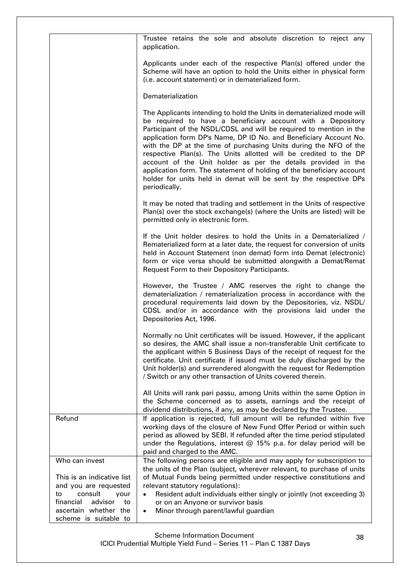|                                                                              | Trustee retains the sole and absolute discretion to reject any<br>application.                                                                                                                                                                                                                                                                                                                                                                                                                                                                                                                                                                              |
|------------------------------------------------------------------------------|-------------------------------------------------------------------------------------------------------------------------------------------------------------------------------------------------------------------------------------------------------------------------------------------------------------------------------------------------------------------------------------------------------------------------------------------------------------------------------------------------------------------------------------------------------------------------------------------------------------------------------------------------------------|
|                                                                              | Applicants under each of the respective Plan(s) offered under the<br>Scheme will have an option to hold the Units either in physical form<br>(i.e. account statement) or in dematerialized form.                                                                                                                                                                                                                                                                                                                                                                                                                                                            |
|                                                                              | Dematerialization                                                                                                                                                                                                                                                                                                                                                                                                                                                                                                                                                                                                                                           |
|                                                                              | The Applicants intending to hold the Units in dematerialized mode will<br>be required to have a beneficiary account with a Depository<br>Participant of the NSDL/CDSL and will be required to mention in the<br>application form DP's Name, DP ID No. and Beneficiary Account No.<br>with the DP at the time of purchasing Units during the NFO of the<br>respective Plan(s). The Units allotted will be credited to the DP<br>account of the Unit holder as per the details provided in the<br>application form. The statement of holding of the beneficiary account<br>holder for units held in demat will be sent by the respective DPs<br>periodically. |
|                                                                              | It may be noted that trading and settlement in the Units of respective<br>Plan(s) over the stock exchange(s) (where the Units are listed) will be<br>permitted only in electronic form.                                                                                                                                                                                                                                                                                                                                                                                                                                                                     |
|                                                                              | If the Unit holder desires to hold the Units in a Dematerialized /<br>Rematerialized form at a later date, the request for conversion of units<br>held in Account Statement (non demat) form into Demat (electronic)<br>form or vice versa should be submitted alongwith a Demat/Remat<br>Request Form to their Depository Participants.                                                                                                                                                                                                                                                                                                                    |
|                                                                              | However, the Trustee / AMC reserves the right to change the<br>dematerialization / rematerialization process in accordance with the<br>procedural requirements laid down by the Depositories, viz. NSDL/<br>CDSL and/or in accordance with the provisions laid under the<br>Depositories Act, 1996.                                                                                                                                                                                                                                                                                                                                                         |
|                                                                              | Normally no Unit certificates will be issued. However, if the applicant<br>so desires, the AMC shall issue a non-transferable Unit certificate to<br>the applicant within 5 Business Days of the receipt of request for the<br>certificate. Unit certificate if issued must be duly discharged by the<br>Unit holder(s) and surrendered alongwith the request for Redemption<br>/ Switch or any other transaction of Units covered therein.                                                                                                                                                                                                                 |
|                                                                              | All Units will rank pari passu, among Units within the same Option in<br>the Scheme concerned as to assets, earnings and the receipt of<br>dividend distributions, if any, as may be declared by the Trustee.                                                                                                                                                                                                                                                                                                                                                                                                                                               |
| Refund                                                                       | If application is rejected, full amount will be refunded within five<br>working days of the closure of New Fund Offer Period or within such<br>period as allowed by SEBI. If refunded after the time period stipulated<br>under the Regulations, interest @ 15% p.a. for delay period will be<br>paid and charged to the AMC.                                                                                                                                                                                                                                                                                                                               |
| Who can invest<br>This is an indicative list                                 | The following persons are eligible and may apply for subscription to<br>the units of the Plan (subject, wherever relevant, to purchase of units<br>of Mutual Funds being permitted under respective constitutions and                                                                                                                                                                                                                                                                                                                                                                                                                                       |
| and you are requested<br>consult<br>to<br>your<br>financial<br>advisor<br>to | relevant statutory regulations):<br>Resident adult individuals either singly or jointly (not exceeding 3)<br>$\bullet$<br>or on an Anyone or survivor basis                                                                                                                                                                                                                                                                                                                                                                                                                                                                                                 |
| ascertain whether the<br>scheme is suitable to                               | Minor through parent/lawful guardian<br>$\bullet$                                                                                                                                                                                                                                                                                                                                                                                                                                                                                                                                                                                                           |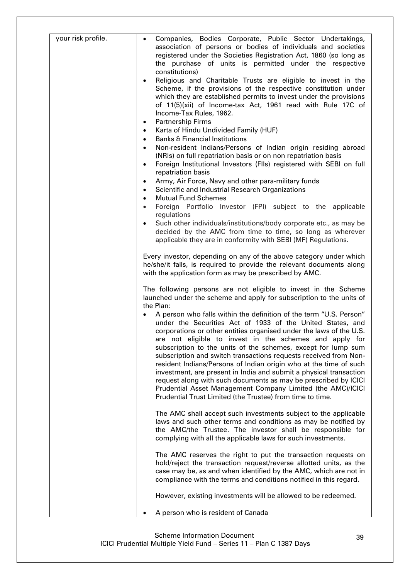| your risk profile. | Companies, Bodies Corporate, Public Sector Undertakings,<br>$\bullet$<br>association of persons or bodies of individuals and societies<br>registered under the Societies Registration Act, 1860 (so long as<br>the purchase of units is permitted under the respective<br>constitutions)                                                                                                                                                                                                                                                                                                                                                                                                                                                                       |
|--------------------|----------------------------------------------------------------------------------------------------------------------------------------------------------------------------------------------------------------------------------------------------------------------------------------------------------------------------------------------------------------------------------------------------------------------------------------------------------------------------------------------------------------------------------------------------------------------------------------------------------------------------------------------------------------------------------------------------------------------------------------------------------------|
|                    | Religious and Charitable Trusts are eligible to invest in the<br>$\bullet$<br>Scheme, if the provisions of the respective constitution under<br>which they are established permits to invest under the provisions<br>of 11(5)(xii) of Income-tax Act, 1961 read with Rule 17C of<br>Income-Tax Rules, 1962.                                                                                                                                                                                                                                                                                                                                                                                                                                                    |
|                    | Partnership Firms<br>$\bullet$                                                                                                                                                                                                                                                                                                                                                                                                                                                                                                                                                                                                                                                                                                                                 |
|                    | Karta of Hindu Undivided Family (HUF)<br>$\bullet$                                                                                                                                                                                                                                                                                                                                                                                                                                                                                                                                                                                                                                                                                                             |
|                    | <b>Banks &amp; Financial Institutions</b><br>$\bullet$<br>Non-resident Indians/Persons of Indian origin residing abroad<br>$\bullet$                                                                                                                                                                                                                                                                                                                                                                                                                                                                                                                                                                                                                           |
|                    | (NRIs) on full repatriation basis or on non repatriation basis<br>Foreign Institutional Investors (FIIs) registered with SEBI on full<br>$\bullet$                                                                                                                                                                                                                                                                                                                                                                                                                                                                                                                                                                                                             |
|                    | repatriation basis<br>Army, Air Force, Navy and other para-military funds<br>$\bullet$                                                                                                                                                                                                                                                                                                                                                                                                                                                                                                                                                                                                                                                                         |
|                    | Scientific and Industrial Research Organizations<br>$\bullet$                                                                                                                                                                                                                                                                                                                                                                                                                                                                                                                                                                                                                                                                                                  |
|                    | <b>Mutual Fund Schemes</b><br>$\bullet$                                                                                                                                                                                                                                                                                                                                                                                                                                                                                                                                                                                                                                                                                                                        |
|                    | Foreign Portfolio Investor (FPI) subject to the applicable<br>$\bullet$<br>regulations                                                                                                                                                                                                                                                                                                                                                                                                                                                                                                                                                                                                                                                                         |
|                    | Such other individuals/institutions/body corporate etc., as may be<br>$\bullet$                                                                                                                                                                                                                                                                                                                                                                                                                                                                                                                                                                                                                                                                                |
|                    | decided by the AMC from time to time, so long as wherever                                                                                                                                                                                                                                                                                                                                                                                                                                                                                                                                                                                                                                                                                                      |
|                    | applicable they are in conformity with SEBI (MF) Regulations.                                                                                                                                                                                                                                                                                                                                                                                                                                                                                                                                                                                                                                                                                                  |
|                    | Every investor, depending on any of the above category under which<br>he/she/it falls, is required to provide the relevant documents along<br>with the application form as may be prescribed by AMC.                                                                                                                                                                                                                                                                                                                                                                                                                                                                                                                                                           |
|                    | The following persons are not eligible to invest in the Scheme<br>launched under the scheme and apply for subscription to the units of<br>the Plan:                                                                                                                                                                                                                                                                                                                                                                                                                                                                                                                                                                                                            |
|                    | A person who falls within the definition of the term "U.S. Person"<br>$\bullet$<br>under the Securities Act of 1933 of the United States, and<br>corporations or other entities organised under the laws of the U.S.<br>are not eligible to invest in the schemes and apply for<br>subscription to the units of the schemes, except for lump sum<br>subscription and switch transactions requests received from Non-<br>resident Indians/Persons of Indian origin who at the time of such<br>investment, are present in India and submit a physical transaction<br>request along with such documents as may be prescribed by ICICI<br>Prudential Asset Management Company Limited (the AMC)/ICICI<br>Prudential Trust Limited (the Trustee) from time to time. |
|                    | The AMC shall accept such investments subject to the applicable<br>laws and such other terms and conditions as may be notified by<br>the AMC/the Trustee. The investor shall be responsible for<br>complying with all the applicable laws for such investments.                                                                                                                                                                                                                                                                                                                                                                                                                                                                                                |
|                    | The AMC reserves the right to put the transaction requests on<br>hold/reject the transaction request/reverse allotted units, as the<br>case may be, as and when identified by the AMC, which are not in<br>compliance with the terms and conditions notified in this regard.                                                                                                                                                                                                                                                                                                                                                                                                                                                                                   |
|                    | However, existing investments will be allowed to be redeemed.                                                                                                                                                                                                                                                                                                                                                                                                                                                                                                                                                                                                                                                                                                  |
|                    | A person who is resident of Canada                                                                                                                                                                                                                                                                                                                                                                                                                                                                                                                                                                                                                                                                                                                             |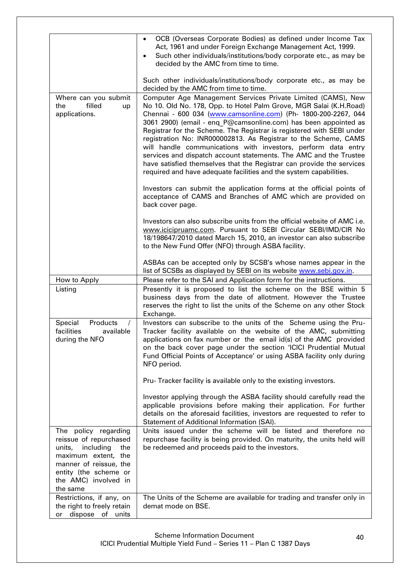|                                                                                                                                                                                            | OCB (Overseas Corporate Bodies) as defined under Income Tax<br>Act, 1961 and under Foreign Exchange Management Act, 1999.<br>Such other individuals/institutions/body corporate etc., as may be<br>decided by the AMC from time to time.                                                                                                                                                                                                                                                                                                                                                                                                                                                                 |
|--------------------------------------------------------------------------------------------------------------------------------------------------------------------------------------------|----------------------------------------------------------------------------------------------------------------------------------------------------------------------------------------------------------------------------------------------------------------------------------------------------------------------------------------------------------------------------------------------------------------------------------------------------------------------------------------------------------------------------------------------------------------------------------------------------------------------------------------------------------------------------------------------------------|
|                                                                                                                                                                                            | Such other individuals/institutions/body corporate etc., as may be<br>decided by the AMC from time to time.                                                                                                                                                                                                                                                                                                                                                                                                                                                                                                                                                                                              |
| Where can you submit<br>filled<br>the<br>up<br>applications.                                                                                                                               | Computer Age Management Services Private Limited (CAMS), New<br>No 10. Old No. 178, Opp. to Hotel Palm Grove, MGR Salai (K.H.Road)<br>Chennai - 600 034 (www.camsonline.com) (Ph- 1800-200-2267, 044<br>3061 2900) (email - eng P@camsonline.com) has been appointed as<br>Registrar for the Scheme. The Registrar is registered with SEBI under<br>registration No: INR000002813. As Registrar to the Scheme, CAMS<br>will handle communications with investors, perform data entry<br>services and dispatch account statements. The AMC and the Trustee<br>have satisfied themselves that the Registrar can provide the services<br>required and have adequate facilities and the system capabilities. |
|                                                                                                                                                                                            | Investors can submit the application forms at the official points of<br>acceptance of CAMS and Branches of AMC which are provided on<br>back cover page.                                                                                                                                                                                                                                                                                                                                                                                                                                                                                                                                                 |
|                                                                                                                                                                                            | Investors can also subscribe units from the official website of AMC i.e.<br>www.icicipruamc.com. Pursuant to SEBI Circular SEBI/IMD/CIR No<br>18/198647/2010 dated March 15, 2010, an investor can also subscribe<br>to the New Fund Offer (NFO) through ASBA facility.                                                                                                                                                                                                                                                                                                                                                                                                                                  |
|                                                                                                                                                                                            | ASBAs can be accepted only by SCSB's whose names appear in the<br>list of SCSBs as displayed by SEBI on its website www.sebi.gov.in.                                                                                                                                                                                                                                                                                                                                                                                                                                                                                                                                                                     |
| How to Apply                                                                                                                                                                               | Please refer to the SAI and Application form for the instructions.                                                                                                                                                                                                                                                                                                                                                                                                                                                                                                                                                                                                                                       |
| Listing                                                                                                                                                                                    | Presently it is proposed to list the scheme on the BSE within 5<br>business days from the date of allotment. However the Trustee<br>reserves the right to list the units of the Scheme on any other Stock<br>Exchange.                                                                                                                                                                                                                                                                                                                                                                                                                                                                                   |
| Special<br>Products<br>$\prime$<br>facilities<br>available<br>during the NFO                                                                                                               | Investors can subscribe to the units of the Scheme using the Pru-<br>Tracker facility available on the website of the AMC, submitting<br>applications on fax number or the email id(s) of the AMC provided<br>on the back cover page under the section 'ICICI Prudential Mutual<br>Fund Official Points of Acceptance' or using ASBA facility only during<br>NFO period.                                                                                                                                                                                                                                                                                                                                 |
|                                                                                                                                                                                            | Pru-Tracker facility is available only to the existing investors.                                                                                                                                                                                                                                                                                                                                                                                                                                                                                                                                                                                                                                        |
|                                                                                                                                                                                            | Investor applying through the ASBA facility should carefully read the<br>applicable provisions before making their application. For further<br>details on the aforesaid facilities, investors are requested to refer to<br>Statement of Additional Information (SAI).                                                                                                                                                                                                                                                                                                                                                                                                                                    |
| The policy regarding<br>reissue of repurchased<br>including<br>units,<br>the<br>maximum extent, the<br>manner of reissue, the<br>entity (the scheme or<br>the AMC) involved in<br>the same | Units issued under the scheme will be listed and therefore no<br>repurchase facility is being provided. On maturity, the units held will<br>be redeemed and proceeds paid to the investors.                                                                                                                                                                                                                                                                                                                                                                                                                                                                                                              |
| Restrictions, if any, on<br>the right to freely retain<br>dispose of units                                                                                                                 | The Units of the Scheme are available for trading and transfer only in<br>demat mode on BSE.                                                                                                                                                                                                                                                                                                                                                                                                                                                                                                                                                                                                             |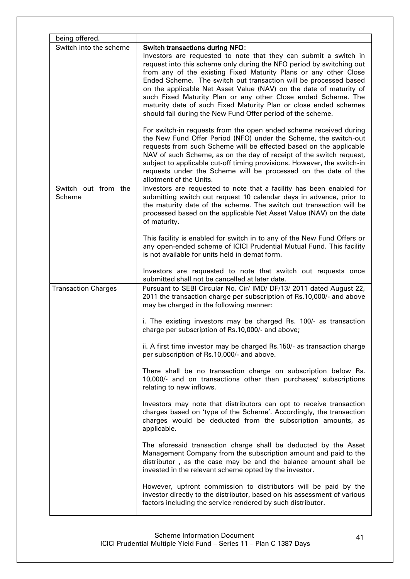| being offered.             |                                                                                                                                                                                                                                                                                                                                                                                                                                                                                                                                                                                                                                                                                                                                                                                                                                                                                                                                                                       |
|----------------------------|-----------------------------------------------------------------------------------------------------------------------------------------------------------------------------------------------------------------------------------------------------------------------------------------------------------------------------------------------------------------------------------------------------------------------------------------------------------------------------------------------------------------------------------------------------------------------------------------------------------------------------------------------------------------------------------------------------------------------------------------------------------------------------------------------------------------------------------------------------------------------------------------------------------------------------------------------------------------------|
| Switch into the scheme     | <b>Switch transactions during NFO:</b><br>Investors are requested to note that they can submit a switch in<br>request into this scheme only during the NFO period by switching out<br>from any of the existing Fixed Maturity Plans or any other Close<br>Ended Scheme. The switch out transaction will be processed based<br>on the applicable Net Asset Value (NAV) on the date of maturity of<br>such Fixed Maturity Plan or any other Close ended Scheme. The<br>maturity date of such Fixed Maturity Plan or close ended schemes<br>should fall during the New Fund Offer period of the scheme.<br>For switch-in requests from the open ended scheme received during<br>the New Fund Offer Period (NFO) under the Scheme, the switch-out<br>requests from such Scheme will be effected based on the applicable<br>NAV of such Scheme, as on the day of receipt of the switch request,<br>subject to applicable cut-off timing provisions. However, the switch-in |
| Switch out from the        | requests under the Scheme will be processed on the date of the<br>allotment of the Units.<br>Investors are requested to note that a facility has been enabled for                                                                                                                                                                                                                                                                                                                                                                                                                                                                                                                                                                                                                                                                                                                                                                                                     |
| <b>Scheme</b>              | submitting switch out request 10 calendar days in advance, prior to<br>the maturity date of the scheme. The switch out transaction will be<br>processed based on the applicable Net Asset Value (NAV) on the date<br>of maturity.                                                                                                                                                                                                                                                                                                                                                                                                                                                                                                                                                                                                                                                                                                                                     |
|                            | This facility is enabled for switch in to any of the New Fund Offers or<br>any open-ended scheme of ICICI Prudential Mutual Fund. This facility<br>is not available for units held in demat form.                                                                                                                                                                                                                                                                                                                                                                                                                                                                                                                                                                                                                                                                                                                                                                     |
|                            | Investors are requested to note that switch out requests once<br>submitted shall not be cancelled at later date.                                                                                                                                                                                                                                                                                                                                                                                                                                                                                                                                                                                                                                                                                                                                                                                                                                                      |
| <b>Transaction Charges</b> | Pursuant to SEBI Circular No. Cir/ IMD/ DF/13/ 2011 dated August 22,<br>2011 the transaction charge per subscription of Rs.10,000/- and above<br>may be charged in the following manner:                                                                                                                                                                                                                                                                                                                                                                                                                                                                                                                                                                                                                                                                                                                                                                              |
|                            | i. The existing investors may be charged Rs. 100/- as transaction<br>charge per subscription of Rs.10,000/- and above;                                                                                                                                                                                                                                                                                                                                                                                                                                                                                                                                                                                                                                                                                                                                                                                                                                                |
|                            | ii. A first time investor may be charged Rs.150/- as transaction charge<br>per subscription of Rs.10,000/- and above.                                                                                                                                                                                                                                                                                                                                                                                                                                                                                                                                                                                                                                                                                                                                                                                                                                                 |
|                            | There shall be no transaction charge on subscription below Rs.<br>10,000/- and on transactions other than purchases/ subscriptions<br>relating to new inflows.                                                                                                                                                                                                                                                                                                                                                                                                                                                                                                                                                                                                                                                                                                                                                                                                        |
|                            | Investors may note that distributors can opt to receive transaction<br>charges based on 'type of the Scheme'. Accordingly, the transaction<br>charges would be deducted from the subscription amounts, as<br>applicable.                                                                                                                                                                                                                                                                                                                                                                                                                                                                                                                                                                                                                                                                                                                                              |
|                            | The aforesaid transaction charge shall be deducted by the Asset<br>Management Company from the subscription amount and paid to the<br>distributor, as the case may be and the balance amount shall be<br>invested in the relevant scheme opted by the investor.                                                                                                                                                                                                                                                                                                                                                                                                                                                                                                                                                                                                                                                                                                       |
|                            | However, upfront commission to distributors will be paid by the<br>investor directly to the distributor, based on his assessment of various<br>factors including the service rendered by such distributor.                                                                                                                                                                                                                                                                                                                                                                                                                                                                                                                                                                                                                                                                                                                                                            |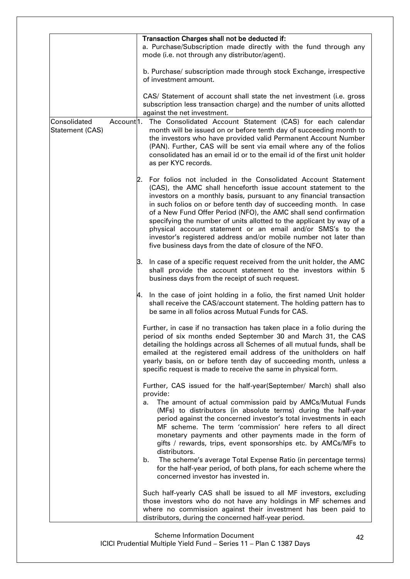|                                 |                        | Transaction Charges shall not be deducted if:<br>a. Purchase/Subscription made directly with the fund through any<br>mode (i.e. not through any distributor/agent).                                                                                                                                                                                                                                                                                                                                                                                                                                                                                                                        |
|---------------------------------|------------------------|--------------------------------------------------------------------------------------------------------------------------------------------------------------------------------------------------------------------------------------------------------------------------------------------------------------------------------------------------------------------------------------------------------------------------------------------------------------------------------------------------------------------------------------------------------------------------------------------------------------------------------------------------------------------------------------------|
|                                 |                        | b. Purchase/ subscription made through stock Exchange, irrespective<br>of investment amount.                                                                                                                                                                                                                                                                                                                                                                                                                                                                                                                                                                                               |
|                                 |                        | CAS/ Statement of account shall state the net investment (i.e. gross<br>subscription less transaction charge) and the number of units allotted<br>against the net investment.                                                                                                                                                                                                                                                                                                                                                                                                                                                                                                              |
| Consolidated<br>Statement (CAS) | Account <sup>1</sup> . | The Consolidated Account Statement (CAS) for each calendar<br>month will be issued on or before tenth day of succeeding month to<br>the investors who have provided valid Permanent Account Number<br>(PAN). Further, CAS will be sent via email where any of the folios<br>consolidated has an email id or to the email id of the first unit holder<br>as per KYC records.                                                                                                                                                                                                                                                                                                                |
|                                 |                        | For folios not included in the Consolidated Account Statement<br>l2.<br>(CAS), the AMC shall henceforth issue account statement to the<br>investors on a monthly basis, pursuant to any financial transaction<br>in such folios on or before tenth day of succeeding month. In case<br>of a New Fund Offer Period (NFO), the AMC shall send confirmation<br>specifying the number of units allotted to the applicant by way of a<br>physical account statement or an email and/or SMS's to the<br>investor's registered address and/or mobile number not later than<br>five business days from the date of closure of the NFO.                                                             |
|                                 |                        | In case of a specific request received from the unit holder, the AMC<br>З.<br>shall provide the account statement to the investors within 5<br>business days from the receipt of such request.                                                                                                                                                                                                                                                                                                                                                                                                                                                                                             |
|                                 |                        | In the case of joint holding in a folio, the first named Unit holder<br>4.<br>shall receive the CAS/account statement. The holding pattern has to<br>be same in all folios across Mutual Funds for CAS.                                                                                                                                                                                                                                                                                                                                                                                                                                                                                    |
|                                 |                        | Further, in case if no transaction has taken place in a folio during the<br>period of six months ended September 30 and March 31, the CAS<br>detailing the holdings across all Schemes of all mutual funds, shall be<br>emailed at the registered email address of the unitholders on half<br>yearly basis, on or before tenth day of succeeding month, unless a<br>specific request is made to receive the same in physical form.                                                                                                                                                                                                                                                         |
|                                 |                        | Further, CAS issued for the half-year(September/ March) shall also<br>provide:<br>The amount of actual commission paid by AMCs/Mutual Funds<br>a.<br>(MFs) to distributors (in absolute terms) during the half-year<br>period against the concerned investor's total investments in each<br>MF scheme. The term 'commission' here refers to all direct<br>monetary payments and other payments made in the form of<br>gifts / rewards, trips, event sponsorships etc. by AMCs/MFs to<br>distributors.<br>The scheme's average Total Expense Ratio (in percentage terms)<br>b.<br>for the half-year period, of both plans, for each scheme where the<br>concerned investor has invested in. |
|                                 |                        | Such half-yearly CAS shall be issued to all MF investors, excluding<br>those investors who do not have any holdings in MF schemes and<br>where no commission against their investment has been paid to<br>distributors, during the concerned half-year period.                                                                                                                                                                                                                                                                                                                                                                                                                             |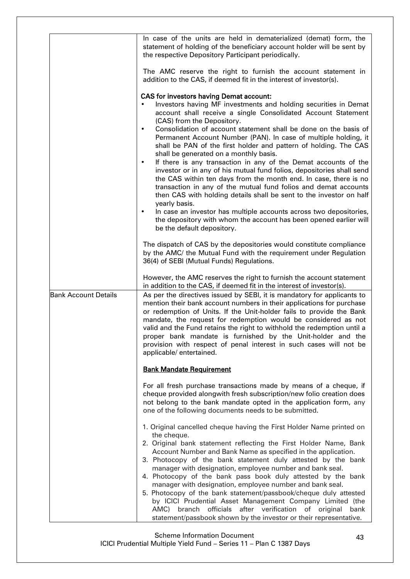|                             | In case of the units are held in dematerialized (demat) form, the<br>statement of holding of the beneficiary account holder will be sent by<br>the respective Depository Participant periodically.<br>The AMC reserve the right to furnish the account statement in<br>addition to the CAS, if deemed fit in the interest of investor(s).<br><b>CAS for investors having Demat account:</b><br>Investors having MF investments and holding securities in Demat<br>account shall receive a single Consolidated Account Statement<br>(CAS) from the Depository.<br>Consolidation of account statement shall be done on the basis of<br>Permanent Account Number (PAN). In case of multiple holding, it<br>shall be PAN of the first holder and pattern of holding. The CAS<br>shall be generated on a monthly basis.<br>If there is any transaction in any of the Demat accounts of the<br>٠<br>investor or in any of his mutual fund folios, depositories shall send<br>the CAS within ten days from the month end. In case, there is no<br>transaction in any of the mutual fund folios and demat accounts<br>then CAS with holding details shall be sent to the investor on half<br>yearly basis.<br>In case an investor has multiple accounts across two depositories,<br>the depository with whom the account has been opened earlier will<br>be the default depository.<br>The dispatch of CAS by the depositories would constitute compliance |
|-----------------------------|----------------------------------------------------------------------------------------------------------------------------------------------------------------------------------------------------------------------------------------------------------------------------------------------------------------------------------------------------------------------------------------------------------------------------------------------------------------------------------------------------------------------------------------------------------------------------------------------------------------------------------------------------------------------------------------------------------------------------------------------------------------------------------------------------------------------------------------------------------------------------------------------------------------------------------------------------------------------------------------------------------------------------------------------------------------------------------------------------------------------------------------------------------------------------------------------------------------------------------------------------------------------------------------------------------------------------------------------------------------------------------------------------------------------------------------------------|
|                             | by the AMC/ the Mutual Fund with the requirement under Regulation<br>36(4) of SEBI (Mutual Funds) Regulations.                                                                                                                                                                                                                                                                                                                                                                                                                                                                                                                                                                                                                                                                                                                                                                                                                                                                                                                                                                                                                                                                                                                                                                                                                                                                                                                                     |
|                             | However, the AMC reserves the right to furnish the account statement<br>in addition to the CAS, if deemed fit in the interest of investor(s).                                                                                                                                                                                                                                                                                                                                                                                                                                                                                                                                                                                                                                                                                                                                                                                                                                                                                                                                                                                                                                                                                                                                                                                                                                                                                                      |
| <b>Bank Account Details</b> | As per the directives issued by SEBI, it is mandatory for applicants to<br>mention their bank account numbers in their applications for purchase<br>or redemption of Units. If the Unit-holder fails to provide the Bank<br>mandate, the request for redemption would be considered as not<br>valid and the Fund retains the right to withhold the redemption until a<br>proper bank mandate is furnished by the Unit-holder and the<br>provision with respect of penal interest in such cases will not be<br>applicable/entertained.                                                                                                                                                                                                                                                                                                                                                                                                                                                                                                                                                                                                                                                                                                                                                                                                                                                                                                              |
|                             | <b>Bank Mandate Requirement</b>                                                                                                                                                                                                                                                                                                                                                                                                                                                                                                                                                                                                                                                                                                                                                                                                                                                                                                                                                                                                                                                                                                                                                                                                                                                                                                                                                                                                                    |
|                             | For all fresh purchase transactions made by means of a cheque, if<br>cheque provided alongwith fresh subscription/new folio creation does<br>not belong to the bank mandate opted in the application form, any<br>one of the following documents needs to be submitted.                                                                                                                                                                                                                                                                                                                                                                                                                                                                                                                                                                                                                                                                                                                                                                                                                                                                                                                                                                                                                                                                                                                                                                            |
|                             | 1. Original cancelled cheque having the First Holder Name printed on<br>the cheque.<br>2. Original bank statement reflecting the First Holder Name, Bank<br>Account Number and Bank Name as specified in the application.<br>3. Photocopy of the bank statement duly attested by the bank<br>manager with designation, employee number and bank seal.<br>4. Photocopy of the bank pass book duly attested by the bank<br>manager with designation, employee number and bank seal.<br>5. Photocopy of the bank statement/passbook/cheque duly attested<br>by ICICI Prudential Asset Management Company Limited (the<br>officials after verification of original<br>AMC) branch<br>bank<br>statement/passbook shown by the investor or their representative.                                                                                                                                                                                                                                                                                                                                                                                                                                                                                                                                                                                                                                                                                         |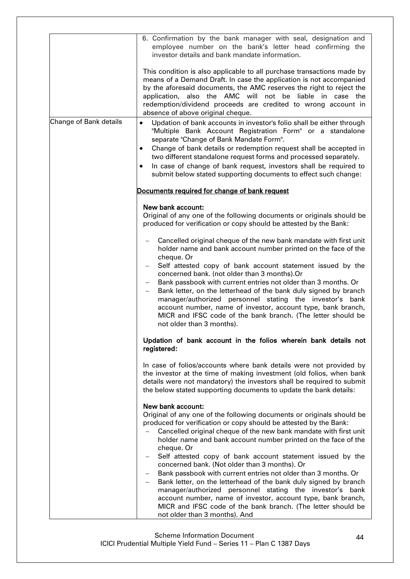|                        | 6. Confirmation by the bank manager with seal, designation and<br>employee number on the bank's letter head confirming the<br>investor details and bank mandate information.                                                                                                                                                                                                                                                                                                                                                                                                                                                                               |
|------------------------|------------------------------------------------------------------------------------------------------------------------------------------------------------------------------------------------------------------------------------------------------------------------------------------------------------------------------------------------------------------------------------------------------------------------------------------------------------------------------------------------------------------------------------------------------------------------------------------------------------------------------------------------------------|
|                        | This condition is also applicable to all purchase transactions made by<br>means of a Demand Draft. In case the application is not accompanied<br>by the aforesaid documents, the AMC reserves the right to reject the<br>application, also the AMC will not be liable in case the<br>redemption/dividend proceeds are credited to wrong account in<br>absence of above original cheque.                                                                                                                                                                                                                                                                    |
| Change of Bank details | Updation of bank accounts in investor's folio shall be either through<br>$\bullet$<br>"Multiple Bank Account Registration Form" or a standalone<br>separate "Change of Bank Mandate Form".<br>Change of bank details or redemption request shall be accepted in<br>$\bullet$<br>two different standalone request forms and processed separately.<br>In case of change of bank request, investors shall be required to<br>$\bullet$<br>submit below stated supporting documents to effect such change:                                                                                                                                                      |
|                        | Documents required for change of bank request                                                                                                                                                                                                                                                                                                                                                                                                                                                                                                                                                                                                              |
|                        | New bank account:<br>Original of any one of the following documents or originals should be<br>produced for verification or copy should be attested by the Bank:                                                                                                                                                                                                                                                                                                                                                                                                                                                                                            |
|                        | Cancelled original cheque of the new bank mandate with first unit<br>holder name and bank account number printed on the face of the<br>cheque. Or<br>Self attested copy of bank account statement issued by the<br>$\qquad \qquad -$<br>concerned bank. (not older than 3 months).Or<br>Bank passbook with current entries not older than 3 months. Or<br>$-$<br>Bank letter, on the letterhead of the bank duly signed by branch<br>manager/authorized personnel stating the investor's bank<br>account number, name of investor, account type, bank branch,<br>MICR and IFSC code of the bank branch. (The letter should be<br>not older than 3 months). |
|                        | Updation of bank account in the folios wherein bank details not<br>registered:                                                                                                                                                                                                                                                                                                                                                                                                                                                                                                                                                                             |
|                        | In case of folios/accounts where bank details were not provided by<br>the investor at the time of making investment (old folios, when bank<br>details were not mandatory) the investors shall be required to submit<br>the below stated supporting documents to update the bank details:                                                                                                                                                                                                                                                                                                                                                                   |
|                        | New bank account:<br>Original of any one of the following documents or originals should be<br>produced for verification or copy should be attested by the Bank:<br>Cancelled original cheque of the new bank mandate with first unit<br>holder name and bank account number printed on the face of the<br>cheque. Or                                                                                                                                                                                                                                                                                                                                       |
|                        | Self attested copy of bank account statement issued by the<br>$\qquad \qquad -$<br>concerned bank. (Not older than 3 months). Or<br>Bank passbook with current entries not older than 3 months. Or<br>Bank letter, on the letterhead of the bank duly signed by branch<br>manager/authorized personnel stating the investor's bank<br>account number, name of investor, account type, bank branch,<br>MICR and IFSC code of the bank branch. (The letter should be<br>not older than 3 months). And                                                                                                                                                        |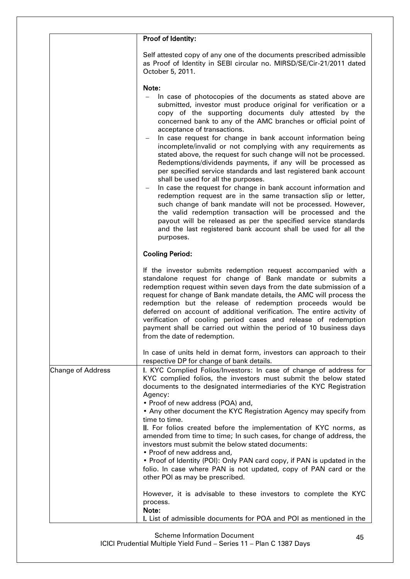|                          | Proof of Identity:                                                                                                                                                                                                                                                                                                                                                                                                                                                                                                                                                                                                                                                                                                                                                                                                                                                                                                                                                                                                                                                                                |
|--------------------------|---------------------------------------------------------------------------------------------------------------------------------------------------------------------------------------------------------------------------------------------------------------------------------------------------------------------------------------------------------------------------------------------------------------------------------------------------------------------------------------------------------------------------------------------------------------------------------------------------------------------------------------------------------------------------------------------------------------------------------------------------------------------------------------------------------------------------------------------------------------------------------------------------------------------------------------------------------------------------------------------------------------------------------------------------------------------------------------------------|
|                          | Self attested copy of any one of the documents prescribed admissible<br>as Proof of Identity in SEBI circular no. MIRSD/SE/Cir-21/2011 dated<br>October 5, 2011.                                                                                                                                                                                                                                                                                                                                                                                                                                                                                                                                                                                                                                                                                                                                                                                                                                                                                                                                  |
|                          | Note:<br>In case of photocopies of the documents as stated above are<br>submitted, investor must produce original for verification or a<br>copy of the supporting documents duly attested by the<br>concerned bank to any of the AMC branches or official point of<br>acceptance of transactions.<br>In case request for change in bank account information being<br>incomplete/invalid or not complying with any requirements as<br>stated above, the request for such change will not be processed.<br>Redemptions/dividends payments, if any will be processed as<br>per specified service standards and last registered bank account<br>shall be used for all the purposes.<br>In case the request for change in bank account information and<br>redemption request are in the same transaction slip or letter,<br>such change of bank mandate will not be processed. However,<br>the valid redemption transaction will be processed and the<br>payout will be released as per the specified service standards<br>and the last registered bank account shall be used for all the<br>purposes. |
|                          | <b>Cooling Period:</b>                                                                                                                                                                                                                                                                                                                                                                                                                                                                                                                                                                                                                                                                                                                                                                                                                                                                                                                                                                                                                                                                            |
|                          | If the investor submits redemption request accompanied with a<br>standalone request for change of Bank mandate or submits a<br>redemption request within seven days from the date submission of a<br>request for change of Bank mandate details, the AMC will process the<br>redemption but the release of redemption proceeds would be<br>deferred on account of additional verification. The entire activity of<br>verification of cooling period cases and release of redemption<br>payment shall be carried out within the period of 10 business days<br>from the date of redemption.                                                                                                                                                                                                                                                                                                                                                                                                                                                                                                         |
|                          | In case of units held in demat form, investors can approach to their<br>respective DP for change of bank details.                                                                                                                                                                                                                                                                                                                                                                                                                                                                                                                                                                                                                                                                                                                                                                                                                                                                                                                                                                                 |
| <b>Change of Address</b> | I. KYC Complied Folios/Investors: In case of change of address for<br>KYC complied folios, the investors must submit the below stated<br>documents to the designated intermediaries of the KYC Registration<br>Agency:<br>• Proof of new address (POA) and,<br>• Any other document the KYC Registration Agency may specify from<br>time to time.<br>II. For folios created before the implementation of KYC norms, as<br>amended from time to time; In such cases, for change of address, the<br>investors must submit the below stated documents:                                                                                                                                                                                                                                                                                                                                                                                                                                                                                                                                               |
|                          | • Proof of new address and,<br>• Proof of Identity (POI): Only PAN card copy, if PAN is updated in the<br>folio. In case where PAN is not updated, copy of PAN card or the<br>other POI as may be prescribed.                                                                                                                                                                                                                                                                                                                                                                                                                                                                                                                                                                                                                                                                                                                                                                                                                                                                                     |
|                          | However, it is advisable to these investors to complete the KYC<br>process.<br>Note:<br>I. List of admissible documents for POA and POI as mentioned in the                                                                                                                                                                                                                                                                                                                                                                                                                                                                                                                                                                                                                                                                                                                                                                                                                                                                                                                                       |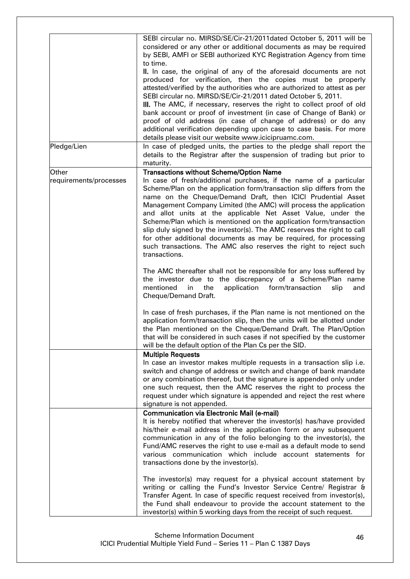|                        | SEBI circular no. MIRSD/SE/Cir-21/2011 dated October 5, 2011 will be<br>considered or any other or additional documents as may be required<br>by SEBI, AMFI or SEBI authorized KYC Registration Agency from time<br>to time.<br>II. In case, the original of any of the aforesaid documents are not<br>produced for verification, then the copies must be properly<br>attested/verified by the authorities who are authorized to attest as per<br>SEBI circular no. MIRSD/SE/Cir-21/2011 dated October 5, 2011.<br>III. The AMC, if necessary, reserves the right to collect proof of old<br>bank account or proof of investment (in case of Change of Bank) or<br>proof of old address (in case of change of address) or do any |
|------------------------|----------------------------------------------------------------------------------------------------------------------------------------------------------------------------------------------------------------------------------------------------------------------------------------------------------------------------------------------------------------------------------------------------------------------------------------------------------------------------------------------------------------------------------------------------------------------------------------------------------------------------------------------------------------------------------------------------------------------------------|
|                        | additional verification depending upon case to case basis. For more<br>details please visit our website www.icicipruamc.com.                                                                                                                                                                                                                                                                                                                                                                                                                                                                                                                                                                                                     |
| Pledge/Lien            | In case of pledged units, the parties to the pledge shall report the<br>details to the Registrar after the suspension of trading but prior to<br>maturity.                                                                                                                                                                                                                                                                                                                                                                                                                                                                                                                                                                       |
| Other                  | <b>Transactions without Scheme/Option Name</b>                                                                                                                                                                                                                                                                                                                                                                                                                                                                                                                                                                                                                                                                                   |
| requirements/processes | In case of fresh/additional purchases, if the name of a particular<br>Scheme/Plan on the application form/transaction slip differs from the<br>name on the Cheque/Demand Draft, then ICICI Prudential Asset<br>Management Company Limited (the AMC) will process the application<br>and allot units at the applicable Net Asset Value, under the<br>Scheme/Plan which is mentioned on the application form/transaction<br>slip duly signed by the investor(s). The AMC reserves the right to call<br>for other additional documents as may be required, for processing<br>such transactions. The AMC also reserves the right to reject such<br>transactions.                                                                     |
|                        | The AMC thereafter shall not be responsible for any loss suffered by<br>the investor due to the discrepancy of a Scheme/Plan name<br>mentioned<br>the<br>in<br>application<br>form/transaction<br>slip<br>and<br>Cheque/Demand Draft.                                                                                                                                                                                                                                                                                                                                                                                                                                                                                            |
|                        | In case of fresh purchases, if the Plan name is not mentioned on the<br>application form/transaction slip, then the units will be allotted under<br>the Plan mentioned on the Cheque/Demand Draft. The Plan/Option<br>that will be considered in such cases if not specified by the customer<br>will be the default option of the Plan Cs per the SID.                                                                                                                                                                                                                                                                                                                                                                           |
|                        | <b>Multiple Requests</b><br>In case an investor makes multiple requests in a transaction slip i.e.<br>switch and change of address or switch and change of bank mandate<br>or any combination thereof, but the signature is appended only under<br>one such request, then the AMC reserves the right to process the<br>request under which signature is appended and reject the rest where<br>signature is not appended.                                                                                                                                                                                                                                                                                                         |
|                        | <b>Communication via Electronic Mail (e-mail)</b><br>It is hereby notified that wherever the investor(s) has/have provided<br>his/their e-mail address in the application form or any subsequent<br>communication in any of the folio belonging to the investor(s), the<br>Fund/AMC reserves the right to use e-mail as a default mode to send<br>various communication which include account statements for<br>transactions done by the investor(s).                                                                                                                                                                                                                                                                            |
|                        | The investor(s) may request for a physical account statement by<br>writing or calling the Fund's Investor Service Centre/ Registrar &<br>Transfer Agent. In case of specific request received from investor(s),<br>the Fund shall endeavour to provide the account statement to the<br>investor(s) within 5 working days from the receipt of such request.                                                                                                                                                                                                                                                                                                                                                                       |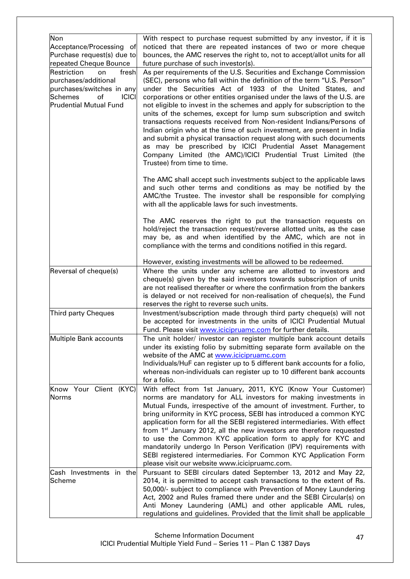| Non<br>Acceptance/Processing of<br>Purchase request(s) due to<br>repeated Cheque Bounce                                 | With respect to purchase request submitted by any investor, if it is<br>noticed that there are repeated instances of two or more cheque<br>bounces, the AMC reserves the right to, not to accept/allot units for all<br>future purchase of such investor(s).                                                                                                                                                                                                                                                                      |
|-------------------------------------------------------------------------------------------------------------------------|-----------------------------------------------------------------------------------------------------------------------------------------------------------------------------------------------------------------------------------------------------------------------------------------------------------------------------------------------------------------------------------------------------------------------------------------------------------------------------------------------------------------------------------|
| Restriction<br>fresh<br>on<br>purchases/additional<br>purchases/switches in any<br><b>ICICI</b><br><b>Schemes</b><br>of | As per requirements of the U.S. Securities and Exchange Commission<br>(SEC), persons who fall within the definition of the term "U.S. Person"<br>under the Securities Act of 1933 of the United States, and<br>corporations or other entities organised under the laws of the U.S. are                                                                                                                                                                                                                                            |
| <b>Prudential Mutual Fund</b>                                                                                           | not eligible to invest in the schemes and apply for subscription to the<br>units of the schemes, except for lump sum subscription and switch<br>transactions requests received from Non-resident Indians/Persons of<br>Indian origin who at the time of such investment, are present in India<br>and submit a physical transaction request along with such documents<br>as may be prescribed by ICICI Prudential Asset Management<br>Company Limited (the AMC)/ICICI Prudential Trust Limited (the<br>Trustee) from time to time. |
|                                                                                                                         | The AMC shall accept such investments subject to the applicable laws<br>and such other terms and conditions as may be notified by the<br>AMC/the Trustee. The investor shall be responsible for complying<br>with all the applicable laws for such investments.                                                                                                                                                                                                                                                                   |
|                                                                                                                         | The AMC reserves the right to put the transaction requests on<br>hold/reject the transaction request/reverse allotted units, as the case<br>may be, as and when identified by the AMC, which are not in<br>compliance with the terms and conditions notified in this regard.                                                                                                                                                                                                                                                      |
|                                                                                                                         | However, existing investments will be allowed to be redeemed.                                                                                                                                                                                                                                                                                                                                                                                                                                                                     |
| Reversal of cheque(s)                                                                                                   | Where the units under any scheme are allotted to investors and<br>cheque(s) given by the said investors towards subscription of units<br>are not realised thereafter or where the confirmation from the bankers<br>is delayed or not received for non-realisation of cheque(s), the Fund<br>reserves the right to reverse such units.                                                                                                                                                                                             |
| Third party Cheques                                                                                                     | Investment/subscription made through third party cheque(s) will not<br>be accepted for investments in the units of ICICI Prudential Mutual<br>Fund. Please visit www.icicipruamc.com for further details.                                                                                                                                                                                                                                                                                                                         |
| Multiple Bank accounts                                                                                                  | The unit holder/ investor can register multiple bank account details<br>under its existing folio by submitting separate form available on the<br>website of the AMC at www.icicipruamc.com<br>Individuals/HuF can register up to 5 different bank accounts for a folio,                                                                                                                                                                                                                                                           |
|                                                                                                                         | whereas non-individuals can register up to 10 different bank accounts<br>for a folio.                                                                                                                                                                                                                                                                                                                                                                                                                                             |
| Know Your Client (KYC)<br><b>Norms</b>                                                                                  | With effect from 1st January, 2011, KYC (Know Your Customer)<br>norms are mandatory for ALL investors for making investments in<br>Mutual Funds, irrespective of the amount of investment. Further, to                                                                                                                                                                                                                                                                                                                            |
|                                                                                                                         | bring uniformity in KYC process, SEBI has introduced a common KYC<br>application form for all the SEBI registered intermediaries. With effect                                                                                                                                                                                                                                                                                                                                                                                     |
|                                                                                                                         | from 1 <sup>st</sup> January 2012, all the new investors are therefore requested<br>to use the Common KYC application form to apply for KYC and                                                                                                                                                                                                                                                                                                                                                                                   |
|                                                                                                                         | mandatorily undergo In Person Verification (IPV) requirements with<br>SEBI registered intermediaries. For Common KYC Application Form<br>please visit our website www.icicipruamc.com.                                                                                                                                                                                                                                                                                                                                            |
| Cash Investments in the                                                                                                 | Pursuant to SEBI circulars dated September 13, 2012 and May 22,                                                                                                                                                                                                                                                                                                                                                                                                                                                                   |
| Scheme                                                                                                                  | 2014, it is permitted to accept cash transactions to the extent of Rs.<br>50,000/- subject to compliance with Prevention of Money Laundering<br>Act, 2002 and Rules framed there under and the SEBI Circular(s) on                                                                                                                                                                                                                                                                                                                |
|                                                                                                                         | Anti Money Laundering (AML) and other applicable AML rules,                                                                                                                                                                                                                                                                                                                                                                                                                                                                       |
|                                                                                                                         | regulations and guidelines. Provided that the limit shall be applicable                                                                                                                                                                                                                                                                                                                                                                                                                                                           |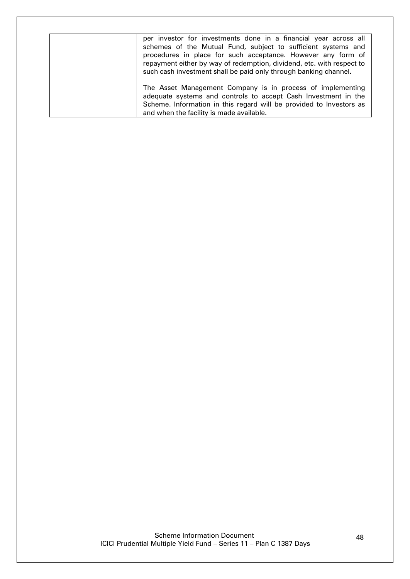<span id="page-47-0"></span>

| per investor for investments done in a financial year across all<br>schemes of the Mutual Fund, subject to sufficient systems and<br>procedures in place for such acceptance. However any form of<br>repayment either by way of redemption, dividend, etc. with respect to<br>such cash investment shall be paid only through banking channel. |
|------------------------------------------------------------------------------------------------------------------------------------------------------------------------------------------------------------------------------------------------------------------------------------------------------------------------------------------------|
| The Asset Management Company is in process of implementing<br>adequate systems and controls to accept Cash Investment in the<br>Scheme. Information in this regard will be provided to Investors as<br>and when the facility is made available.                                                                                                |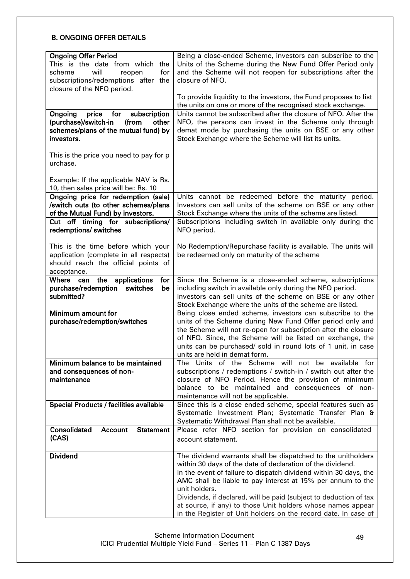# B. ONGOING OFFER DETAILS

| <b>Ongoing Offer Period</b><br>This is the date from which the<br>will<br>for<br>scheme<br>reopen<br>subscriptions/redemptions after the<br>closure of the NFO period. | Being a close-ended Scheme, investors can subscribe to the<br>Units of the Scheme during the New Fund Offer Period only<br>and the Scheme will not reopen for subscriptions after the<br>closure of NFO.                                                                                                                                                                                                                                                                             |  |  |
|------------------------------------------------------------------------------------------------------------------------------------------------------------------------|--------------------------------------------------------------------------------------------------------------------------------------------------------------------------------------------------------------------------------------------------------------------------------------------------------------------------------------------------------------------------------------------------------------------------------------------------------------------------------------|--|--|
|                                                                                                                                                                        | To provide liquidity to the investors, the Fund proposes to list<br>the units on one or more of the recognised stock exchange.                                                                                                                                                                                                                                                                                                                                                       |  |  |
| Ongoing<br>price<br>for<br>subscription<br>(purchase)/switch-in<br>(from<br>other<br>schemes/plans of the mutual fund) by<br>investors.                                | Units cannot be subscribed after the closure of NFO. After the<br>NFO, the persons can invest in the Scheme only through<br>demat mode by purchasing the units on BSE or any other<br>Stock Exchange where the Scheme will list its units.                                                                                                                                                                                                                                           |  |  |
| This is the price you need to pay for p<br>urchase.                                                                                                                    |                                                                                                                                                                                                                                                                                                                                                                                                                                                                                      |  |  |
| Example: If the applicable NAV is Rs.<br>10, then sales price will be: Rs. 10                                                                                          |                                                                                                                                                                                                                                                                                                                                                                                                                                                                                      |  |  |
| Ongoing price for redemption (sale)<br>/switch outs (to other schemes/plans<br>of the Mutual Fund) by investors.                                                       | Units cannot be redeemed before the maturity period.<br>Investors can sell units of the scheme on BSE or any other<br>Stock Exchange where the units of the scheme are listed.                                                                                                                                                                                                                                                                                                       |  |  |
| Cut off timing for subscriptions/<br>redemptions/ switches                                                                                                             | Subscriptions including switch in available only during the<br>NFO period.                                                                                                                                                                                                                                                                                                                                                                                                           |  |  |
|                                                                                                                                                                        |                                                                                                                                                                                                                                                                                                                                                                                                                                                                                      |  |  |
| This is the time before which your<br>application (complete in all respects)<br>should reach the official points of<br>acceptance.                                     | No Redemption/Repurchase facility is available. The units will<br>be redeemed only on maturity of the scheme                                                                                                                                                                                                                                                                                                                                                                         |  |  |
| applications<br>Where can the<br>for                                                                                                                                   | Since the Scheme is a close-ended scheme, subscriptions                                                                                                                                                                                                                                                                                                                                                                                                                              |  |  |
| purchase/redemption<br>switches<br>be<br>submitted?                                                                                                                    | including switch in available only during the NFO period.<br>Investors can sell units of the scheme on BSE or any other<br>Stock Exchange where the units of the scheme are listed.                                                                                                                                                                                                                                                                                                  |  |  |
| Minimum amount for<br>purchase/redemption/switches                                                                                                                     | Being close ended scheme, investors can subscribe to the<br>units of the Scheme during New Fund Offer period only and<br>the Scheme will not re-open for subscription after the closure<br>of NFO. Since, the Scheme will be listed on exchange, the<br>units can be purchased/ sold in round lots of 1 unit, in case<br>units are held in demat form.                                                                                                                               |  |  |
| Minimum balance to be maintained                                                                                                                                       | Units of the Scheme will not be available for<br>The                                                                                                                                                                                                                                                                                                                                                                                                                                 |  |  |
| and consequences of non-                                                                                                                                               | subscriptions / redemptions / switch-in / switch out after the                                                                                                                                                                                                                                                                                                                                                                                                                       |  |  |
| maintenance                                                                                                                                                            | closure of NFO Period. Hence the provision of minimum                                                                                                                                                                                                                                                                                                                                                                                                                                |  |  |
|                                                                                                                                                                        | balance to be maintained and consequences of non-                                                                                                                                                                                                                                                                                                                                                                                                                                    |  |  |
|                                                                                                                                                                        | maintenance will not be applicable.                                                                                                                                                                                                                                                                                                                                                                                                                                                  |  |  |
| <b>Special Products / facilities available</b>                                                                                                                         | Since this is a close ended scheme, special features such as<br>Systematic Investment Plan; Systematic Transfer Plan &<br>Systematic Withdrawal Plan shall not be available.                                                                                                                                                                                                                                                                                                         |  |  |
| Consolidated<br><b>Statement</b><br><b>Account</b><br>(CAS)                                                                                                            | Please refer NFO section for provision on consolidated<br>account statement.                                                                                                                                                                                                                                                                                                                                                                                                         |  |  |
| <b>Dividend</b>                                                                                                                                                        | The dividend warrants shall be dispatched to the unitholders<br>within 30 days of the date of declaration of the dividend.<br>In the event of failure to dispatch dividend within 30 days, the<br>AMC shall be liable to pay interest at 15% per annum to the<br>unit holders.<br>Dividends, if declared, will be paid (subject to deduction of tax<br>at source, if any) to those Unit holders whose names appear<br>in the Register of Unit holders on the record date. In case of |  |  |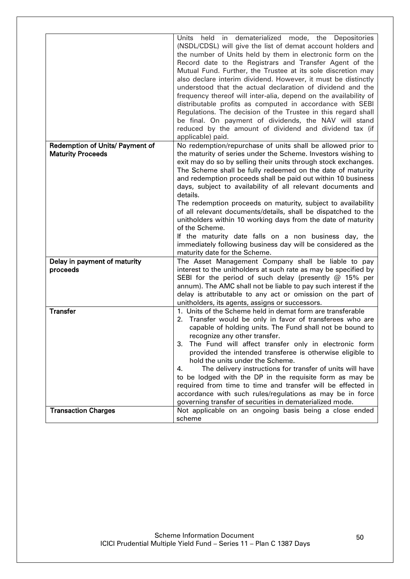|                                 | held in dematerialized mode, the Depositories<br>Units<br>(NSDL/CDSL) will give the list of demat account holders and<br>the number of Units held by them in electronic form on the<br>Record date to the Registrars and Transfer Agent of the<br>Mutual Fund. Further, the Trustee at its sole discretion may<br>also declare interim dividend. However, it must be distinctly<br>understood that the actual declaration of dividend and the<br>frequency thereof will inter-alia, depend on the availability of<br>distributable profits as computed in accordance with SEBI<br>Regulations. The decision of the Trustee in this regard shall<br>be final. On payment of dividends, the NAV will stand<br>reduced by the amount of dividend and dividend tax (if<br>applicable) paid. |  |
|---------------------------------|-----------------------------------------------------------------------------------------------------------------------------------------------------------------------------------------------------------------------------------------------------------------------------------------------------------------------------------------------------------------------------------------------------------------------------------------------------------------------------------------------------------------------------------------------------------------------------------------------------------------------------------------------------------------------------------------------------------------------------------------------------------------------------------------|--|
| Redemption of Units/ Payment of | No redemption/repurchase of units shall be allowed prior to                                                                                                                                                                                                                                                                                                                                                                                                                                                                                                                                                                                                                                                                                                                             |  |
| <b>Maturity Proceeds</b>        | the maturity of series under the Scheme. Investors wishing to<br>exit may do so by selling their units through stock exchanges.<br>The Scheme shall be fully redeemed on the date of maturity<br>and redemption proceeds shall be paid out within 10 business<br>days, subject to availability of all relevant documents and<br>details.<br>The redemption proceeds on maturity, subject to availability<br>of all relevant documents/details, shall be dispatched to the<br>unitholders within 10 working days from the date of maturity                                                                                                                                                                                                                                               |  |
|                                 | of the Scheme.                                                                                                                                                                                                                                                                                                                                                                                                                                                                                                                                                                                                                                                                                                                                                                          |  |
|                                 | If the maturity date falls on a non business day, the<br>immediately following business day will be considered as the<br>maturity date for the Scheme.                                                                                                                                                                                                                                                                                                                                                                                                                                                                                                                                                                                                                                  |  |
| Delay in payment of maturity    | The Asset Management Company shall be liable to pay                                                                                                                                                                                                                                                                                                                                                                                                                                                                                                                                                                                                                                                                                                                                     |  |
| proceeds                        | interest to the unitholders at such rate as may be specified by<br>SEBI for the period of such delay (presently $@$ 15% per<br>annum). The AMC shall not be liable to pay such interest if the<br>delay is attributable to any act or omission on the part of<br>unitholders, its agents, assigns or successors.                                                                                                                                                                                                                                                                                                                                                                                                                                                                        |  |
| <b>Transfer</b>                 | 1. Units of the Scheme held in demat form are transferable<br>2. Transfer would be only in favor of transferees who are<br>capable of holding units. The Fund shall not be bound to<br>recognize any other transfer.<br>The Fund will affect transfer only in electronic form<br>З.<br>provided the intended transferee is otherwise eligible to<br>hold the units under the Scheme.<br>The delivery instructions for transfer of units will have<br>4.<br>to be lodged with the DP in the requisite form as may be<br>required from time to time and transfer will be effected in<br>accordance with such rules/regulations as may be in force<br>governing transfer of securities in dematerialized mode.                                                                             |  |
| <b>Transaction Charges</b>      | Not applicable on an ongoing basis being a close ended                                                                                                                                                                                                                                                                                                                                                                                                                                                                                                                                                                                                                                                                                                                                  |  |
|                                 | scheme                                                                                                                                                                                                                                                                                                                                                                                                                                                                                                                                                                                                                                                                                                                                                                                  |  |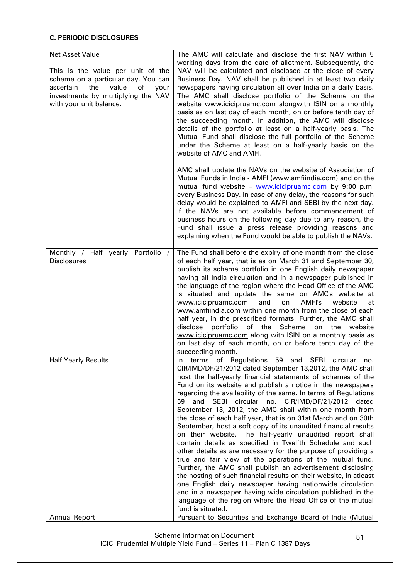# <span id="page-50-0"></span>C. PERIODIC DISCLOSURES

| Net Asset Value<br>This is the value per unit of the<br>scheme on a particular day. You can<br>the<br>value<br>of<br>your<br>ascertain<br>investments by multiplying the NAV<br>with your unit balance. | The AMC will calculate and disclose the first NAV within 5<br>working days from the date of allotment. Subsequently, the<br>NAV will be calculated and disclosed at the close of every<br>Business Day. NAV shall be published in at least two daily<br>newspapers having circulation all over India on a daily basis.<br>The AMC shall disclose portfolio of the Scheme on the<br>website www.icicipruamc.com alongwith ISIN on a monthly<br>basis as on last day of each month, on or before tenth day of<br>the succeeding month. In addition, the AMC will disclose<br>details of the portfolio at least on a half-yearly basis. The<br>Mutual Fund shall disclose the full portfolio of the Scheme<br>under the Scheme at least on a half-yearly basis on the<br>website of AMC and AMFI.                                                                                                                                                                                                                                                                                                                                                                           |
|---------------------------------------------------------------------------------------------------------------------------------------------------------------------------------------------------------|--------------------------------------------------------------------------------------------------------------------------------------------------------------------------------------------------------------------------------------------------------------------------------------------------------------------------------------------------------------------------------------------------------------------------------------------------------------------------------------------------------------------------------------------------------------------------------------------------------------------------------------------------------------------------------------------------------------------------------------------------------------------------------------------------------------------------------------------------------------------------------------------------------------------------------------------------------------------------------------------------------------------------------------------------------------------------------------------------------------------------------------------------------------------------|
|                                                                                                                                                                                                         | AMC shall update the NAVs on the website of Association of<br>Mutual Funds in India - AMFI (www.amfiindia.com) and on the<br>mutual fund website - www.icicipruamc.com by 9:00 p.m.<br>every Business Day. In case of any delay, the reasons for such<br>delay would be explained to AMFI and SEBI by the next day.<br>If the NAVs are not available before commencement of<br>business hours on the following day due to any reason, the<br>Fund shall issue a press release providing reasons and<br>explaining when the Fund would be able to publish the NAVs.                                                                                                                                                                                                                                                                                                                                                                                                                                                                                                                                                                                                       |
| Monthly / Half yearly Portfolio<br>$\sqrt{ }$<br><b>Disclosures</b>                                                                                                                                     | The Fund shall before the expiry of one month from the close<br>of each half year, that is as on March 31 and September 30,<br>publish its scheme portfolio in one English daily newspaper<br>having all India circulation and in a newspaper published in<br>the language of the region where the Head Office of the AMC<br>is situated and update the same on AMC's website at<br>www.icicipruamc.com<br>and<br><b>AMFI's</b><br>on<br>website<br>at<br>www.amfiindia.com within one month from the close of each<br>half year, in the prescribed formats. Further, the AMC shall<br>disclose<br>portfolio<br>of the<br>Scheme<br>on<br>the<br>website<br>www.icicipruamc.com along with ISIN on a monthly basis as<br>on last day of each month, on or before tenth day of the<br>succeeding month.                                                                                                                                                                                                                                                                                                                                                                   |
| <b>Half Yearly Results</b>                                                                                                                                                                              | terms of Regulations 59 and SEBI circular<br>In.<br>no.<br>CIR/IMD/DF/21/2012 dated September 13,2012, the AMC shall<br>host the half-yearly financial statements of schemes of the<br>Fund on its website and publish a notice in the newspapers<br>regarding the availability of the same. In terms of Regulations<br>59<br>and SEBI<br>circular no.<br>CIR/IMD/DF/21/2012<br>dated<br>September 13, 2012, the AMC shall within one month from<br>the close of each half year, that is on 31st March and on 30th<br>September, host a soft copy of its unaudited financial results<br>on their website. The half-yearly unaudited report shall<br>contain details as specified in Twelfth Schedule and such<br>other details as are necessary for the purpose of providing a<br>true and fair view of the operations of the mutual fund.<br>Further, the AMC shall publish an advertisement disclosing<br>the hosting of such financial results on their website, in atleast<br>one English daily newspaper having nationwide circulation<br>and in a newspaper having wide circulation published in the<br>language of the region where the Head Office of the mutual |
| <b>Annual Report</b>                                                                                                                                                                                    | fund is situated.<br>Pursuant to Securities and Exchange Board of India (Mutual                                                                                                                                                                                                                                                                                                                                                                                                                                                                                                                                                                                                                                                                                                                                                                                                                                                                                                                                                                                                                                                                                          |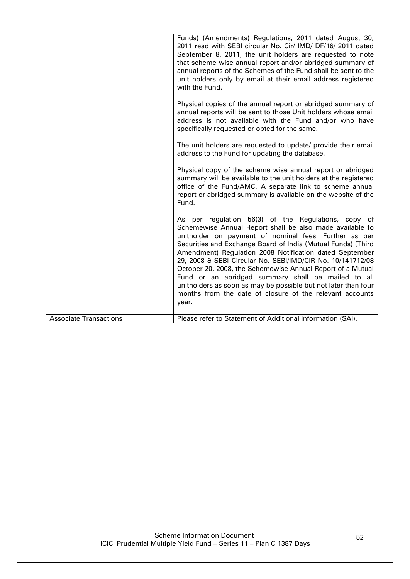|                               | Funds) (Amendments) Regulations, 2011 dated August 30,<br>2011 read with SEBI circular No. Cir/ IMD/ DF/16/ 2011 dated<br>September 8, 2011, the unit holders are requested to note<br>that scheme wise annual report and/or abridged summary of<br>annual reports of the Schemes of the Fund shall be sent to the<br>unit holders only by email at their email address registered<br>with the Fund.                                                                                                                                                                                                                         |
|-------------------------------|------------------------------------------------------------------------------------------------------------------------------------------------------------------------------------------------------------------------------------------------------------------------------------------------------------------------------------------------------------------------------------------------------------------------------------------------------------------------------------------------------------------------------------------------------------------------------------------------------------------------------|
|                               | Physical copies of the annual report or abridged summary of<br>annual reports will be sent to those Unit holders whose email<br>address is not available with the Fund and/or who have<br>specifically requested or opted for the same.                                                                                                                                                                                                                                                                                                                                                                                      |
|                               | The unit holders are requested to update/ provide their email<br>address to the Fund for updating the database.                                                                                                                                                                                                                                                                                                                                                                                                                                                                                                              |
|                               | Physical copy of the scheme wise annual report or abridged<br>summary will be available to the unit holders at the registered<br>office of the Fund/AMC. A separate link to scheme annual<br>report or abridged summary is available on the website of the<br>Fund.                                                                                                                                                                                                                                                                                                                                                          |
|                               | As per regulation 56(3) of the Regulations, copy of<br>Schemewise Annual Report shall be also made available to<br>unitholder on payment of nominal fees. Further as per<br>Securities and Exchange Board of India (Mutual Funds) (Third<br>Amendment) Regulation 2008 Notification dated September<br>29, 2008 & SEBI Circular No. SEBI/IMD/CIR No. 10/141712/08<br>October 20, 2008, the Schemewise Annual Report of a Mutual<br>Fund or an abridged summary shall be mailed to all<br>unitholders as soon as may be possible but not later than four<br>months from the date of closure of the relevant accounts<br>year. |
| <b>Associate Transactions</b> | Please refer to Statement of Additional Information (SAI).                                                                                                                                                                                                                                                                                                                                                                                                                                                                                                                                                                   |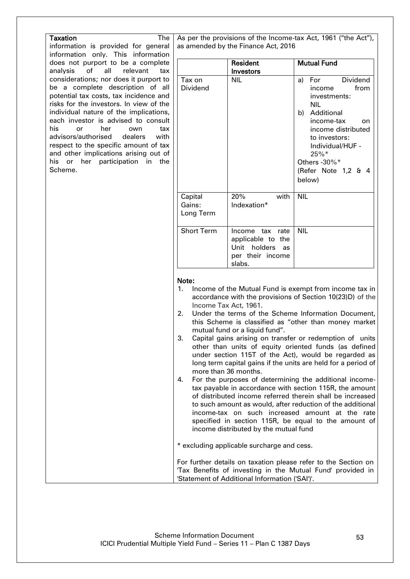| The<br>information is provided for general<br>information only. This information<br>does not purport to be a complete<br>analysis<br>of<br>all<br>relevant<br>tax<br>considerations; nor does it purport to<br>Tax on<br>be a complete description of all<br>Dividend<br>potential tax costs, tax incidence and<br>risks for the investors. In view of the<br>individual nature of the implications,<br>each investor is advised to consult<br>his<br>her<br>or<br>own<br>tax<br>advisors/authorised<br>dealers<br>with<br>respect to the specific amount of tax<br>and other implications arising out of<br>his or her participation in the<br>Scheme.<br>Capital<br>Gains: |                                                                                                                                                                                                                                                                                                                                                                                                                                                                                                                                                                                                                                                                                                                                                                                                                                                                                                                                                                          |                                                                             |                                                                                                                                                                                                                                 |  |
|------------------------------------------------------------------------------------------------------------------------------------------------------------------------------------------------------------------------------------------------------------------------------------------------------------------------------------------------------------------------------------------------------------------------------------------------------------------------------------------------------------------------------------------------------------------------------------------------------------------------------------------------------------------------------|--------------------------------------------------------------------------------------------------------------------------------------------------------------------------------------------------------------------------------------------------------------------------------------------------------------------------------------------------------------------------------------------------------------------------------------------------------------------------------------------------------------------------------------------------------------------------------------------------------------------------------------------------------------------------------------------------------------------------------------------------------------------------------------------------------------------------------------------------------------------------------------------------------------------------------------------------------------------------|-----------------------------------------------------------------------------|---------------------------------------------------------------------------------------------------------------------------------------------------------------------------------------------------------------------------------|--|
|                                                                                                                                                                                                                                                                                                                                                                                                                                                                                                                                                                                                                                                                              | As per the provisions of the Income-tax Act, 1961 ("the Act"),<br>as amended by the Finance Act, 2016                                                                                                                                                                                                                                                                                                                                                                                                                                                                                                                                                                                                                                                                                                                                                                                                                                                                    |                                                                             |                                                                                                                                                                                                                                 |  |
|                                                                                                                                                                                                                                                                                                                                                                                                                                                                                                                                                                                                                                                                              | Resident<br>Investors                                                                                                                                                                                                                                                                                                                                                                                                                                                                                                                                                                                                                                                                                                                                                                                                                                                                                                                                                    |                                                                             | <b>Mutual Fund</b>                                                                                                                                                                                                              |  |
|                                                                                                                                                                                                                                                                                                                                                                                                                                                                                                                                                                                                                                                                              | <b>NIL</b>                                                                                                                                                                                                                                                                                                                                                                                                                                                                                                                                                                                                                                                                                                                                                                                                                                                                                                                                                               |                                                                             | Dividend<br>For<br>a)<br>from<br>income<br>investments:<br><b>NIL</b><br>b) Additional<br>income-tax<br>on<br>income distributed<br>to investors:<br>Individual/HUF -<br>25%*<br>Others - 30%*<br>(Refer Note 1,2 & 4<br>below) |  |
|                                                                                                                                                                                                                                                                                                                                                                                                                                                                                                                                                                                                                                                                              | 20%<br>Indexation*<br>Long Term                                                                                                                                                                                                                                                                                                                                                                                                                                                                                                                                                                                                                                                                                                                                                                                                                                                                                                                                          | with                                                                        | <b>NIL</b>                                                                                                                                                                                                                      |  |
|                                                                                                                                                                                                                                                                                                                                                                                                                                                                                                                                                                                                                                                                              | <b>Short Term</b><br>slabs.                                                                                                                                                                                                                                                                                                                                                                                                                                                                                                                                                                                                                                                                                                                                                                                                                                                                                                                                              | Income tax rate<br>applicable to the<br>Unit holders as<br>per their income | <b>NIL</b>                                                                                                                                                                                                                      |  |
| Note:<br>1.<br>2.<br>3.<br>4.                                                                                                                                                                                                                                                                                                                                                                                                                                                                                                                                                                                                                                                | Income of the Mutual Fund is exempt from income tax in<br>accordance with the provisions of Section 10(23)D) of the<br>Income Tax Act, 1961.<br>Under the terms of the Scheme Information Document,<br>this Scheme is classified as "other than money market<br>mutual fund or a liquid fund".<br>Capital gains arising on transfer or redemption of units<br>other than units of equity oriented funds (as defined<br>under section 115T of the Act), would be regarded as<br>long term capital gains if the units are held for a period of<br>more than 36 months.<br>For the purposes of determining the additional income-<br>tax payable in accordance with section 115R, the amount<br>of distributed income referred therein shall be increased<br>to such amount as would, after reduction of the additional<br>income-tax on such increased amount at the rate<br>specified in section 115R, be equal to the amount of<br>income distributed by the mutual fund |                                                                             |                                                                                                                                                                                                                                 |  |
|                                                                                                                                                                                                                                                                                                                                                                                                                                                                                                                                                                                                                                                                              | * excluding applicable surcharge and cess.                                                                                                                                                                                                                                                                                                                                                                                                                                                                                                                                                                                                                                                                                                                                                                                                                                                                                                                               |                                                                             | For further details on taxation please refer to the Section on<br>'Tax Benefits of investing in the Mutual Fund' provided in                                                                                                    |  |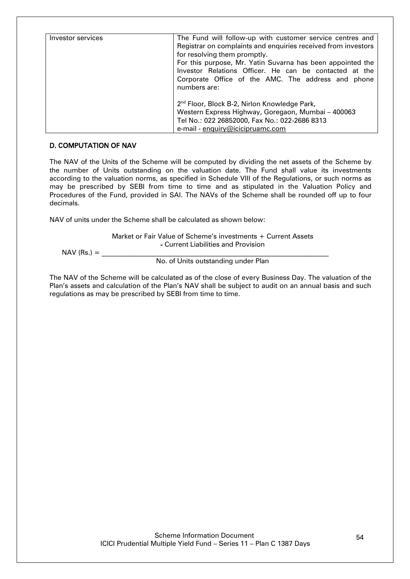| Investor services | The Fund will follow-up with customer service centres and<br>Registrar on complaints and enquiries received from investors<br>for resolving them promptly.<br>For this purpose, Mr. Yatin Suvarna has been appointed the<br>Investor Relations Officer. He can be contacted at the<br>Corporate Office of the AMC. The address and phone<br>numbers are: |
|-------------------|----------------------------------------------------------------------------------------------------------------------------------------------------------------------------------------------------------------------------------------------------------------------------------------------------------------------------------------------------------|
|                   | 2 <sup>nd</sup> Floor, Block B-2, Nirlon Knowledge Park,<br>Western Express Highway, Goregaon, Mumbai - 400063<br>Tel No.: 022 26852000, Fax No.: 022-2686 8313<br>e-mail - enquiry@icicipruamc.com                                                                                                                                                      |

## <span id="page-53-0"></span>D. COMPUTATION OF NAV

The NAV of the Units of the Scheme will be computed by dividing the net assets of the Scheme by the number of Units outstanding on the valuation date. The Fund shall value its investments according to the valuation norms, as specified in Schedule VIII of the Regulations, or such norms as may be prescribed by SEBI from time to time and as stipulated in the Valuation Policy and Procedures of the Fund, provided in SAI. The NAVs of the Scheme shall be rounded off up to four decimals.

NAV of units under the Scheme shall be calculated as shown below:

Market or Fair Value of Scheme"s investments + Current Assets - Current Liabilities and Provision

 $NAV$  (Rs.)  $=$ 

No. of Units outstanding under Plan

The NAV of the Scheme will be calculated as of the close of every Business Day. The valuation of the Plan"s assets and calculation of the Plan"s NAV shall be subject to audit on an annual basis and such regulations as may be prescribed by SEBI from time to time.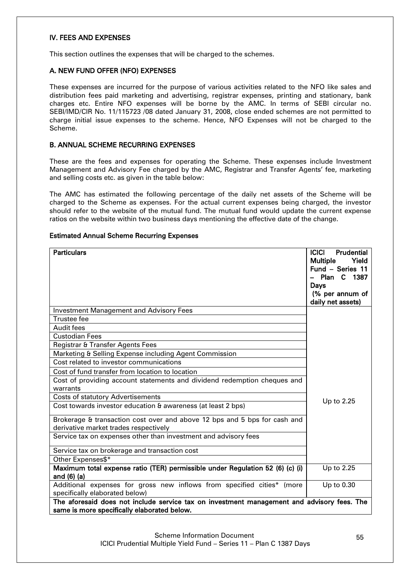### <span id="page-54-0"></span>IV. FEES AND EXPENSES

This section outlines the expenses that will be charged to the schemes.

### <span id="page-54-1"></span>A. NEW FUND OFFER (NFO) EXPENSES

These expenses are incurred for the purpose of various activities related to the NFO like sales and distribution fees paid marketing and advertising, registrar expenses, printing and stationary, bank charges etc. Entire NFO expenses will be borne by the AMC. In terms of SEBI circular no. SEBI/IMD/CIR No. 11/115723 /08 dated January 31, 2008, close ended schemes are not permitted to charge initial issue expenses to the scheme. Hence, NFO Expenses will not be charged to the Scheme.

### <span id="page-54-2"></span>B. ANNUAL SCHEME RECURRING EXPENSES

These are the fees and expenses for operating the Scheme. These expenses include Investment Management and Advisory Fee charged by the AMC, Registrar and Transfer Agents" fee, marketing and selling costs etc. as given in the table below:

The AMC has estimated the following percentage of the daily net assets of the Scheme will be charged to the Scheme as expenses. For the actual current expenses being charged, the investor should refer to the website of the mutual fund. The mutual fund would update the current expense ratios on the website within two business days mentioning the effective date of the change.

#### Estimated Annual Scheme Recurring Expenses

| <b>Particulars</b>                                                                                                 | <b>ICICI</b><br><b>Prudential</b><br><b>Multiple</b><br>Yield<br>Fund - Series 11<br>Plan C 1387<br>Days<br>(% per annum of<br>daily net assets) |
|--------------------------------------------------------------------------------------------------------------------|--------------------------------------------------------------------------------------------------------------------------------------------------|
| <b>Investment Management and Advisory Fees</b>                                                                     |                                                                                                                                                  |
| <b>Trustee fee</b>                                                                                                 |                                                                                                                                                  |
| <b>Audit fees</b>                                                                                                  |                                                                                                                                                  |
| <b>Custodian Fees</b>                                                                                              |                                                                                                                                                  |
| Registrar & Transfer Agents Fees                                                                                   |                                                                                                                                                  |
| Marketing & Selling Expense including Agent Commission                                                             |                                                                                                                                                  |
| Cost related to investor communications                                                                            |                                                                                                                                                  |
| Cost of fund transfer from location to location                                                                    |                                                                                                                                                  |
| Cost of providing account statements and dividend redemption cheques and<br>warrants                               |                                                                                                                                                  |
| <b>Costs of statutory Advertisements</b>                                                                           |                                                                                                                                                  |
| Cost towards investor education & awareness (at least 2 bps)                                                       | Up to 2.25                                                                                                                                       |
| Brokerage & transaction cost over and above 12 bps and 5 bps for cash and<br>derivative market trades respectively |                                                                                                                                                  |
| Service tax on expenses other than investment and advisory fees                                                    |                                                                                                                                                  |
| Service tax on brokerage and transaction cost                                                                      |                                                                                                                                                  |
| Other Expenses\$*                                                                                                  |                                                                                                                                                  |
| Maximum total expense ratio (TER) permissible under Regulation 52 (6) (c) (i)<br>and $(6)$ $(a)$                   | Up to 2.25                                                                                                                                       |
| Additional expenses for gross new inflows from specified cities* (more<br>specifically elaborated below)           | Up to 0.30                                                                                                                                       |
| The aforesaid does not include service tax on investment management and advisory fees. The                         |                                                                                                                                                  |
| same is more specifically elaborated below.                                                                        |                                                                                                                                                  |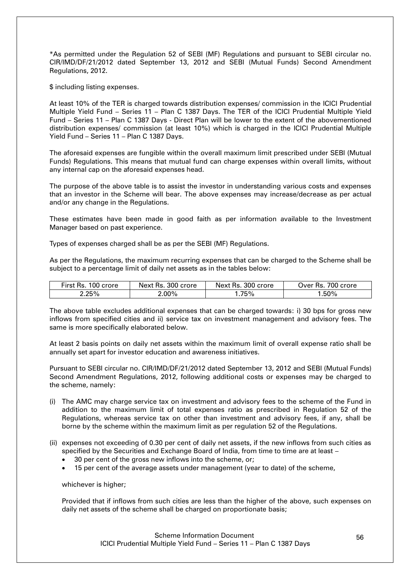\*As permitted under the Regulation 52 of SEBI (MF) Regulations and pursuant to SEBI circular no. CIR/IMD/DF/21/2012 dated September 13, 2012 and SEBI (Mutual Funds) Second Amendment Regulations, 2012.

\$ including listing expenses.

At least 10% of the TER is charged towards distribution expenses/ commission in the ICICI Prudential Multiple Yield Fund – Series 11 – Plan C 1387 Days. The TER of the ICICI Prudential Multiple Yield Fund – Series 11 – Plan C 1387 Days - Direct Plan will be lower to the extent of the abovementioned distribution expenses/ commission (at least 10%) which is charged in the ICICI Prudential Multiple Yield Fund – Series 11 – Plan C 1387 Days.

The aforesaid expenses are fungible within the overall maximum limit prescribed under SEBI (Mutual Funds) Regulations. This means that mutual fund can charge expenses within overall limits, without any internal cap on the aforesaid expenses head.

The purpose of the above table is to assist the investor in understanding various costs and expenses that an investor in the Scheme will bear. The above expenses may increase/decrease as per actual and/or any change in the Regulations.

These estimates have been made in good faith as per information available to the Investment Manager based on past experience.

Types of expenses charged shall be as per the SEBI (MF) Regulations.

As per the Regulations, the maximum recurring expenses that can be charged to the Scheme shall be subject to a percentage limit of daily net assets as in the tables below:

| First Rs.<br>100 crore | Next Rs. 300 crore | Next Rs. 300 crore | 700 crore<br>ว∨er Rs.  ี |
|------------------------|--------------------|--------------------|--------------------------|
| $2.25\%$               | 2.00%              | .75%               | .50%                     |

The above table excludes additional expenses that can be charged towards: i) 30 bps for gross new inflows from specified cities and ii) service tax on investment management and advisory fees. The same is more specifically elaborated below.

At least 2 basis points on daily net assets within the maximum limit of overall expense ratio shall be annually set apart for investor education and awareness initiatives.

Pursuant to SEBI circular no. CIR/IMD/DF/21/2012 dated September 13, 2012 and SEBI (Mutual Funds) Second Amendment Regulations, 2012, following additional costs or expenses may be charged to the scheme, namely:

- (i) The AMC may charge service tax on investment and advisory fees to the scheme of the Fund in addition to the maximum limit of total expenses ratio as prescribed in Regulation 52 of the Regulations, whereas service tax on other than investment and advisory fees, if any, shall be borne by the scheme within the maximum limit as per regulation 52 of the Regulations.
- (ii) expenses not exceeding of 0.30 per cent of daily net assets, if the new inflows from such cities as specified by the Securities and Exchange Board of India, from time to time are at least –
	- 30 per cent of the gross new inflows into the scheme, or;
	- 15 per cent of the average assets under management (year to date) of the scheme,

whichever is higher;

Provided that if inflows from such cities are less than the higher of the above, such expenses on daily net assets of the scheme shall be charged on proportionate basis;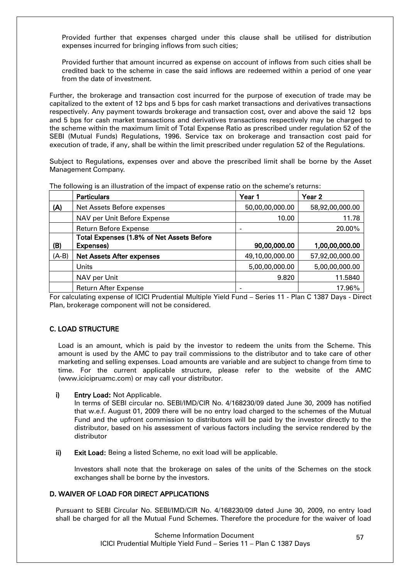Provided further that expenses charged under this clause shall be utilised for distribution expenses incurred for bringing inflows from such cities;

Provided further that amount incurred as expense on account of inflows from such cities shall be credited back to the scheme in case the said inflows are redeemed within a period of one year from the date of investment.

Further, the brokerage and transaction cost incurred for the purpose of execution of trade may be capitalized to the extent of 12 bps and 5 bps for cash market transactions and derivatives transactions respectively. Any payment towards brokerage and transaction cost, over and above the said 12 bps and 5 bps for cash market transactions and derivatives transactions respectively may be charged to the scheme within the maximum limit of Total Expense Ratio as prescribed under regulation 52 of the SEBI (Mutual Funds) Regulations, 1996. Service tax on brokerage and transaction cost paid for execution of trade, if any, shall be within the limit prescribed under regulation 52 of the Regulations.

Subject to Regulations, expenses over and above the prescribed limit shall be borne by the Asset Management Company.

|         | <b>Particulars</b>                        | Year 1          | Year 2          |
|---------|-------------------------------------------|-----------------|-----------------|
| (A)     | Net Assets Before expenses                | 50,00,00,000.00 | 58,92,00,000.00 |
|         | NAV per Unit Before Expense               | 10.00           | 11.78           |
|         | <b>Return Before Expense</b>              |                 | 20.00%          |
|         | Total Expenses (1.8% of Net Assets Before |                 |                 |
| (B)     | Expenses)                                 | 90,00,000.00    | 1,00,00,000.00  |
| $(A-B)$ | <b>Net Assets After expenses</b>          | 49,10,00,000.00 | 57,92,00,000.00 |
|         | Units                                     | 5,00,00,000.00  | 5,00,00,000.00  |
|         | NAV per Unit                              | 9.820           | 11.5840         |
|         | <b>Return After Expense</b>               |                 | 17.96%          |

The following is an illustration of the impact of expense ratio on the scheme"s returns:

For calculating expense of ICICI Prudential Multiple Yield Fund – Series 11 - Plan C 1387 Days - Direct Plan, brokerage component will not be considered.

# <span id="page-56-0"></span>C. LOAD STRUCTURE

Load is an amount, which is paid by the investor to redeem the units from the Scheme. This amount is used by the AMC to pay trail commissions to the distributor and to take care of other marketing and selling expenses. Load amounts are variable and are subject to change from time to time. For the current applicable structure, please refer to the website of the AMC (www.icicipruamc.com) or may call your distributor.

### i) Entry Load: Not Applicable.

In terms of SEBI circular no. SEBI/IMD/CIR No. 4/168230/09 dated June 30, 2009 has notified that w.e.f. August 01, 2009 there will be no entry load charged to the schemes of the Mutual Fund and the upfront commission to distributors will be paid by the investor directly to the distributor, based on his assessment of various factors including the service rendered by the distributor

ii) Exit Load: Being a listed Scheme, no exit load will be applicable.

Investors shall note that the brokerage on sales of the units of the Schemes on the stock exchanges shall be borne by the investors.

# <span id="page-56-1"></span>D. WAIVER OF LOAD FOR DIRECT APPLICATIONS

Pursuant to SEBI Circular No. SEBI/IMD/CIR No. 4/168230/09 dated June 30, 2009, no entry load shall be charged for all the Mutual Fund Schemes. Therefore the procedure for the waiver of load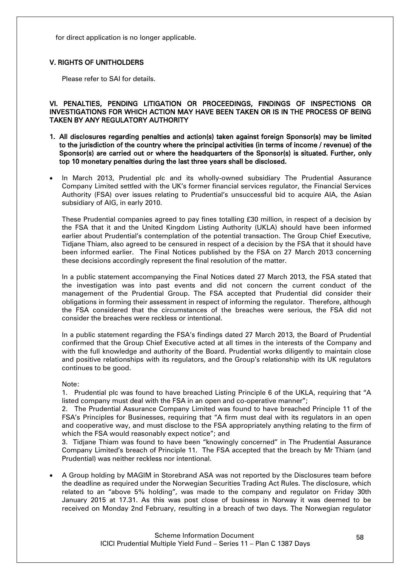for direct application is no longer applicable.

## <span id="page-57-0"></span>V. RIGHTS OF UNITHOLDERS

Please refer to SAI for details.

<span id="page-57-1"></span>VI. PENALTIES, PENDING LITIGATION OR PROCEEDINGS, FINDINGS OF INSPECTIONS OR INVESTIGATIONS FOR WHICH ACTION MAY HAVE BEEN TAKEN OR IS IN THE PROCESS OF BEING TAKEN BY ANY REGULATORY AUTHORITY

- 1. All disclosures regarding penalties and action(s) taken against foreign Sponsor(s) may be limited to the jurisdiction of the country where the principal activities (in terms of income / revenue) of the Sponsor(s) are carried out or where the headquarters of the Sponsor(s) is situated. Further, only top 10 monetary penalties during the last three years shall be disclosed.
- In March 2013, Prudential plc and its wholly-owned subsidiary The Prudential Assurance Company Limited settled with the UK"s former financial services regulator, the Financial Services Authority (FSA) over issues relating to Prudential"s unsuccessful bid to acquire AIA, the Asian subsidiary of AIG, in early 2010.

These Prudential companies agreed to pay fines totalling £30 million, in respect of a decision by the FSA that it and the United Kingdom Listing Authority (UKLA) should have been informed earlier about Prudential"s contemplation of the potential transaction. The Group Chief Executive, Tidjane Thiam, also agreed to be censured in respect of a decision by the FSA that it should have been informed earlier. The Final Notices published by the FSA on 27 March 2013 concerning these decisions accordingly represent the final resolution of the matter.

In a public statement accompanying the Final Notices dated 27 March 2013, the FSA stated that the investigation was into past events and did not concern the current conduct of the management of the Prudential Group. The FSA accepted that Prudential did consider their obligations in forming their assessment in respect of informing the regulator. Therefore, although the FSA considered that the circumstances of the breaches were serious, the FSA did not consider the breaches were reckless or intentional.

In a public statement regarding the FSA"s findings dated 27 March 2013, the Board of Prudential confirmed that the Group Chief Executive acted at all times in the interests of the Company and with the full knowledge and authority of the Board. Prudential works diligently to maintain close and positive relationships with its regulators, and the Group"s relationship with its UK regulators continues to be good.

Note:

1. Prudential plc was found to have breached Listing Principle 6 of the UKLA, requiring that "A listed company must deal with the FSA in an open and co-operative manner";

2. The Prudential Assurance Company Limited was found to have breached Principle 11 of the FSA"s Principles for Businesses, requiring that "A firm must deal with its regulators in an open and cooperative way, and must disclose to the FSA appropriately anything relating to the firm of which the FSA would reasonably expect notice"; and

3. Tidjane Thiam was found to have been "knowingly concerned" in The Prudential Assurance Company Limited"s breach of Principle 11. The FSA accepted that the breach by Mr Thiam (and Prudential) was neither reckless nor intentional.

 A Group holding by MAGIM in Storebrand ASA was not reported by the Disclosures team before the deadline as required under the Norwegian Securities Trading Act Rules. The disclosure, which related to an "above 5% holding", was made to the company and regulator on Friday 30th January 2015 at 17.31. As this was post close of business in Norway it was deemed to be received on Monday 2nd February, resulting in a breach of two days. The Norwegian regulator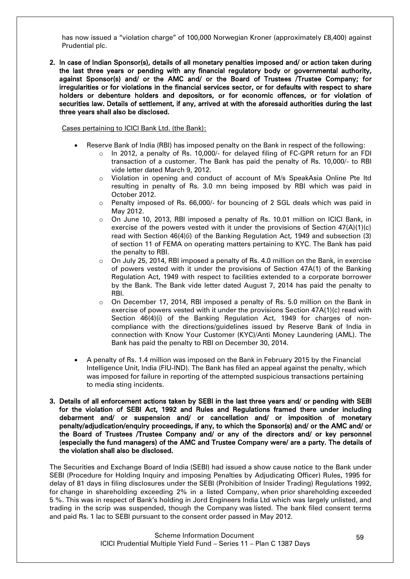has now issued a "violation charge" of 100,000 Norwegian Kroner (approximately £8,400) against Prudential plc.

2. In case of Indian Sponsor(s), details of all monetary penalties imposed and/ or action taken during the last three years or pending with any financial regulatory body or governmental authority, against Sponsor(s) and/ or the AMC and/ or the Board of Trustees /Trustee Company; for irregularities or for violations in the financial services sector, or for defaults with respect to share holders or debenture holders and depositors, or for economic offences, or for violation of securities law. Details of settlement, if any, arrived at with the aforesaid authorities during the last three years shall also be disclosed.

Cases pertaining to ICICI Bank Ltd. (the Bank):

- Reserve Bank of India (RBI) has imposed penalty on the Bank in respect of the following:
	- o In 2012, a penalty of Rs. 10,000/- for delayed filing of FC-GPR return for an FDI transaction of a customer. The Bank has paid the penalty of Rs. 10,000/- to RBI vide letter dated March 9, 2012.
	- o Violation in opening and conduct of account of M/s SpeakAsia Online Pte ltd resulting in penalty of Rs. 3.0 mn being imposed by RBI which was paid in October 2012.
	- $\circ$  Penalty imposed of Rs. 66,000/- for bouncing of 2 SGL deals which was paid in May 2012.
	- o On June 10, 2013, RBI imposed a penalty of Rs. 10.01 million on ICICI Bank, in exercise of the powers vested with it under the provisions of Section 47(A)(1)(c) read with Section 46(4)(i) of the Banking Regulation Act, 1949 and subsection (3) of section 11 of FEMA on operating matters pertaining to KYC. The Bank has paid the penalty to RBI.
	- $\circ$  On July 25, 2014, RBI imposed a penalty of Rs, 4.0 million on the Bank, in exercise of powers vested with it under the provisions of Section 47A(1) of the Banking Regulation Act, 1949 with respect to facilities extended to a corporate borrower by the Bank. The Bank vide letter dated August 7, 2014 has paid the penalty to RBI.
	- o On December 17, 2014, RBI imposed a penalty of Rs. 5.0 million on the Bank in exercise of powers vested with it under the provisions Section 47A(1)(c) read with Section 46(4)(i) of the Banking Regulation Act, 1949 for charges of noncompliance with the directions/guidelines issued by Reserve Bank of India in connection with Know Your Customer (KYC)/Anti Money Laundering (AML). The Bank has paid the penalty to RBI on December 30, 2014.
- A penalty of Rs. 1.4 million was imposed on the Bank in February 2015 by the Financial Intelligence Unit, India (FIU-IND). The Bank has filed an appeal against the penalty, which was imposed for failure in reporting of the attempted suspicious transactions pertaining to media sting incidents.
- 3. Details of all enforcement actions taken by SEBI in the last three years and/ or pending with SEBI for the violation of SEBI Act, 1992 and Rules and Regulations framed there under including debarment and/ or suspension and/ or cancellation and/ or imposition of monetary penalty/adjudication/enquiry proceedings, if any, to which the Sponsor(s) and/ or the AMC and/ or the Board of Trustees /Trustee Company and/ or any of the directors and/ or key personnel (especially the fund managers) of the AMC and Trustee Company were/ are a party. The details of the violation shall also be disclosed.

The Securities and Exchange Board of India (SEBI) had issued a show cause notice to the Bank under SEBI (Procedure for Holding Inquiry and imposing Penalties by Adjudicating Officer) Rules, 1995 for delay of 81 days in filing disclosures under the SEBI (Prohibition of Insider Trading) Regulations 1992, for change in shareholding exceeding 2% in a listed Company, when prior shareholding exceeded 5 %. This was in respect of Bank"s holding in Jord Engineers India Ltd which was largely unlisted, and trading in the scrip was suspended, though the Company was listed. The bank filed consent terms and paid Rs. 1 lac to SEBI pursuant to the consent order passed in May 2012.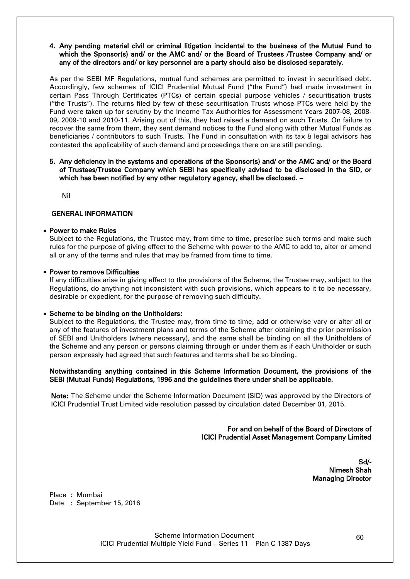#### 4. Any pending material civil or criminal litigation incidental to the business of the Mutual Fund to which the Sponsor(s) and/ or the AMC and/ or the Board of Trustees /Trustee Company and/ or any of the directors and/ or key personnel are a party should also be disclosed separately.

As per the SEBI MF Regulations, mutual fund schemes are permitted to invest in securitised debt. Accordingly, few schemes of ICICI Prudential Mutual Fund ("the Fund") had made investment in certain Pass Through Certificates (PTCs) of certain special purpose vehicles / securitisation trusts ("the Trusts"). The returns filed by few of these securitisation Trusts whose PTCs were held by the Fund were taken up for scrutiny by the Income Tax Authorities for Assessment Years 2007-08, 2008- 09, 2009-10 and 2010-11. Arising out of this, they had raised a demand on such Trusts. On failure to recover the same from them, they sent demand notices to the Fund along with other Mutual Funds as beneficiaries / contributors to such Trusts. The Fund in consultation with its tax & legal advisors has contested the applicability of such demand and proceedings there on are still pending.

### 5. Any deficiency in the systems and operations of the Sponsor(s) and/ or the AMC and/ or the Board of Trustees/Trustee Company which SEBI has specifically advised to be disclosed in the SID, or which has been notified by any other regulatory agency, shall be disclosed. -

Nil

### GENERAL INFORMATION

### Power to make Rules

Subject to the Regulations, the Trustee may, from time to time, prescribe such terms and make such rules for the purpose of giving effect to the Scheme with power to the AMC to add to, alter or amend all or any of the terms and rules that may be framed from time to time.

### • Power to remove Difficulties

If any difficulties arise in giving effect to the provisions of the Scheme, the Trustee may, subject to the Regulations, do anything not inconsistent with such provisions, which appears to it to be necessary, desirable or expedient, for the purpose of removing such difficulty.

### • Scheme to be binding on the Unitholders:

Subject to the Regulations, the Trustee may, from time to time, add or otherwise vary or alter all or any of the features of investment plans and terms of the Scheme after obtaining the prior permission of SEBI and Unitholders (where necessary), and the same shall be binding on all the Unitholders of the Scheme and any person or persons claiming through or under them as if each Unitholder or such person expressly had agreed that such features and terms shall be so binding.

### Notwithstanding anything contained in this Scheme Information Document, the provisions of the SEBI (Mutual Funds) Regulations, 1996 and the guidelines there under shall be applicable.

Note: The Scheme under the Scheme Information Document (SID) was approved by the Directors of ICICI Prudential Trust Limited vide resolution passed by circulation dated December 01, 2015.

> For and on behalf of the Board of Directors of ICICI Prudential Asset Management Company Limited

> > Sd/- Nimesh Shah Managing Director

Place : Mumbai Date: September 15, 2016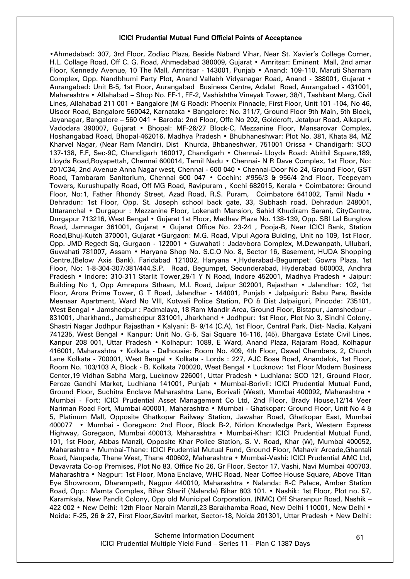#### ICICI Prudential Mutual Fund Official Points of Acceptance

•Ahmedabad: 307, 3rd Floor, Zodiac Plaza, Beside Nabard Vihar, Near St. Xavier"s College Corner, H.L. Collage Road, Off C. G. Road, Ahmedabad 380009, Gujarat • Amritsar: Eminent Mall, 2nd amar Floor, Kennedy Avenue, 10 The Mall, Amritsar - 143001, Punjab • Anand: 109-110, Maruti Sharnam Complex, Opp. Nandbhumi Party Plot, Anand Vallabh Vidyanagar Road, Anand - 388001, Gujarat • Aurangabad: Unit B-5, 1st Floor, Aurangabad Business Centre, Adalat Road, Aurangabad - 431001, Maharashtra • Allahabad – Shop No. FF-1, FF-2, Vashishtha Vinayak Tower, 38/1, Tashkant Marg, Civil Lines, Allahabad 211 001 • Bangalore (M G Road): Phoenix Pinnacle, First Floor, Unit 101 -104, No 46, Ulsoor Road, Bangalore 560042, Karnataka • Bangalore: No. 311/7, Ground Floor 9th Main, 5th Block, Jayanagar, Bangalore – 560 041 • Baroda: 2nd Floor, Offc No 202, Goldcroft, Jetalpur Road, Alkapuri, Vadodara 390007, Gujarat • Bhopal: MF-26/27 Block-C, Mezzanine Floor, Mansarovar Complex, Hoshangabad Road, Bhopal-462016, Madhya Pradesh • Bhubhaneshwar: Plot No. 381, Khata 84, MZ Kharvel Nagar, (Near Ram Mandir), Dist –Khurda, Bhbaneshwar, 751001 Orissa • Chandigarh: SCO 137-138, F.F, Sec-9C, Chandigarh 160017, Chandigarh • Chennai- Lloyds Road: Abithil Square,189, Lloyds Road,Royapettah, Chennai 600014, Tamil Nadu • Chennai- N R Dave Complex, 1st Floor, No: 201/C34, 2nd Avenue Anna Nagar west, Chennai - 600 040 • Chennai-Door No 24, Ground Floor, GST Road, Tambaram Sanitorium, Chennai 600 047 • Cochin: #956/3 & 956/4 2nd Floor, Teepeyam Towers, Kurushupally Road, Off MG Road, Ravipuram , Kochi 682015, Kerala • Coimbatore: Ground Floor, No:1, Father Rhondy Street, Azad Road, R.S. Puram, Coimbatore 641002, Tamil Nadu • Dehradun: 1st Floor, Opp. St. Joseph school back gate, 33, Subhash road, Dehradun 248001, Uttaranchal • Durgapur : Mezzanine Floor, Lokenath Mansion, Sahid Khudiram Sarani, CityCentre, Durgapur 713216, West Bengal • Gujarat 1st Floor, Madhav Plaza No. 138-139, Opp. SBI Lal Bunglow Road, Jamnagar 361001, Gujarat • Gujarat Office No. 23-24 , Pooja-B, Near ICICI Bank, Station Road,Bhuj-Kutch 370001, Gujarat •Gurgaon: M.G. Road, Vipul Agora Bulding, Unit no 109, 1st Floor, Opp. JMD Regedt Sq, Gurgaon - 122001 • Guwahati : Jadavbora Complex, M.Dewanpath, Ullubari, Guwahati 781007, Assam • Haryana Shop No. S.C.O No. 8, Sector 16, Basement, HUDA Shopping Centre,(Below Axis Bank). Faridabad 121002, Haryana •,Hyderabad-Begumpet: Gowra Plaza, 1st Floor, No: 1-8-304-307/381/444,S.P. Road, Begumpet, Secunderabad, Hyderabad 500003, Andhra Pradesh • Indore: 310-311 Starlit Tower,29/1 Y N Road, Indore 452001, Madhya Pradesh • Jaipur: Building No 1, Opp Amrapura Sthaan, M.I. Road, Jaipur 302001, Rajasthan • Jalandhar: 102, 1st Floor, Arora Prime Tower, G T Road, Jalandhar - 144001, Punjab • Jalpaiguri: Babu Para, Beside Meenaar Apartment, Ward No VIII, Kotwali Police Station, PO & Dist Jalpaiguri, Pincode: 735101, West Bengal • Jamshedpur : Padmalaya, 18 Ram Mandir Area, Ground Floor, Bistapur, Jamshedpur – 831001, Jharkhand., Jamshedpur 831001, Jharkhand • Jodhpur: 1st Floor, Plot No 3, Sindhi Colony, Shastri Nagar Jodhpur Rajasthan • Kalyani: B- 9/14 (C.A), 1st Floor, Central Park, Dist- Nadia, Kalyani 741235, West Bengal • Kanpur: Unit No. G-5, Sai Square 16-116, (45), Bhargava Estate Civil Lines, Kanpur 208 001, Uttar Pradesh • Kolhapur: 1089, E Ward, Anand Plaza, Rajaram Road, Kolhapur 416001, Maharashtra • Kolkata - Dalhousie: Room No. 409, 4th Floor, Oswal Chambers, 2, Church Lane Kolkata - 700001, West Bengal • Kolkata - Lords : 227, AJC Bose Road, Anandalok, 1st Floor, Room No. 103/103 A, Block - B, Kolkata 700020, West Bengal • Lucknow: 1st Floor Modern Business Center,19 Vidhan Sabha Marg, Lucknow 226001, Uttar Pradesh • Ludhiana: SCO 121, Ground Floor, Feroze Gandhi Market, Ludhiana 141001, Punjab • Mumbai-Borivli: ICICI Prudential Mutual Fund, Ground Floor, Suchitra Enclave Maharashtra Lane, Borivali (West), Mumbai 400092, Maharashtra • Mumbai - Fort: ICICI Prudential Asset Management Co Ltd, 2nd Floor, Brady House,12/14 Veer Nariman Road Fort, Mumbai 400001, Maharashtra • Mumbai - Ghatkopar: Ground Floor, Unit No 4 & 5, Platinum Mall, Opposite Ghatkopar Railway Station, Jawahar Road, Ghatkopar East, Mumbai 400077 • Mumbai - Goregaon: 2nd Floor, Block B-2, Nirlon Knowledge Park, Western Express Highway, Goregaon, Mumbai 400013, Maharashtra • Mumbai-Khar: ICICI Prudential Mutual Fund, 101, 1st Floor, Abbas Manzil, Opposite Khar Police Station, S. V. Road, Khar (W), Mumbai 400052, Maharashtra • Mumbai-Thane: ICICI Prudential Mutual Fund, Ground Floor, Mahavir Arcade,Ghantali Road, Naupada, Thane West, Thane 400602, Maharashtra • Mumbai-Vashi: ICICI Prudential AMC Ltd, Devavrata Co-op Premises, Plot No 83, Office No 26, Gr Floor, Sector 17, Vashi, Navi Mumbai 400703, Maharashtra • Nagpur: 1st Floor, Mona Enclave, WHC Road, Near Coffee House Square, Above Titan Eye Showroom, Dharampeth, Nagpur 440010, Maharashtra • Nalanda: R-C Palace, Amber Station Road, Opp.: Mamta Complex, Bihar Sharif (Nalanda) Bihar 803 101. • Nashik: 1st Floor, Plot no. 57, Karamkala, New Pandit Colony, Opp old Municipal Corporation, (NMC) Off Sharanpur Road, Nashik – 422 002 • New Delhi: 12th Floor Narain Manzil,23 Barakhamba Road, New Delhi 110001, New Delhi • Noida: F-25, 26 & 27, First Floor,Savitri market, Sector-18, Noida 201301, Uttar Pradesh • New Delhi: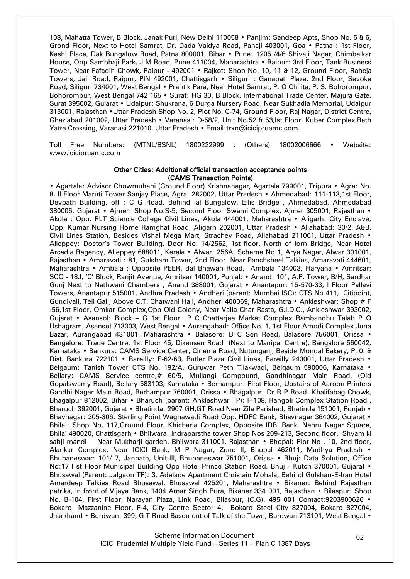108, Mahatta Tower, B Block, Janak Puri, New Delhi 110058 • Panjim: Sandeep Apts, Shop No. 5 & 6, Grond Floor, Next to Hotel Samrat, Dr. Dada Vaidya Road, Panaji 403001, Goa • Patna : 1st Floor, Kashi Place, Dak Bungalow Road, Patna 800001, Bihar • Pune: 1205 /4/6 Shivaji Nagar, Chimbalkar House, Opp Sambhaji Park, J M Road, Pune 411004, Maharashtra • Raipur: 3rd Floor, Tank Business Tower, Near Fafadih Chowk, Raipur - 492001 • Rajkot: Shop No. 10, 11 & 12, Ground Floor, Raheja Towers, Jail Road, Raipur, PIN 492001, Chattisgarh • Siliguri : Ganapati Plaza, 2nd Floor, Sevoke Road, Siliguri 734001, West Bengal • Prantik Para, Near Hotel Samrat, P. O Chilita, P. S. Bohorompur, Bohorompur, West Bengal 742 165 • Surat: HG 30, B Block, International Trade Center, Majura Gate, Surat 395002, Gujarat • Udaipur: Shukrana, 6 Durga Nursery Road, Near Sukhadia Memorial, Udaipur 313001, Rajasthan •Uttar Pradesh Shop No. 2, Plot No. C-74, Ground Floor, Raj Nagar, District Centre, Ghaziabad 201002, Uttar Pradesh • Varanasi: D-58/2, Unit No.52 & 53,Ist Floor, Kuber Complex,Rath Yatra Crossing, Varanasi 221010, Uttar Pradesh • Email:trxn@icicipruamc.com.

Toll Free Numbers: (MTNL/BSNL) 1800222999 ; (Others) 18002006666 • Website: www.icicipruamc.com

#### Other Cities: Additional official transaction acceptance points (CAMS Transaction Points)

• Agartala: Advisor Chowmuhani (Ground Floor) Krishnanagar, Agartala 799001, Tripura • Agra: No. 8, II Floor Maruti Tower Sanjay Place, Agra 282002, Uttar Pradesh • Ahmedabad: 111-113,1st Floor, Devpath Building, off : C G Road, Behind lal Bungalow, Ellis Bridge , Ahmedabad, Ahmedabad 380006, Gujarat • Ajmer: Shop No.S-5, Second Floor Swami Complex, Ajmer 305001, Rajasthan • Akola : Opp. RLT Science College Civil Lines, Akola 444001, Maharashtra • Aligarh: City Enclave, Opp. Kumar Nursing Home Ramghat Road, Aligarh 202001, Uttar Pradesh • Allahabad: 30/2, A&B, Civil Lines Station, Besides Vishal Mega Mart, Strachey Road, Allahabad 211001, Uttar Pradesh • Alleppey: Doctor's Tower Building, Door No. 14/2562, 1st floor, North of Iorn Bridge, Near Hotel Arcadia Regency, Alleppey 688011, Kerala • Alwar: 256A, Scheme No:1, Arya Nagar, Alwar 301001, Rajasthan • Amaravati : 81, Gulsham Tower, 2nd Floor Near Panchsheel Talkies, Amaravati 444601, Maharashtra • Ambala : Opposite PEER, Bal Bhawan Road, Ambala 134003, Haryana • Amritsar: SCO - 18J, "C" Block, Ranjit Avenue, Amritsar 140001, Punjab • Anand: 101, A.P. Tower, B/H, Sardhar Gunj Next to Nathwani Chambers , Anand 388001, Gujarat • Anantapur: 15-570-33, I Floor Pallavi Towers, Anantapur 515001, Andhra Pradesh • Andheri (parent: Mumbai ISC): CTS No 411, Citipoint, Gundivali, Teli Gali, Above C.T. Chatwani Hall, Andheri 400069, Maharashtra • Ankleshwar: Shop # F -56,1st Floor, Omkar Complex,Opp Old Colony, Near Valia Char Rasta, G.I.D.C., Ankleshwar 393002, Gujarat • Asansol: Block – G 1st Floor P C Chatterjee Market Complex Rambandhu Talab P O Ushagram, Asansol 713303, West Bengal • Aurangabad: Office No. 1, 1st Floor Amodi Complex Juna Bazar, Aurangabad 431001, Maharashtra • Balasore: B C Sen Road, Balasore 756001, Orissa • Bangalore: Trade Centre, 1st Floor 45, Dikensen Road (Next to Manipal Centre), Bangalore 560042, Karnataka • Bankura: CAMS Service Center, Cinema Road, Nutunganj, Beside Mondal Bakery, P. 0. & Dist. Bankura 722101 • Bareilly: F-62-63, Butler Plaza Civil Lines, Bareilly 243001, Uttar Pradesh • Belgaum: Tanish Tower CTS No. 192/A, Guruwar Peth Tilakwadi, Belgaum 590006, Karnataka • Bellary: CAMS Service centre,# 60/5, Mullangi Compound, Gandhinagar Main Road, (Old Gopalswamy Road), Bellary 583103, Karnataka • Berhampur: First Floor, Upstairs of Aaroon Printers Gandhi Nagar Main Road, Berhampur 760001, Orissa • Bhagalpur: Dr R P Road Khalifabag Chowk, Bhagalpur 812002, Bihar • Bharuch (parent: Ankleshwar TP): F-108, Rangoli Complex Station Road , Bharuch 392001, Gujarat • Bhatinda: 2907 GH,GT Road Near Zila Parishad, Bhatinda 151001, Punjab • Bhavnagar: 305-306, Sterling Point Waghawadi Road Opp. HDFC Bank, Bhavnagar 364002, Gujarat • Bhilai: Shop No. 117,Ground Floor, Khicharia Complex, Opposite IDBI Bank, Nehru Nagar Square, Bhilai 490020, Chattisgarh • Bhilwara: Indraparstha tower Shop Nos 209-213, Second floor, Shyam ki sabji mandi Near Mukharji garden, Bhilwara 311001, Rajasthan • Bhopal: Plot No . 10, 2nd floor, Alankar Complex, Near ICICI Bank, M P Nagar, Zone II, Bhopal 462011, Madhya Pradesh • Bhubaneswar: 101/ 7, Janpath, Unit-III, Bhubaneswar 751001, Orissa • Bhuj: Data Solution, Office No:17 I st Floor Municipal Building Opp Hotel Prince Station Road, Bhuj - Kutch 370001, Gujarat • Bhusawal (Parent: Jalgaon TP): 3, Adelade Apartment Christain Mohala, Behind Gulshan-E-Iran Hotel Amardeep Talkies Road Bhusawal, Bhusawal 425201, Maharashtra • Bikaner: Behind Rajasthan patrika, in front of Vijaya Bank, 1404 Amar Singh Pura, Bikaner 334 001, Rajasthan • Bilaspur: Shop No. B-104, First Floor, Narayan Plaza, Link Road, Bilaspur, (C.G), 495 001 Contact:9203900626 • Bokaro: Mazzanine Floor, F-4, City Centre Sector 4, Bokaro Steel City 827004, Bokaro 827004, Jharkhand • Burdwan: 399, G T Road Basement of Talk of the Town, Burdwan 713101, West Bengal •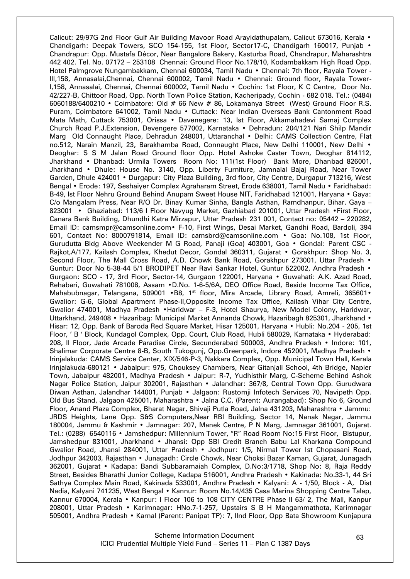Calicut: 29/97G 2nd Floor Gulf Air Building Mavoor Road Arayidathupalam, Calicut 673016, Kerala • Chandigarh: Deepak Towers, SCO 154-155, 1st Floor, Sector17-C, Chandigarh 160017, Punjab • Chandrapur: Opp. Mustafa Décor, Near Bangalore Bakery, Kasturba Road, Chandrapur, Maharashtra 442 402. Tel. No. 07172 – 253108 Chennai: Ground Floor No.178/10, Kodambakkam High Road Opp. Hotel Palmgrove Nungambakkam, Chennai 600034, Tamil Nadu • Chennai: 7th floor, Rayala Tower - III,158, Annasalai,Chennai, Chennai 600002, Tamil Nadu • Chennai: Ground floor, Rayala Tower-I,158, Annasalai, Chennai, Chennai 600002, Tamil Nadu • Cochin: 1st Floor, K C Centre, Door No. 42/227-B, Chittoor Road, Opp. North Town Police Station, Kacheripady, Cochin - 682 018. Tel.: (0484) 6060188/6400210 • Coimbatore: Old # 66 New # 86, Lokamanya Street (West) Ground Floor R.S. Puram, Coimbatore 641002, Tamil Nadu • Cuttack: Near Indian Overseas Bank Cantonment Road Mata Math, Cuttack 753001, Orissa • Davenegere: 13, Ist Floor, Akkamahadevi Samaj Complex Church Road P.J.Extension, Devengere 577002, Karnataka • Dehradun: 204/121 Nari Shilp Mandir Marg Old Connaught Place, Dehradun 248001, Uttaranchal • Delhi: CAMS Collection Centre, Flat no.512, Narain Manzil, 23, Barakhamba Road, Connaught Place, New Delhi 110001, New Delhi • Deoghar: S S M Jalan Road Ground floor Opp. Hotel Ashoke Caster Town, Deoghar 814112, Jharkhand • Dhanbad: Urmila Towers Room No: 111(1st Floor) Bank More, Dhanbad 826001, Jharkhand • Dhule: House No. 3140, Opp. Liberty Furniture, Jamnalal Bajaj Road, Near Tower Garden, Dhule 424001 • Durgapur: City Plaza Building, 3rd floor, City Centre, Durgapur 713216, West Bengal • Erode: 197, Seshaiyer Complex Agraharam Street, Erode 638001, Tamil Nadu • Faridhabad: B-49, Ist Floor Nehru Ground Behind Anupam Sweet House NIT, Faridhabad 121001, Haryana • Gaya: C/o Mangalam Press, Near R/O Dr. Binay Kumar Sinha, Bangla Asthan, Ramdhanpur, Bihar. Gaya – 823001 • Ghaziabad: 113/6 I Floor Navyug Market, Gazhiabad 201001, Uttar Pradesh • First Floor, Canara Bank Building, Dhundhi Katra Mirzapur, Uttar Pradesh 231 001, Contact no: 05442 – 220282, Email ID: camsmpr@camsonline.com• F-10, First Wings, Desai Market, Gandhi Road, Bardoli, 394 601, Contact No: 8000791814, Email ID: camsbrd@camsonline.com • Goa: No.108, 1st Floor, Gurudutta Bldg Above Weekender M G Road, Panaji (Goa) 403001, Goa • Gondal: Parent CSC - Rajkot,A/177, Kailash Complex, Khedut Decor, Gondal 360311, Gujarat • Gorakhpur: Shop No. 3, Second Floor, The Mall Cross Road, A.D. Chowk Bank Road, Gorakhpur 273001, Uttar Pradesh • Guntur: Door No 5-38-44 5/1 BRODIPET Near Ravi Sankar Hotel, Guntur 522002, Andhra Pradesh • Gurgaon: SCO - 17, 3rd Floor, Sector-14, Gurgaon 122001, Haryana • Guwahati: A.K. Azad Road, Rehabari, Guwahati 781008, Assam •D.No. 1-6-5/6A, DEO Office Road, Beside Income Tax Office, Mahabubnagar, Telangana, 509001 •B8, 1<sup>st</sup> floor, Mira Arcade, Library Road, Amreli, 365601• Gwalior: G-6, Global Apartment Phase-II,Opposite Income Tax Office, Kailash Vihar City Centre, Gwalior 474001, Madhya Pradesh •Haridwar – F-3, Hotel Shaurya, New Model Colony, Haridwar, Uttarkhand, 249408 • Hazaribag: Municipal Market Annanda Chowk, Hazaribagh 825301, Jharkhand • Hisar: 12, Opp. Bank of Baroda Red Square Market, Hisar 125001, Haryana • Hubli: No.204 - 205, 1st Floor, " B " Block, Kundagol Complex, Opp. Court, Club Road, Hubli 580029, Karnataka • Hyderabad: 208, II Floor, Jade Arcade Paradise Circle, Secunderabad 500003, Andhra Pradesh • Indore: 101, Shalimar Corporate Centre 8-B, South Tukogunj, Opp.Greenpark, Indore 452001, Madhya Pradesh • Irinjalakuda: CAMS Service Center, XIX/546-P-3, Nakkara Complex, Opp. Municipal Town Hall, Kerala lrinjalakuda-680121 • Jabalpur: 975, Chouksey Chambers, Near Gitanjali School, 4th Bridge, Napier Town, Jabalpur 482001, Madhya Pradesh • Jaipur: R-7, Yudhisthir Marg, C-Scheme Behind Ashok Nagar Police Station, Jaipur 302001, Rajasthan • Jalandhar: 367/8, Central Town Opp. Gurudwara Diwan Asthan, Jalandhar 144001, Punjab • Jalgaon: Rustomji Infotech Services 70, Navipeth Opp. Old Bus Stand, Jalgaon 425001, Maharashtra • Jalna C.C. (Parent: Aurangabad): Shop No 6, Ground Floor, Anand Plaza Complex, Bharat Nagar, Shivaji Putla Road, Jalna 431203, Maharashtra • Jammu: JRDS Heights, Lane Opp. S&S Computers, Near RBI Building, Sector 14, Nanak Nagar, Jammu 180004, Jammu & Kashmir • Jamnagar: 207, Manek Centre, P N Marg, Jamnagar 361001, Gujarat. Tel.: (0288) 6540116 • Jamshedpur: Millennium Tower, "R" Road Room No:15 First Floor, Bistupur, Jamshedpur 831001, Jharkhand • Jhansi: Opp SBI Credit Branch Babu Lal Kharkana Compound Gwalior Road, Jhansi 284001, Uttar Pradesh • Jodhpur: 1/5, Nirmal Tower Ist Chopasani Road, Jodhpur 342003, Rajasthan • Junagadh: Circle Chowk, Near Choksi Bazar Kaman, Gujarat, Junagadh 362001, Gujarat • Kadapa: Bandi Subbaramaiah Complex, D.No:3/1718, Shop No: 8, Raja Reddy Street, Besides Bharathi Junior College, Kadapa 516001, Andhra Pradesh • Kakinada: No.33-1, 44 Sri Sathya Complex Main Road, Kakinada 533001, Andhra Pradesh • Kalyani: A - 1/50, Block - A, Dist Nadia, Kalyani 741235, West Bengal • Kannur: Room No.14/435 Casa Marina Shopping Centre Talap, Kannur 670004, Kerala • Kanpur: I Floor 106 to 108 CITY CENTRE Phase II 63/ 2, The Mall, Kanpur 208001, Uttar Pradesh • Karimnagar: HNo.7-1-257, Upstairs S B H Mangammathota, Karimnagar 505001, Andhra Pradesh • Karnal (Parent: Panipat TP): 7, IInd Floor, Opp Bata Showroom Kunjapura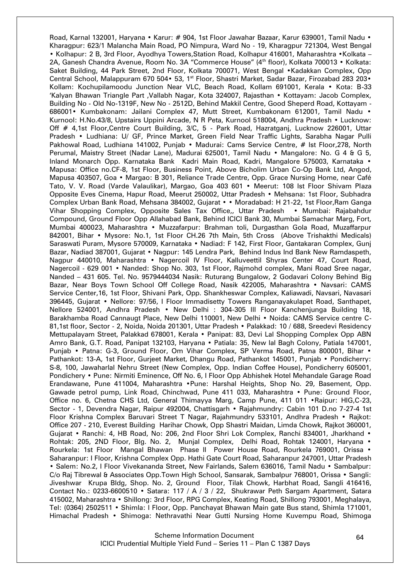Road, Karnal 132001, Haryana • Karur: # 904, 1st Floor Jawahar Bazaar, Karur 639001, Tamil Nadu • Kharagpur: 623/1 Malancha Main Road, PO Nimpura, Ward No - 19, Kharagpur 721304, West Bengal • Kolhapur: 2 B, 3rd Floor, Ayodhya Towers, Station Road, Kolhapur 416001, Maharashtra •Kolkata – 2A, Ganesh Chandra Avenue, Room No. 3A "Commerce House" (4<sup>th</sup> floor), Kolkata 700013 • Kolkata: Saket Building, 44 Park Street, 2nd Floor, Kolkata 700071, West Bengal •Kadakkan Complex, Opp Central School, Malappuram 670 504• 53, 1<sup>st</sup> Floor, Shastri Market, Sadar Bazar, Firozabad 283 203• Kollam: Kochupilamoodu Junction Near VLC, Beach Road, Kollam 691001, Kerala • Kota: B-33 "Kalyan Bhawan Triangle Part ,Vallabh Nagar, Kota 324007, Rajasthan • Kottayam: Jacob Complex, Building No - Old No-1319F, New No - 2512D, Behind Makkil Centre, Good Sheperd Road, Kottayam - 686001• Kumbakonam: Jailani Complex 47, Mutt Street, Kumbakonam 612001, Tamil Nadu • Kurnool: H.No.43/8, Upstairs Uppini Arcade, N R Peta, Kurnool 518004, Andhra Pradesh • Lucknow: Off # 4,1st Floor,Centre Court Building, 3/C, 5 - Park Road, Hazratganj, Lucknow 226001, Uttar Pradesh • Ludhiana: U/ GF, Prince Market, Green Field Near Traffic Lights, Sarabha Nagar Pulli Pakhowal Road, Ludhiana 141002, Punjab • Madurai: Cams Service Centre, # Ist Floor,278, North Perumal, Maistry Street (Nadar Lane), Madurai 625001, Tamil Nadu • Mangalore: No. G 4 & G 5, Inland Monarch Opp. Karnataka Bank Kadri Main Road, Kadri, Mangalore 575003, Karnataka • Mapusa: Office no.CF-8, 1st Floor, Business Point, Above Bicholim Urban Co-Op Bank Ltd, Angod, Mapusa 403507, Goa • Margao: B 301, Reliance Trade Centre, Opp. Grace Nursing Home, near Café Tato, V. V. Road (Varde Valaulikar), Margao, Goa 403 601 • Meerut: 108 Ist Floor Shivam Plaza Opposite Eves Cinema, Hapur Road, Meerut 250002, Uttar Pradesh • Mehsana: 1st Floor, Subhadra Complex Urban Bank Road, Mehsana 384002, Gujarat • • Moradabad: H 21-22, 1st Floor,Ram Ganga Vihar Shopping Complex, Opposite Sales Tax Office,, Uttar Pradesh • Mumbai: Rajabahdur Compound, Ground Floor Opp Allahabad Bank, Behind ICICI Bank 30, Mumbai Samachar Marg, Fort, Mumbai 400023, Maharashtra • Muzzafarpur: Brahman toli, Durgasthan Gola Road, Muzaffarpur 842001, Bihar • Mysore: No.1, 1st Floor CH.26 7th Main, 5th Cross (Above Trishakthi Medicals) Saraswati Puram, Mysore 570009, Karnataka • Nadiad: F 142, First Floor, Gantakaran Complex, Gunj Bazar, Nadiad 387001, Gujarat • Nagpur: 145 Lendra Park, Behind Indus Ind Bank New Ramdaspeth, Nagpur 440010, Maharashtra • Nagercoil IV Floor, Kalluveettil Shyras Center 47, Court Road, Nagercoil - 629 001 • Nanded: Shop No. 303, 1st Floor, Rajmohd complex, Mani Road Sree nagar, Nanded – 431 605. Tel. No. 9579444034 Nasik: Ruturang Bungalow, 2 Godavari Colony Behind Big Bazar, Near Boys Town School Off College Road, Nasik 422005, Maharashtra • Navsari: CAMS Service Center,16, 1st Floor, Shivani Park, Opp. Shankheswar Complex, Kaliawadi, Navsari, Navasari 396445, Gujarat • Nellore: 97/56, I Floor Immadisetty Towers Ranganayakulapet Road, Santhapet, Nellore 524001, Andhra Pradesh • New Delhi : 304-305 III Floor Kanchenjunga Building 18, Barakhamba Road Cannaugt Place, New Delhi 110001, New Delhi • Noida: CAMS Service centre C-81,1st floor, Sector - 2, Noida, Noida 201301, Uttar Pradesh • Palakkad: 10 / 688, Sreedevi Residency Mettupalayam Street, Palakkad 678001, Kerala • Panipat: 83, Devi Lal Shopping Complex Opp ABN Amro Bank, G.T. Road, Panipat 132103, Haryana • Patiala: 35, New lal Bagh Colony, Patiala 147001, Punjab • Patna: G-3, Ground Floor, Om Vihar Complex, SP Verma Road, Patna 800001, Bihar • Pathankot: 13-A, 1st Floor, Gurjeet Market, Dhangu Road, Pathankot 145001, Punjab • Pondicherry: S-8, 100, Jawaharlal Nehru Street (New Complex, Opp. Indian Coffee House), Pondicherry 605001, Pondichery • Pune: Nirmiti Eminence, Off No. 6, I Floor Opp Abhishek Hotel Mehandale Garage Road Erandawane, Pune 411004, Maharashtra •Pune: Harshal Heights, Shop No. 29, Basement, Opp. Gawade petrol pump, Link Road, Chinchwad, Pune 411 033, Maharashtra • Pune: Ground Floor, Office no. 6, Chetna CHS Ltd, General Thimayya Marg, Camp Pune, 411 011 •Raipur: HIG,C-23, Sector - 1, Devendra Nagar, Raipur 492004, Chattisgarh • Rajahmundry: Cabin 101 D.no 7-27-4 1st Floor Krishna Complex Baruvari Street T Nagar, Rajahmundry 533101, Andhra Pradesh • Rajkot: Office 207 - 210, Everest Building Harihar Chowk, Opp Shastri Maidan, Limda Chowk, Rajkot 360001, Gujarat • Ranchi: 4, HB Road, No: 206, 2nd Floor Shri Lok Complex, Ranchi 834001, Jharkhand • Rohtak: 205, 2ND Floor, Blg. No. 2, Munjal Complex, Delhi Road, Rohtak 124001, Haryana • Rourkela: 1st Floor Mangal Bhawan Phase II Power House Road, Rourkela 769001, Orissa • Saharanpur: I Floor, Krishna Complex Opp. Hathi Gate Court Road, Saharanpur 247001, Uttar Pradesh • Salem: No.2, I Floor Vivekananda Street, New Fairlands, Salem 636016, Tamil Nadu • Sambalpur: C/o Raj Tibrewal & Associates Opp.Town High School, Sansarak, Sambalpur 768001, Orissa • Sangli: Jiveshwar Krupa Bldg, Shop. No. 2, Ground Floor, Tilak Chowk, Harbhat Road, Sangli 416416, Contact No.: 0233-6600510 • Satara: 117 / A / 3 / 22, Shukrawar Peth Sargam Apartment, Satara 415002, Maharashtra • Shillong: 3rd Floor, RPG Complex, Keating Road, Shillong 793001, Meghalaya, Tel: (0364) 2502511 • Shimla: I Floor, Opp. Panchayat Bhawan Main gate Bus stand, Shimla 171001, Himachal Pradesh • Shimoga: Nethravathi Near Gutti Nursing Home Kuvempu Road, Shimoga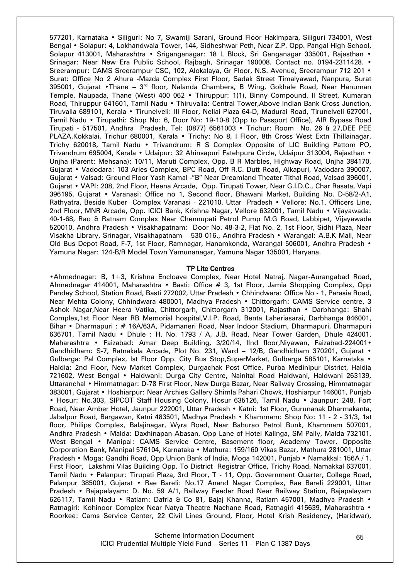577201, Karnataka • Siliguri: No 7, Swamiji Sarani, Ground Floor Hakimpara, Siliguri 734001, West Bengal • Solapur: 4, Lokhandwala Tower, 144, Sidheshwar Peth, Near Z.P. Opp. Pangal High School, Solapur 413001, Maharashtra • Sriganganagar: 18 L Block, Sri Ganganagar 335001, Rajasthan • Srinagar: Near New Era Public School, Rajbagh, Srinagar 190008. Contact no. 0194-2311428. • Sreerampur: CAMS Sreerampur CSC, 102, Alokalaya, Gr Floor, N.S. Avenue, Sreerampur 712 201 • Surat: Office No 2 Ahura -Mazda Complex First Floor, Sadak Street Timalyawad, Nanpura, Surat 395001, Gujarat •Thane – 3<sup>rd</sup> floor, Nalanda Chambers, B Wing, Gokhale Road, Near Hanuman Temple, Naupada, Thane (West) 400 062 • Thiruppur: 1(1), Binny Compound, II Street, Kumaran Road, Thiruppur 641601, Tamil Nadu • Thiruvalla: Central Tower,Above Indian Bank Cross Junction, Tiruvalla 689101, Kerala • Tirunelveli: III Floor, Nellai Plaza 64-D, Madurai Road, Tirunelveli 627001, Tamil Nadu • Tirupathi: Shop No: 6, Door No: 19-10-8 (Opp to Passport Office), AIR Bypass Road Tirupati - 517501, Andhra Pradesh, Tel: (0877) 6561003 • Trichur: Room No. 26 & 27,DEE PEE PLAZA,Kokkalai, Trichur 680001, Kerala • Trichy: No 8, I Floor, 8th Cross West Extn Thillainagar, Trichy 620018, Tamil Nadu • Trivandrum: R S Complex Opposite of LIC Building Pattom PO, Trivandrum 695004, Kerala • Udaipur: 32 Ahinsapuri Fatehpura Circle, Udaipur 313004, Rajasthan • Unjha (Parent: Mehsana): 10/11, Maruti Complex, Opp. B R Marbles, Highway Road, Unjha 384170, Gujarat • Vadodara: 103 Aries Complex, BPC Road, Off R.C. Dutt Road, Alkapuri, Vadodara 390007, Gujarat • Valsad: Ground Floor Yash Kamal -"B" Near Dreamland Theater Tithal Road, Valsad 396001, Gujarat • VAPI: 208, 2nd Floor, Heena Arcade, Opp. Tirupati Tower, Near G.I.D.C., Char Rasata, Vapi 396195, Gujarat • Varanasi: Office no 1, Second floor, Bhawani Market, Building No. D-58/2-A1, Rathyatra, Beside Kuber Complex Varanasi - 221010, Uttar Pradesh • Vellore: No.1, Officers Line, 2nd Floor, MNR Arcade, Opp. ICICI Bank, Krishna Nagar, Vellore 632001, Tamil Nadu • Vijayawada: 40-1-68, Rao & Ratnam Complex Near Chennupati Petrol Pump M.G Road, Labbipet, Vijayawada 520010, Andhra Pradesh • Visakhapatnam: Door No. 48-3-2, Flat No. 2, 1st Floor, Sidhi Plaza, Near Visakha Library, Srinagar, Visakhapatnam – 530 016., Andhra Pradesh • Warangal: A.B.K Mall, Near Old Bus Depot Road, F-7, 1st Floor, Ramnagar, Hanamkonda, Warangal 506001, Andhra Pradesh • Yamuna Nagar: 124-B/R Model Town Yamunanagar, Yamuna Nagar 135001, Haryana.

#### TP Lite Centres

•Ahmednagar: B, 1+3, Krishna Encloave Complex, Near Hotel Natraj, Nagar-Aurangabad Road, Ahmednagar 414001, Maharashtra • Basti: Office # 3, 1st Floor, Jamia Shopping Complex, Opp Pandey School, Station Road, Basti 272002, Uttar Pradesh • Chhindwara: Office No - 1, Parasia Road, Near Mehta Colony, Chhindwara 480001, Madhya Pradesh • Chittorgarh: CAMS Service centre, 3 Ashok Nagar,Near Heera Vatika, Chittorgarh, Chittorgarh 312001, Rajasthan • Darbhanga: Shahi Complex,1st Floor Near RB Memorial hospital,V.I.P. Road, Benta Laheriasarai, Darbhanga 846001, Bihar • Dharmapuri : # 16A/63A, Pidamaneri Road, Near Indoor Stadium, Dharmapuri, Dharmapuri 636701, Tamil Nadu • Dhule : H. No. 1793 / A, J.B. Road, Near Tower Garden, Dhule 424001, Maharashtra • Faizabad: Amar Deep Building, 3/20/14, IInd floor,Niyawan, Faizabad-224001• Gandhidham: S-7, Ratnakala Arcade, Plot No. 231, Ward – 12/B, Gandhidham 370201, Gujarat • Gulbarga: Pal Complex, Ist Floor Opp. City Bus Stop, SuperMarket, Gulbarga 585101, Karnataka • Haldia: 2nd Floor, New Market Complex, Durgachak Post Office, Purba Medinipur District, Haldia 721602, West Bengal • Haldwani: Durga City Centre, Nainital Road Haldwani, Haldwani 263139, Uttaranchal • Himmatnagar: D-78 First Floor, New Durga Bazar, Near Railway Crossing, Himmatnagar 383001, Gujarat • Hoshiarpur: Near Archies Gallery Shimla Pahari Chowk, Hoshiarpur 146001, Punjab • Hosur: No.303, SIPCOT Staff Housing Colony, Hosur 635126, Tamil Nadu • Jaunpur: 248, Fort Road, Near Amber Hotel, Jaunpur 222001, Uttar Pradesh • Katni: 1st Floor, Gurunanak Dharmakanta, Jabalpur Road, Bargawan, Katni 483501, Madhya Pradesh • Khammam: Shop No: 11 - 2 - 31/3, 1st floor, Philips Complex, Balajinagar, Wyra Road, Near Baburao Petrol Bunk, Khammam 507001, Andhra Pradesh • Malda: Daxhinapan Abasan, Opp Lane of Hotel Kalinga, SM Pally, Malda 732101, West Bengal • Manipal: CAMS Service Centre, Basement floor, Academy Tower, Opposite Corporation Bank, Manipal 576104, Karnataka • Mathura: 159/160 Vikas Bazar, Mathura 281001, Uttar Pradesh • Moga: Gandhi Road, Opp Union Bank of India, Moga 142001, Punjab • Namakkal: 156A / 1, First Floor, Lakshmi Vilas Building Opp. To District Registrar Office, Trichy Road, Namakkal 637001, Tamil Nadu • Palanpur: Tirupati Plaza, 3rd Floor, T - 11, Opp. Government Quarter, College Road, Palanpur 385001, Gujarat • Rae Bareli: No.17 Anand Nagar Complex, Rae Bareli 229001, Uttar Pradesh • Rajapalayam: D. No. 59 A/1, Railway Feeder Road Near Railway Station, Rajapalayam 626117, Tamil Nadu • Ratlam: Dafria & Co 81, Bajaj Khanna, Ratlam 457001, Madhya Pradesh • Ratnagiri: Kohinoor Complex Near Natya Theatre Nachane Road, Ratnagiri 415639, Maharashtra • Roorkee: Cams Service Center, 22 Civil Lines Ground, Floor, Hotel Krish Residency, (Haridwar),